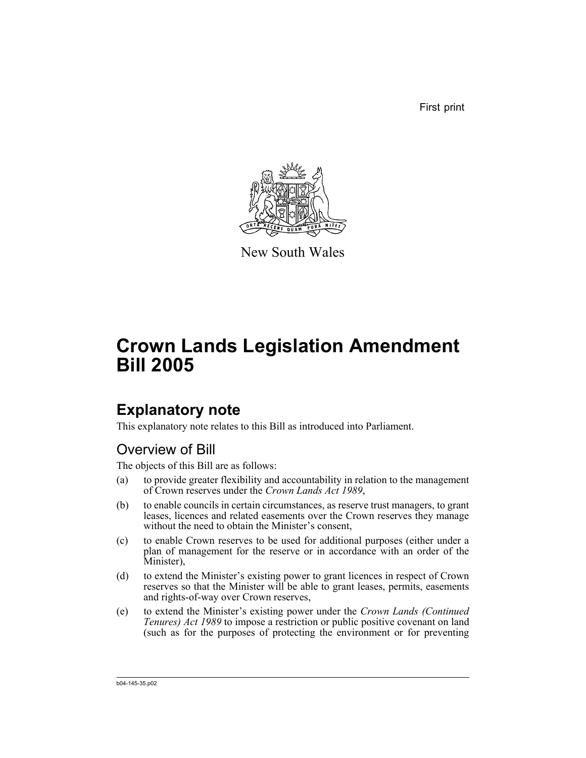First print



New South Wales

# **Crown Lands Legislation Amendment Bill 2005**

# **Explanatory note**

This explanatory note relates to this Bill as introduced into Parliament.

# Overview of Bill

The objects of this Bill are as follows:

- (a) to provide greater flexibility and accountability in relation to the management of Crown reserves under the *Crown Lands Act 1989*,
- (b) to enable councils in certain circumstances, as reserve trust managers, to grant leases, licences and related easements over the Crown reserves they manage without the need to obtain the Minister's consent,
- (c) to enable Crown reserves to be used for additional purposes (either under a plan of management for the reserve or in accordance with an order of the Minister),
- (d) to extend the Minister's existing power to grant licences in respect of Crown reserves so that the Minister will be able to grant leases, permits, easements and rights-of-way over Crown reserves,
- (e) to extend the Minister's existing power under the *Crown Lands (Continued Tenures) Act 1989* to impose a restriction or public positive covenant on land (such as for the purposes of protecting the environment or for preventing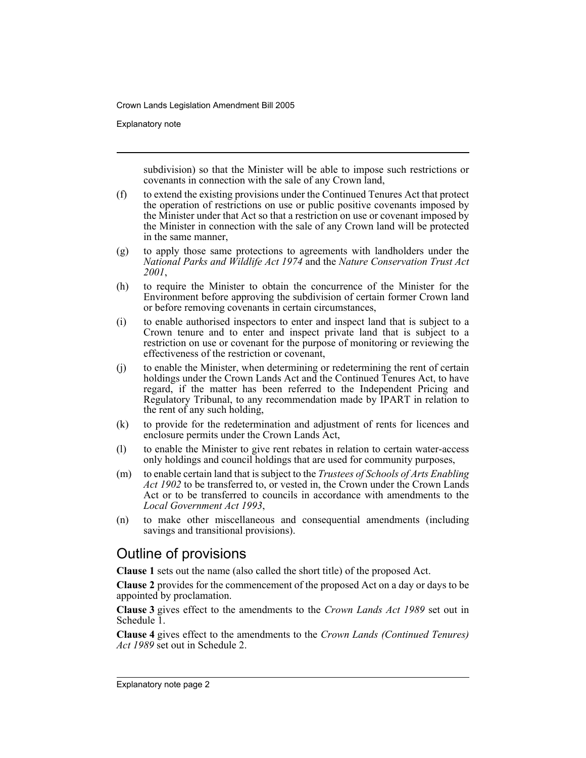Explanatory note

subdivision) so that the Minister will be able to impose such restrictions or covenants in connection with the sale of any Crown land,

- (f) to extend the existing provisions under the Continued Tenures Act that protect the operation of restrictions on use or public positive covenants imposed by the Minister under that Act so that a restriction on use or covenant imposed by the Minister in connection with the sale of any Crown land will be protected in the same manner,
- (g) to apply those same protections to agreements with landholders under the *National Parks and Wildlife Act 1974* and the *Nature Conservation Trust Act 2001*,
- (h) to require the Minister to obtain the concurrence of the Minister for the Environment before approving the subdivision of certain former Crown land or before removing covenants in certain circumstances,
- (i) to enable authorised inspectors to enter and inspect land that is subject to a Crown tenure and to enter and inspect private land that is subject to a restriction on use or covenant for the purpose of monitoring or reviewing the effectiveness of the restriction or covenant,
- (j) to enable the Minister, when determining or redetermining the rent of certain holdings under the Crown Lands Act and the Continued Tenures Act, to have regard, if the matter has been referred to the Independent Pricing and Regulatory Tribunal, to any recommendation made by IPART in relation to the rent of any such holding,
- (k) to provide for the redetermination and adjustment of rents for licences and enclosure permits under the Crown Lands Act,
- (l) to enable the Minister to give rent rebates in relation to certain water-access only holdings and council holdings that are used for community purposes,
- (m) to enable certain land that is subject to the *Trustees of Schools of Arts Enabling Act 1902* to be transferred to, or vested in, the Crown under the Crown Lands Act or to be transferred to councils in accordance with amendments to the *Local Government Act 1993*,
- (n) to make other miscellaneous and consequential amendments (including savings and transitional provisions).

# Outline of provisions

**Clause 1** sets out the name (also called the short title) of the proposed Act.

**Clause 2** provides for the commencement of the proposed Act on a day or days to be appointed by proclamation.

**Clause 3** gives effect to the amendments to the *Crown Lands Act 1989* set out in Schedule 1.

**Clause 4** gives effect to the amendments to the *Crown Lands (Continued Tenures) Act 1989* set out in Schedule 2.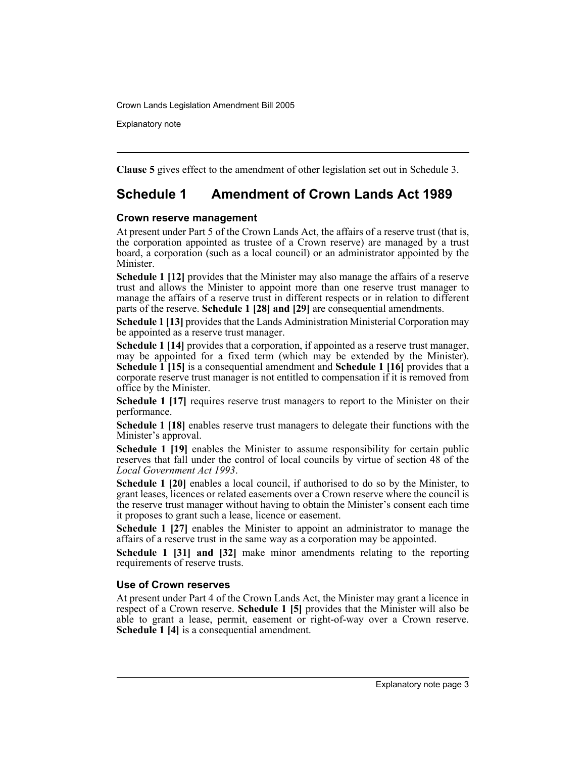Explanatory note

**Clause 5** gives effect to the amendment of other legislation set out in Schedule 3.

# **Schedule 1 Amendment of Crown Lands Act 1989**

### **Crown reserve management**

At present under Part 5 of the Crown Lands Act, the affairs of a reserve trust (that is, the corporation appointed as trustee of a Crown reserve) are managed by a trust board, a corporation (such as a local council) or an administrator appointed by the Minister.

**Schedule 1 [12]** provides that the Minister may also manage the affairs of a reserve trust and allows the Minister to appoint more than one reserve trust manager to manage the affairs of a reserve trust in different respects or in relation to different parts of the reserve. **Schedule 1 [28] and [29]** are consequential amendments.

**Schedule 1 [13]** provides that the Lands Administration Ministerial Corporation may be appointed as a reserve trust manager.

**Schedule 1 [14]** provides that a corporation, if appointed as a reserve trust manager, may be appointed for a fixed term (which may be extended by the Minister). **Schedule 1 [15]** is a consequential amendment and **Schedule 1 [16]** provides that a corporate reserve trust manager is not entitled to compensation if it is removed from office by the Minister.

**Schedule 1 [17]** requires reserve trust managers to report to the Minister on their performance.

**Schedule 1 [18]** enables reserve trust managers to delegate their functions with the Minister's approval.

**Schedule 1 [19]** enables the Minister to assume responsibility for certain public reserves that fall under the control of local councils by virtue of section 48 of the *Local Government Act 1993*.

**Schedule 1 [20]** enables a local council, if authorised to do so by the Minister, to grant leases, licences or related easements over a Crown reserve where the council is the reserve trust manager without having to obtain the Minister's consent each time it proposes to grant such a lease, licence or easement.

**Schedule 1 [27]** enables the Minister to appoint an administrator to manage the affairs of a reserve trust in the same way as a corporation may be appointed.

**Schedule 1 [31] and [32]** make minor amendments relating to the reporting requirements of reserve trusts.

### **Use of Crown reserves**

At present under Part 4 of the Crown Lands Act, the Minister may grant a licence in respect of a Crown reserve. **Schedule 1 [5]** provides that the Minister will also be able to grant a lease, permit, easement or right-of-way over a Crown reserve. **Schedule 1 [4]** is a consequential amendment.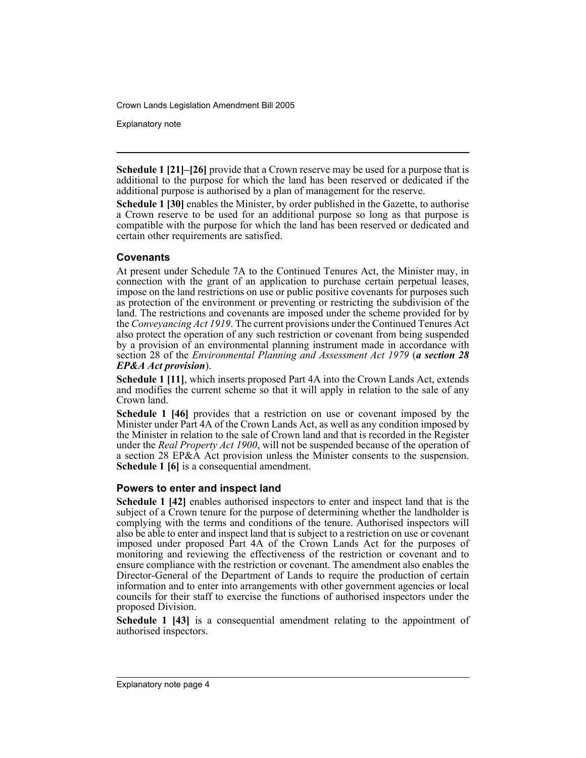Explanatory note

**Schedule 1 [21]–[26]** provide that a Crown reserve may be used for a purpose that is additional to the purpose for which the land has been reserved or dedicated if the additional purpose is authorised by a plan of management for the reserve.

**Schedule 1 [30]** enables the Minister, by order published in the Gazette, to authorise a Crown reserve to be used for an additional purpose so long as that purpose is compatible with the purpose for which the land has been reserved or dedicated and certain other requirements are satisfied.

### **Covenants**

At present under Schedule 7A to the Continued Tenures Act, the Minister may, in connection with the grant of an application to purchase certain perpetual leases, impose on the land restrictions on use or public positive covenants for purposes such as protection of the environment or preventing or restricting the subdivision of the land. The restrictions and covenants are imposed under the scheme provided for by the *Conveyancing Act 1919*. The current provisions under the Continued Tenures Act also protect the operation of any such restriction or covenant from being suspended by a provision of an environmental planning instrument made in accordance with section 28 of the *Environmental Planning and Assessment Act 1979* (*a section 28 EP&A Act provision*).

**Schedule 1 [11]**, which inserts proposed Part 4A into the Crown Lands Act, extends and modifies the current scheme so that it will apply in relation to the sale of any Crown land.

**Schedule 1 [46]** provides that a restriction on use or covenant imposed by the Minister under Part 4A of the Crown Lands Act, as well as any condition imposed by the Minister in relation to the sale of Crown land and that is recorded in the Register under the *Real Property Act 1900*, will not be suspended because of the operation of a section 28 EP&A Act provision unless the Minister consents to the suspension. **Schedule 1 [6]** is a consequential amendment.

### **Powers to enter and inspect land**

**Schedule 1 [42]** enables authorised inspectors to enter and inspect land that is the subject of a Crown tenure for the purpose of determining whether the landholder is complying with the terms and conditions of the tenure. Authorised inspectors will also be able to enter and inspect land that is subject to a restriction on use or covenant imposed under proposed Part 4A of the Crown Lands Act for the purposes of monitoring and reviewing the effectiveness of the restriction or covenant and to ensure compliance with the restriction or covenant. The amendment also enables the Director-General of the Department of Lands to require the production of certain information and to enter into arrangements with other government agencies or local councils for their staff to exercise the functions of authorised inspectors under the proposed Division.

**Schedule 1 [43]** is a consequential amendment relating to the appointment of authorised inspectors.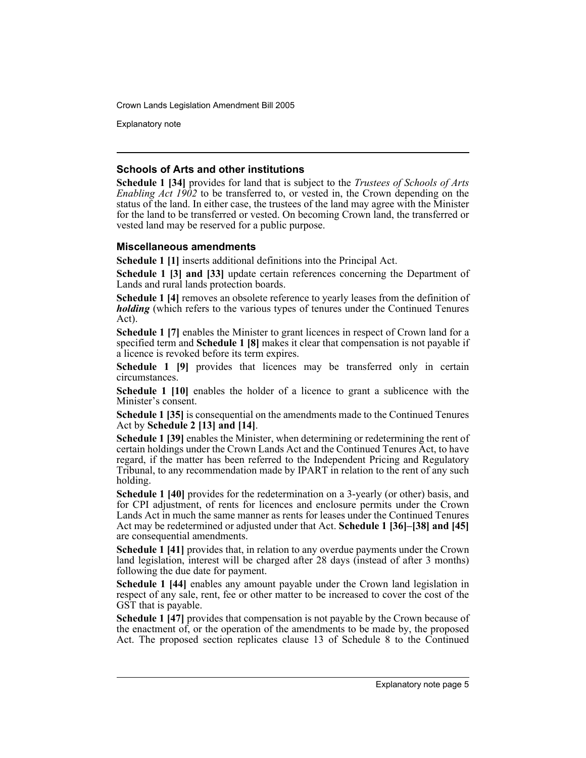Explanatory note

### **Schools of Arts and other institutions**

**Schedule 1 [34]** provides for land that is subject to the *Trustees of Schools of Arts Enabling Act 1902* to be transferred to, or vested in, the Crown depending on the status of the land. In either case, the trustees of the land may agree with the Minister for the land to be transferred or vested. On becoming Crown land, the transferred or vested land may be reserved for a public purpose.

### **Miscellaneous amendments**

**Schedule 1 [1]** inserts additional definitions into the Principal Act.

**Schedule 1 [3] and [33]** update certain references concerning the Department of Lands and rural lands protection boards.

**Schedule 1 [4]** removes an obsolete reference to yearly leases from the definition of *holding* (which refers to the various types of tenures under the Continued Tenures Act).

**Schedule 1 [7]** enables the Minister to grant licences in respect of Crown land for a specified term and **Schedule 1 [8]** makes it clear that compensation is not payable if a licence is revoked before its term expires.

**Schedule 1 [9]** provides that licences may be transferred only in certain circumstances.

**Schedule 1 [10]** enables the holder of a licence to grant a sublicence with the Minister's consent.

**Schedule 1 [35]** is consequential on the amendments made to the Continued Tenures Act by **Schedule 2 [13] and [14]**.

**Schedule 1 [39]** enables the Minister, when determining or redetermining the rent of certain holdings under the Crown Lands Act and the Continued Tenures Act, to have regard, if the matter has been referred to the Independent Pricing and Regulatory Tribunal, to any recommendation made by IPART in relation to the rent of any such holding.

**Schedule 1 [40]** provides for the redetermination on a 3-yearly (or other) basis, and for CPI adjustment, of rents for licences and enclosure permits under the Crown Lands Act in much the same manner as rents for leases under the Continued Tenures Act may be redetermined or adjusted under that Act. **Schedule 1 [36]–[38] and [45]** are consequential amendments.

**Schedule 1 [41]** provides that, in relation to any overdue payments under the Crown land legislation, interest will be charged after 28 days (instead of after 3 months) following the due date for payment.

**Schedule 1 [44]** enables any amount payable under the Crown land legislation in respect of any sale, rent, fee or other matter to be increased to cover the cost of the GST that is payable.

**Schedule 1 [47]** provides that compensation is not payable by the Crown because of the enactment of, or the operation of the amendments to be made by, the proposed Act. The proposed section replicates clause 13 of Schedule 8 to the Continued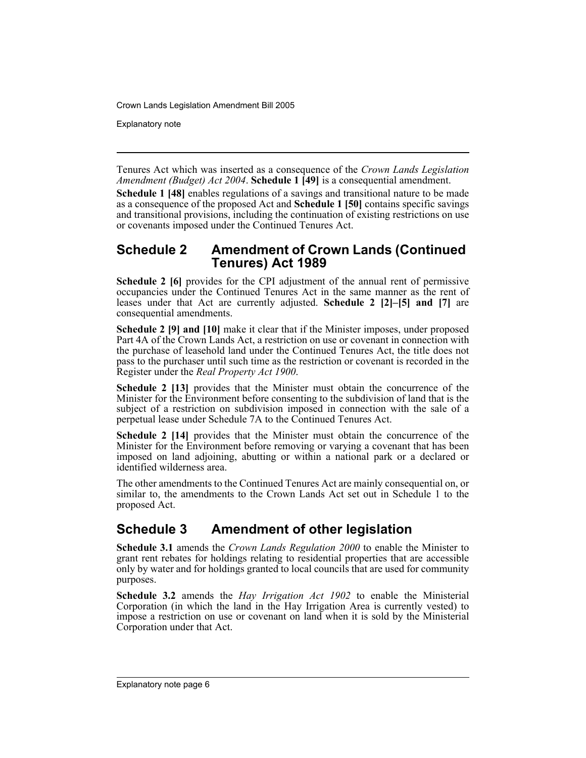Explanatory note

Tenures Act which was inserted as a consequence of the *Crown Lands Legislation Amendment (Budget) Act 2004*. **Schedule 1 [49]** is a consequential amendment.

**Schedule 1 [48]** enables regulations of a savings and transitional nature to be made as a consequence of the proposed Act and **Schedule 1 [50]** contains specific savings and transitional provisions, including the continuation of existing restrictions on use or covenants imposed under the Continued Tenures Act.

# **Schedule 2 Amendment of Crown Lands (Continued Tenures) Act 1989**

**Schedule 2 [6]** provides for the CPI adjustment of the annual rent of permissive occupancies under the Continued Tenures Act in the same manner as the rent of leases under that Act are currently adjusted. **Schedule 2 [2]–[5] and [7]** are consequential amendments.

**Schedule 2 [9] and [10]** make it clear that if the Minister imposes, under proposed Part 4A of the Crown Lands Act, a restriction on use or covenant in connection with the purchase of leasehold land under the Continued Tenures Act, the title does not pass to the purchaser until such time as the restriction or covenant is recorded in the Register under the *Real Property Act 1900*.

**Schedule 2 [13]** provides that the Minister must obtain the concurrence of the Minister for the Environment before consenting to the subdivision of land that is the subject of a restriction on subdivision imposed in connection with the sale of a perpetual lease under Schedule 7A to the Continued Tenures Act.

**Schedule 2 [14]** provides that the Minister must obtain the concurrence of the Minister for the Environment before removing or varying a covenant that has been imposed on land adjoining, abutting or within a national park or a declared or identified wilderness area.

The other amendments to the Continued Tenures Act are mainly consequential on, or similar to, the amendments to the Crown Lands Act set out in Schedule 1 to the proposed Act.

# **Schedule 3 Amendment of other legislation**

**Schedule 3.1** amends the *Crown Lands Regulation 2000* to enable the Minister to grant rent rebates for holdings relating to residential properties that are accessible only by water and for holdings granted to local councils that are used for community purposes.

**Schedule 3.2** amends the *Hay Irrigation Act 1902* to enable the Ministerial Corporation (in which the land in the Hay Irrigation Area is currently vested) to impose a restriction on use or covenant on land when it is sold by the Ministerial Corporation under that Act.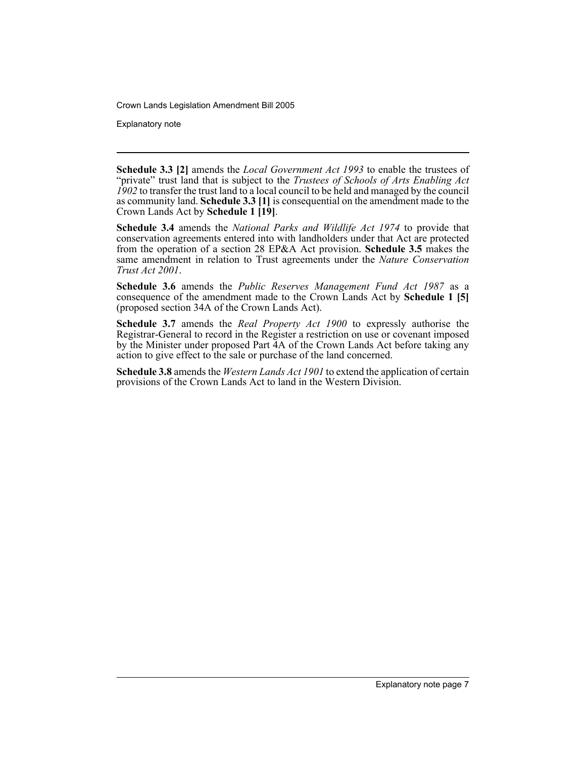Explanatory note

**Schedule 3.3 [2]** amends the *Local Government Act 1993* to enable the trustees of "private" trust land that is subject to the *Trustees of Schools of Arts Enabling Act 1902* to transfer the trust land to a local council to be held and managed by the council as community land. **Schedule 3.3 [1]** is consequential on the amendment made to the Crown Lands Act by **Schedule 1 [19]**.

**Schedule 3.4** amends the *National Parks and Wildlife Act 1974* to provide that conservation agreements entered into with landholders under that Act are protected from the operation of a section 28 EP&A Act provision. **Schedule 3.5** makes the same amendment in relation to Trust agreements under the *Nature Conservation Trust Act 2001*.

**Schedule 3.6** amends the *Public Reserves Management Fund Act 1987* as a consequence of the amendment made to the Crown Lands Act by **Schedule 1 [5]** (proposed section 34A of the Crown Lands Act).

**Schedule 3.7** amends the *Real Property Act 1900* to expressly authorise the Registrar-General to record in the Register a restriction on use or covenant imposed by the Minister under proposed Part 4A of the Crown Lands Act before taking any action to give effect to the sale or purchase of the land concerned.

**Schedule 3.8** amends the *Western Lands Act 1901* to extend the application of certain provisions of the Crown Lands Act to land in the Western Division.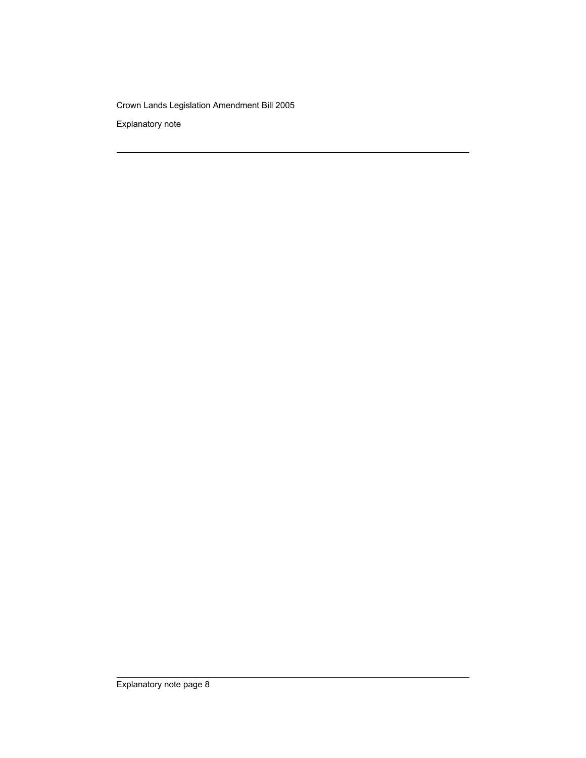Explanatory note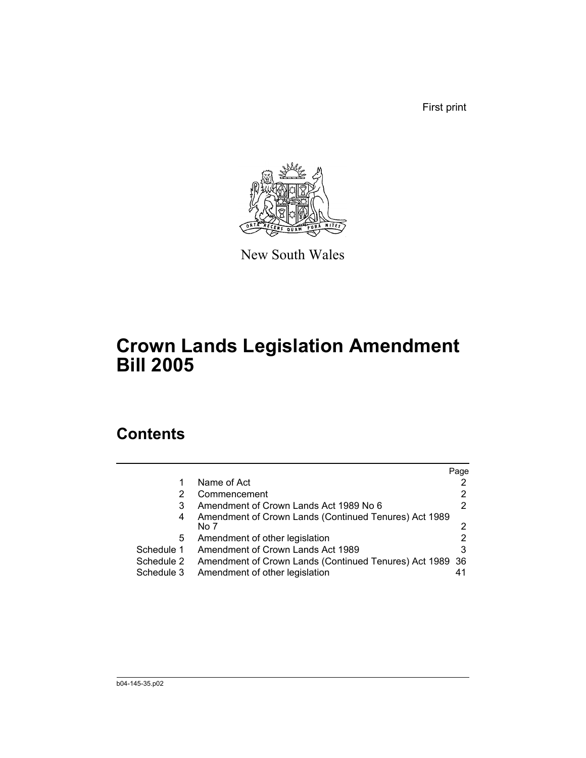First print



New South Wales

# **Crown Lands Legislation Amendment Bill 2005**

# **Contents**

|            |                                                          | Page |
|------------|----------------------------------------------------------|------|
|            | Name of Act                                              |      |
|            | Commencement                                             |      |
| 3          | Amendment of Crown Lands Act 1989 No 6                   |      |
| 4          | Amendment of Crown Lands (Continued Tenures) Act 1989    |      |
|            | No 7                                                     |      |
| 5          | Amendment of other legislation                           |      |
| Schedule 1 | Amendment of Crown Lands Act 1989                        | 3    |
| Schedule 2 | Amendment of Crown Lands (Continued Tenures) Act 1989 36 |      |
| Schedule 3 | Amendment of other legislation                           | 41   |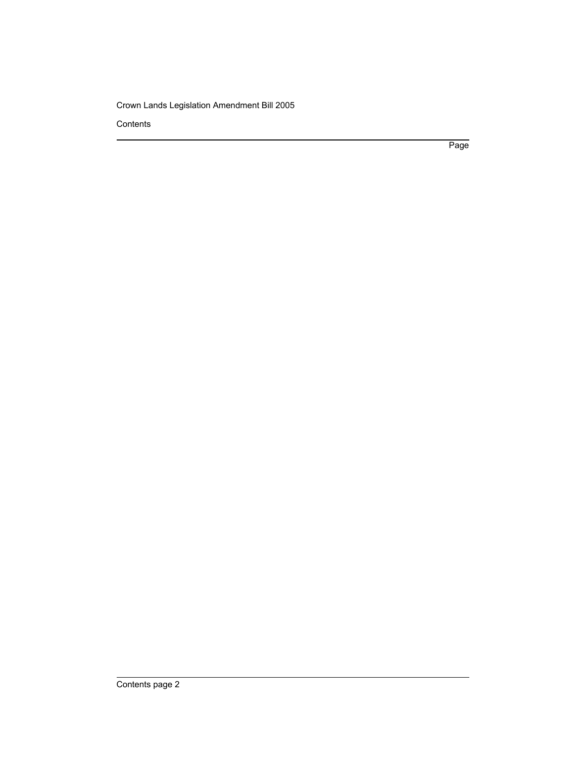**Contents** 

Page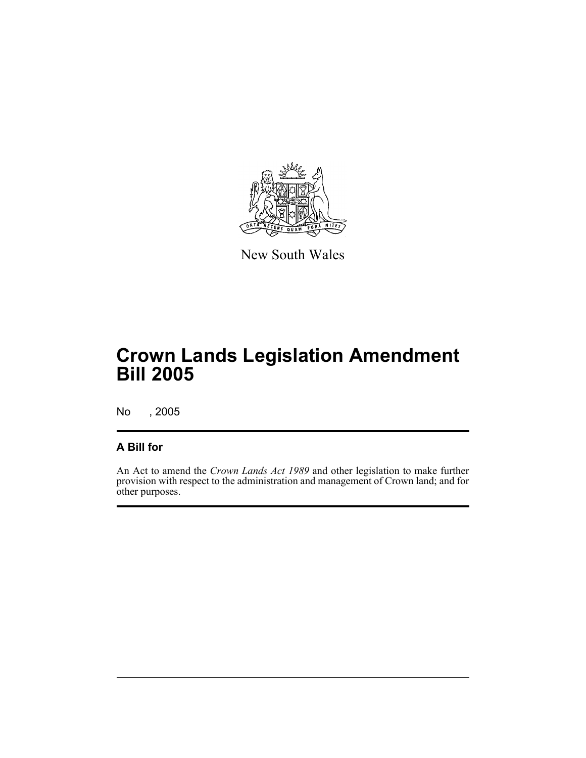

New South Wales

No , 2005

## **A Bill for**

An Act to amend the *Crown Lands Act 1989* and other legislation to make further provision with respect to the administration and management of Crown land; and for other purposes.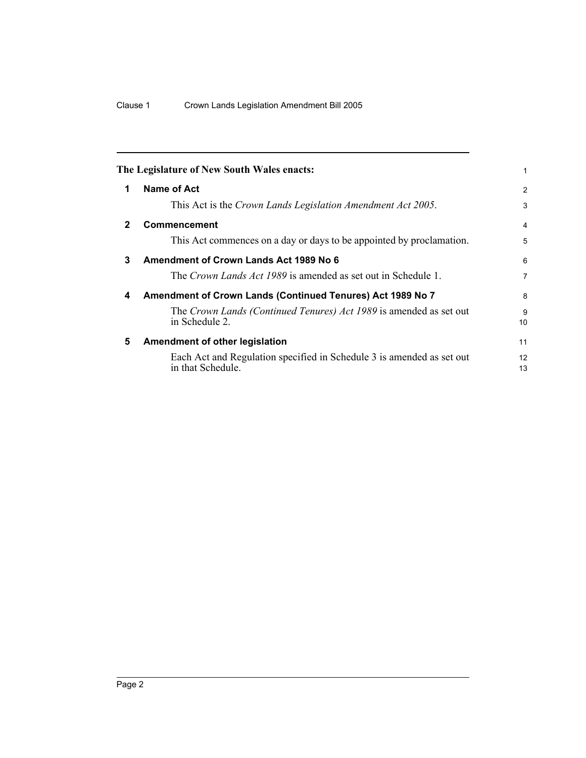<span id="page-11-3"></span><span id="page-11-2"></span><span id="page-11-1"></span><span id="page-11-0"></span>

|              | The Legislature of New South Wales enacts:                                                 | 1              |
|--------------|--------------------------------------------------------------------------------------------|----------------|
| 1            | Name of Act                                                                                | 2              |
|              | This Act is the Crown Lands Legislation Amendment Act 2005.                                | 3              |
| $\mathbf{2}$ | Commencement                                                                               | $\overline{4}$ |
|              | This Act commences on a day or days to be appointed by proclamation.                       | 5              |
| 3            | Amendment of Crown Lands Act 1989 No 6                                                     | 6              |
|              | The Crown Lands Act 1989 is amended as set out in Schedule 1.                              | $\overline{7}$ |
| 4            | Amendment of Crown Lands (Continued Tenures) Act 1989 No 7                                 | 8              |
|              | The Crown Lands (Continued Tenures) Act 1989 is amended as set out<br>in Schedule 2.       | 9<br>10        |
| 5            | <b>Amendment of other legislation</b>                                                      | 11             |
|              | Each Act and Regulation specified in Schedule 3 is amended as set out<br>in that Schedule. | 12<br>13       |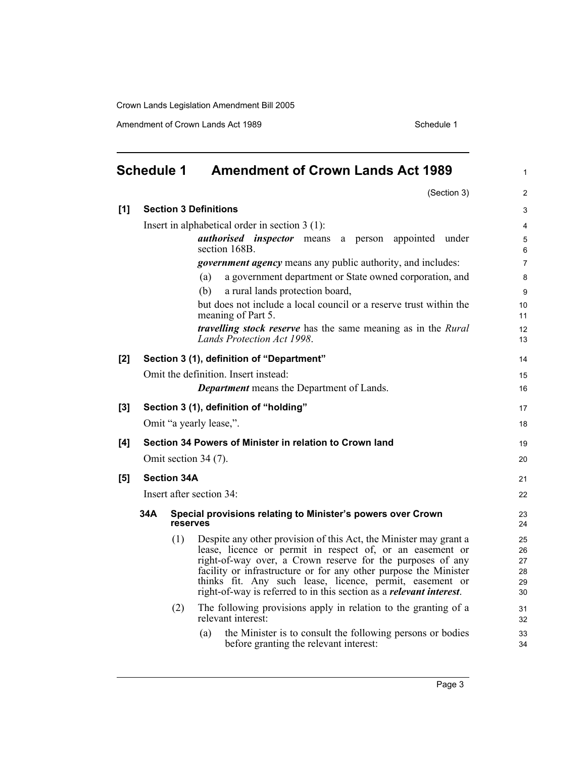Amendment of Crown Lands Act 1989 Schedule 1

<span id="page-12-0"></span>

|       | <b>Schedule 1</b> |                    | <b>Amendment of Crown Lands Act 1989</b>                                                                                                                                                                                                                                                                                                                                                                    | $\mathbf{1}$                     |
|-------|-------------------|--------------------|-------------------------------------------------------------------------------------------------------------------------------------------------------------------------------------------------------------------------------------------------------------------------------------------------------------------------------------------------------------------------------------------------------------|----------------------------------|
|       |                   |                    | (Section 3)                                                                                                                                                                                                                                                                                                                                                                                                 | 2                                |
| [1]   |                   |                    | <b>Section 3 Definitions</b>                                                                                                                                                                                                                                                                                                                                                                                | 3                                |
|       |                   |                    | Insert in alphabetical order in section $3(1)$ :                                                                                                                                                                                                                                                                                                                                                            | 4                                |
|       |                   |                    | <i>authorised inspector</i> means a person<br>under<br>appointed<br>section 168B.                                                                                                                                                                                                                                                                                                                           | 5<br>6                           |
|       |                   |                    | <i>government agency</i> means any public authority, and includes:                                                                                                                                                                                                                                                                                                                                          | $\overline{7}$                   |
|       |                   |                    | a government department or State owned corporation, and<br>(a)                                                                                                                                                                                                                                                                                                                                              | 8                                |
|       |                   |                    | (b)<br>a rural lands protection board,                                                                                                                                                                                                                                                                                                                                                                      | 9                                |
|       |                   |                    | but does not include a local council or a reserve trust within the<br>meaning of Part 5.                                                                                                                                                                                                                                                                                                                    | 10<br>11                         |
|       |                   |                    | <i>travelling stock reserve</i> has the same meaning as in the <i>Rural</i><br>Lands Protection Act 1998.                                                                                                                                                                                                                                                                                                   | 12<br>13                         |
| [2]   |                   |                    | Section 3 (1), definition of "Department"                                                                                                                                                                                                                                                                                                                                                                   | 14                               |
|       |                   |                    | Omit the definition. Insert instead:                                                                                                                                                                                                                                                                                                                                                                        | 15                               |
|       |                   |                    | <b>Department</b> means the Department of Lands.                                                                                                                                                                                                                                                                                                                                                            | 16                               |
| $[3]$ |                   |                    | Section 3 (1), definition of "holding"                                                                                                                                                                                                                                                                                                                                                                      | 17                               |
|       |                   |                    | Omit "a yearly lease,".                                                                                                                                                                                                                                                                                                                                                                                     | 18                               |
| [4]   |                   |                    | Section 34 Powers of Minister in relation to Crown land                                                                                                                                                                                                                                                                                                                                                     | 19                               |
|       |                   |                    | Omit section 34 (7).                                                                                                                                                                                                                                                                                                                                                                                        | 20                               |
| [5]   |                   | <b>Section 34A</b> |                                                                                                                                                                                                                                                                                                                                                                                                             | 21                               |
|       |                   |                    | Insert after section 34:                                                                                                                                                                                                                                                                                                                                                                                    | 22                               |
|       | 34A               | reserves           | Special provisions relating to Minister's powers over Crown                                                                                                                                                                                                                                                                                                                                                 | 23<br>24                         |
|       |                   | (1)                | Despite any other provision of this Act, the Minister may grant a<br>lease, licence or permit in respect of, or an easement or<br>right-of-way over, a Crown reserve for the purposes of any<br>facility or infrastructure or for any other purpose the Minister<br>thinks fit. Any such lease, licence, permit, easement or<br>right-of-way is referred to in this section as a <i>relevant interest</i> . | 25<br>26<br>27<br>28<br>29<br>30 |
|       |                   | (2)                | The following provisions apply in relation to the granting of a<br>relevant interest:                                                                                                                                                                                                                                                                                                                       | 31<br>32                         |
|       |                   |                    | the Minister is to consult the following persons or bodies<br>(a)<br>before granting the relevant interest:                                                                                                                                                                                                                                                                                                 | 33<br>34                         |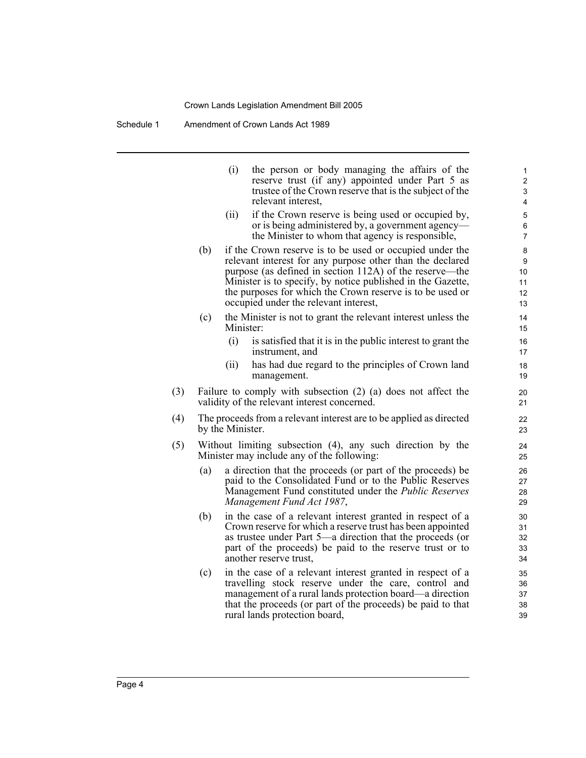Schedule 1 Amendment of Crown Lands Act 1989

| (i)<br>the person or body managing the affairs of the<br>reserve trust (if any) appointed under Part 5 as<br>trustee of the Crown reserve that is the subject of the<br>relevant interest,<br>if the Crown reserve is being used or occupied by,<br>(ii)<br>or is being administered by, a government agency-<br>the Minister to whom that agency is responsible,<br>if the Crown reserve is to be used or occupied under the<br>(b)<br>relevant interest for any purpose other than the declared<br>purpose (as defined in section 112A) of the reserve—the<br>Minister is to specify, by notice published in the Gazette,<br>the purposes for which the Crown reserve is to be used or<br>occupied under the relevant interest,<br>(c)<br>the Minister is not to grant the relevant interest unless the<br>Minister:<br>(i)<br>is satisfied that it is in the public interest to grant the<br>instrument, and<br>has had due regard to the principles of Crown land<br>(ii)<br>management.<br>(3)<br>Failure to comply with subsection $(2)$ $(a)$ does not affect the<br>validity of the relevant interest concerned.<br>(4)<br>The proceeds from a relevant interest are to be applied as directed<br>by the Minister.<br>Without limiting subsection (4), any such direction by the<br>(5)<br>Minister may include any of the following:<br>(a)<br>a direction that the proceeds (or part of the proceeds) be<br>paid to the Consolidated Fund or to the Public Reserves<br>Management Fund constituted under the <i>Public Reserves</i><br>Management Fund Act 1987,<br>in the case of a relevant interest granted in respect of a<br>(b)<br>Crown reserve for which a reserve trust has been appointed<br>as trustee under Part 5—a direction that the proceeds (or<br>part of the proceeds) be paid to the reserve trust or to<br>another reserve trust,<br>in the case of a relevant interest granted in respect of a<br>(c)<br>travelling stock reserve under the care, control and<br>management of a rural lands protection board—a direction<br>that the proceeds (or part of the proceeds) be paid to that<br>rural lands protection board, |  |  |                                    |
|-----------------------------------------------------------------------------------------------------------------------------------------------------------------------------------------------------------------------------------------------------------------------------------------------------------------------------------------------------------------------------------------------------------------------------------------------------------------------------------------------------------------------------------------------------------------------------------------------------------------------------------------------------------------------------------------------------------------------------------------------------------------------------------------------------------------------------------------------------------------------------------------------------------------------------------------------------------------------------------------------------------------------------------------------------------------------------------------------------------------------------------------------------------------------------------------------------------------------------------------------------------------------------------------------------------------------------------------------------------------------------------------------------------------------------------------------------------------------------------------------------------------------------------------------------------------------------------------------------------------------------------------------------------------------------------------------------------------------------------------------------------------------------------------------------------------------------------------------------------------------------------------------------------------------------------------------------------------------------------------------------------------------------------------------------------------------------------------------------------------------------------------------------------|--|--|------------------------------------|
|                                                                                                                                                                                                                                                                                                                                                                                                                                                                                                                                                                                                                                                                                                                                                                                                                                                                                                                                                                                                                                                                                                                                                                                                                                                                                                                                                                                                                                                                                                                                                                                                                                                                                                                                                                                                                                                                                                                                                                                                                                                                                                                                                           |  |  | 1<br>$\overline{2}$<br>3<br>4      |
|                                                                                                                                                                                                                                                                                                                                                                                                                                                                                                                                                                                                                                                                                                                                                                                                                                                                                                                                                                                                                                                                                                                                                                                                                                                                                                                                                                                                                                                                                                                                                                                                                                                                                                                                                                                                                                                                                                                                                                                                                                                                                                                                                           |  |  | $\mathbf 5$<br>6<br>$\overline{7}$ |
|                                                                                                                                                                                                                                                                                                                                                                                                                                                                                                                                                                                                                                                                                                                                                                                                                                                                                                                                                                                                                                                                                                                                                                                                                                                                                                                                                                                                                                                                                                                                                                                                                                                                                                                                                                                                                                                                                                                                                                                                                                                                                                                                                           |  |  | 8<br>9<br>10<br>11<br>12<br>13     |
|                                                                                                                                                                                                                                                                                                                                                                                                                                                                                                                                                                                                                                                                                                                                                                                                                                                                                                                                                                                                                                                                                                                                                                                                                                                                                                                                                                                                                                                                                                                                                                                                                                                                                                                                                                                                                                                                                                                                                                                                                                                                                                                                                           |  |  | 14<br>15                           |
|                                                                                                                                                                                                                                                                                                                                                                                                                                                                                                                                                                                                                                                                                                                                                                                                                                                                                                                                                                                                                                                                                                                                                                                                                                                                                                                                                                                                                                                                                                                                                                                                                                                                                                                                                                                                                                                                                                                                                                                                                                                                                                                                                           |  |  | 16<br>17                           |
|                                                                                                                                                                                                                                                                                                                                                                                                                                                                                                                                                                                                                                                                                                                                                                                                                                                                                                                                                                                                                                                                                                                                                                                                                                                                                                                                                                                                                                                                                                                                                                                                                                                                                                                                                                                                                                                                                                                                                                                                                                                                                                                                                           |  |  | 18<br>19                           |
|                                                                                                                                                                                                                                                                                                                                                                                                                                                                                                                                                                                                                                                                                                                                                                                                                                                                                                                                                                                                                                                                                                                                                                                                                                                                                                                                                                                                                                                                                                                                                                                                                                                                                                                                                                                                                                                                                                                                                                                                                                                                                                                                                           |  |  | 20<br>21                           |
|                                                                                                                                                                                                                                                                                                                                                                                                                                                                                                                                                                                                                                                                                                                                                                                                                                                                                                                                                                                                                                                                                                                                                                                                                                                                                                                                                                                                                                                                                                                                                                                                                                                                                                                                                                                                                                                                                                                                                                                                                                                                                                                                                           |  |  | 22<br>23                           |
|                                                                                                                                                                                                                                                                                                                                                                                                                                                                                                                                                                                                                                                                                                                                                                                                                                                                                                                                                                                                                                                                                                                                                                                                                                                                                                                                                                                                                                                                                                                                                                                                                                                                                                                                                                                                                                                                                                                                                                                                                                                                                                                                                           |  |  | 24<br>25                           |
|                                                                                                                                                                                                                                                                                                                                                                                                                                                                                                                                                                                                                                                                                                                                                                                                                                                                                                                                                                                                                                                                                                                                                                                                                                                                                                                                                                                                                                                                                                                                                                                                                                                                                                                                                                                                                                                                                                                                                                                                                                                                                                                                                           |  |  | 26<br>27<br>28<br>29               |
|                                                                                                                                                                                                                                                                                                                                                                                                                                                                                                                                                                                                                                                                                                                                                                                                                                                                                                                                                                                                                                                                                                                                                                                                                                                                                                                                                                                                                                                                                                                                                                                                                                                                                                                                                                                                                                                                                                                                                                                                                                                                                                                                                           |  |  | 30<br>31<br>32<br>33<br>34         |
|                                                                                                                                                                                                                                                                                                                                                                                                                                                                                                                                                                                                                                                                                                                                                                                                                                                                                                                                                                                                                                                                                                                                                                                                                                                                                                                                                                                                                                                                                                                                                                                                                                                                                                                                                                                                                                                                                                                                                                                                                                                                                                                                                           |  |  | 35<br>36<br>37<br>38<br>39         |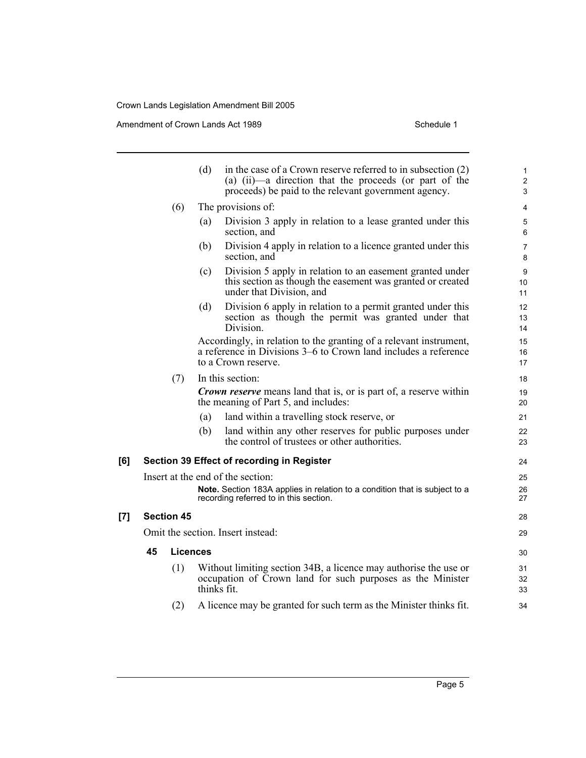Amendment of Crown Lands Act 1989 Schedule 1

**[7] Section 45**

|     |    |                   | (d)         | in the case of a Crown reserve referred to in subsection (2)<br>(a) $(ii)$ —a direction that the proceeds (or part of the<br>proceeds) be paid to the relevant government agency. | 1<br>$\overline{2}$<br>3 |
|-----|----|-------------------|-------------|-----------------------------------------------------------------------------------------------------------------------------------------------------------------------------------|--------------------------|
|     |    | (6)               |             | The provisions of:                                                                                                                                                                | 4                        |
|     |    |                   | (a)         | Division 3 apply in relation to a lease granted under this<br>section, and                                                                                                        | 5<br>6                   |
|     |    |                   | (b)         | Division 4 apply in relation to a licence granted under this<br>section, and                                                                                                      | $\overline{7}$<br>8      |
|     |    |                   | (c)         | Division 5 apply in relation to an easement granted under<br>this section as though the easement was granted or created<br>under that Division, and                               | 9<br>10<br>11            |
|     |    |                   | (d)         | Division 6 apply in relation to a permit granted under this<br>section as though the permit was granted under that<br>Division.                                                   | 12<br>13<br>14           |
|     |    |                   |             | Accordingly, in relation to the granting of a relevant instrument,<br>a reference in Divisions 3–6 to Crown land includes a reference<br>to a Crown reserve.                      | 15<br>16<br>17           |
|     |    | (7)               |             | In this section:                                                                                                                                                                  | 18                       |
|     |    |                   |             | <b>Crown reserve</b> means land that is, or is part of, a reserve within<br>the meaning of Part 5, and includes:                                                                  | 19<br>20                 |
|     |    |                   | (a)         | land within a travelling stock reserve, or                                                                                                                                        | 21                       |
|     |    |                   | (b)         | land within any other reserves for public purposes under<br>the control of trustees or other authorities.                                                                         | 22<br>23                 |
| [6] |    |                   |             | Section 39 Effect of recording in Register                                                                                                                                        | 24                       |
|     |    |                   |             | Insert at the end of the section:                                                                                                                                                 | 25                       |
|     |    |                   |             | Note. Section 183A applies in relation to a condition that is subject to a<br>recording referred to in this section.                                                              | 26<br>27                 |
| [7] |    | <b>Section 45</b> |             |                                                                                                                                                                                   | 28                       |
|     |    |                   |             | Omit the section. Insert instead:                                                                                                                                                 | 29                       |
|     | 45 | <b>Licences</b>   |             |                                                                                                                                                                                   | 30                       |
|     |    | (1)               | thinks fit. | Without limiting section 34B, a licence may authorise the use or<br>occupation of Crown land for such purposes as the Minister                                                    | 31<br>32<br>33           |
|     |    | (2)               |             | A licence may be granted for such term as the Minister thinks fit.                                                                                                                | 34                       |
|     |    |                   |             |                                                                                                                                                                                   |                          |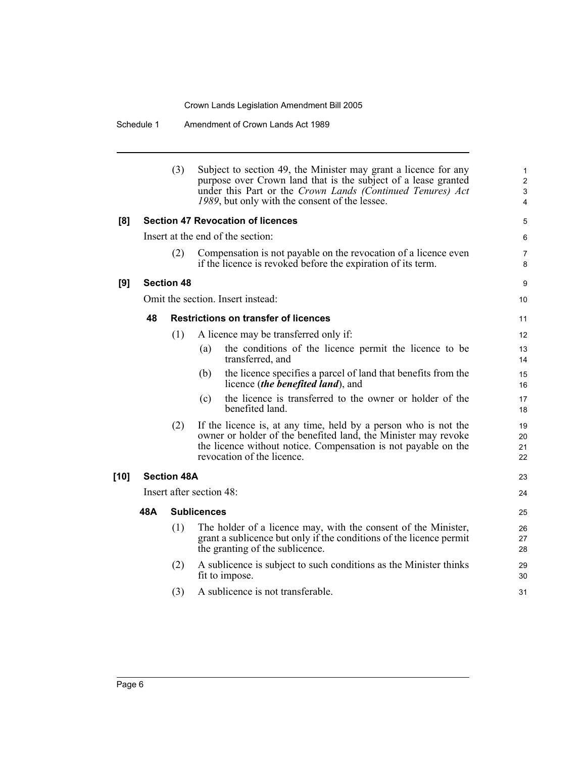Schedule 1 Amendment of Crown Lands Act 1989

|      |     | (3)                | Subject to section 49, the Minister may grant a licence for any<br>purpose over Crown land that is the subject of a lease granted<br>under this Part or the Crown Lands (Continued Tenures) Act<br>1989, but only with the consent of the lessee. | $\mathbf{1}$<br>$\overline{c}$<br>3<br>4 |
|------|-----|--------------------|---------------------------------------------------------------------------------------------------------------------------------------------------------------------------------------------------------------------------------------------------|------------------------------------------|
| [8]  |     |                    | <b>Section 47 Revocation of licences</b>                                                                                                                                                                                                          | 5                                        |
|      |     |                    | Insert at the end of the section:                                                                                                                                                                                                                 | $\,6$                                    |
|      |     | (2)                | Compensation is not payable on the revocation of a licence even<br>if the licence is revoked before the expiration of its term.                                                                                                                   | $\overline{7}$<br>8                      |
| [9]  |     | <b>Section 48</b>  |                                                                                                                                                                                                                                                   | 9                                        |
|      |     |                    | Omit the section. Insert instead:                                                                                                                                                                                                                 | 10                                       |
|      | 48  |                    | <b>Restrictions on transfer of licences</b>                                                                                                                                                                                                       | 11                                       |
|      |     | (1)                | A licence may be transferred only if:                                                                                                                                                                                                             | 12                                       |
|      |     |                    | the conditions of the licence permit the licence to be<br>(a)<br>transferred, and                                                                                                                                                                 | 13<br>14                                 |
|      |     |                    | the licence specifies a parcel of land that benefits from the<br>(b)<br>licence <i>(the benefited land)</i> , and                                                                                                                                 | 15<br>16                                 |
|      |     |                    | the licence is transferred to the owner or holder of the<br>(c)<br>benefited land.                                                                                                                                                                | 17<br>18                                 |
|      |     | (2)                | If the licence is, at any time, held by a person who is not the<br>owner or holder of the benefited land, the Minister may revoke<br>the licence without notice. Compensation is not payable on the<br>revocation of the licence.                 | 19<br>20<br>21<br>22                     |
| [10] |     | <b>Section 48A</b> |                                                                                                                                                                                                                                                   | 23                                       |
|      |     |                    | Insert after section 48:                                                                                                                                                                                                                          | 24                                       |
|      | 48A |                    | <b>Sublicences</b>                                                                                                                                                                                                                                | 25                                       |
|      |     | (1)                | The holder of a licence may, with the consent of the Minister,<br>grant a sublicence but only if the conditions of the licence permit<br>the granting of the sublicence.                                                                          | 26<br>27<br>28                           |
|      |     | (2)                | A sublicence is subject to such conditions as the Minister thinks<br>fit to impose.                                                                                                                                                               | 29<br>30                                 |
|      |     | (3)                | A sublicence is not transferable.                                                                                                                                                                                                                 | 31                                       |
|      |     |                    |                                                                                                                                                                                                                                                   |                                          |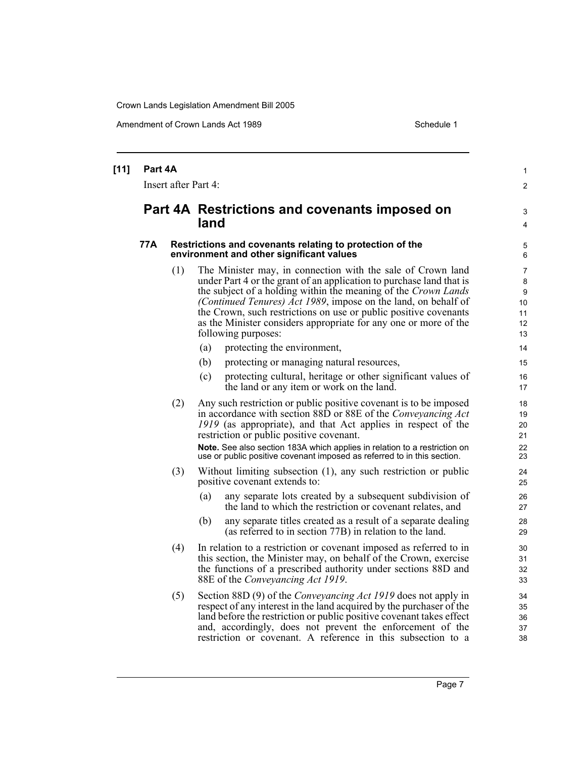Amendment of Crown Lands Act 1989 Schedule 1

| $[11]$ | Part 4A |     | Insert after Part 4:                                                                                                                                                                                                                                                                                                                                                                                                                   | $\mathbf{1}$<br>2                   |  |  |
|--------|---------|-----|----------------------------------------------------------------------------------------------------------------------------------------------------------------------------------------------------------------------------------------------------------------------------------------------------------------------------------------------------------------------------------------------------------------------------------------|-------------------------------------|--|--|
|        |         |     | Part 4A Restrictions and covenants imposed on<br>land                                                                                                                                                                                                                                                                                                                                                                                  | 3<br>$\overline{\mathbf{4}}$        |  |  |
|        | 77A     |     | Restrictions and covenants relating to protection of the<br>environment and other significant values                                                                                                                                                                                                                                                                                                                                   |                                     |  |  |
|        |         | (1) | The Minister may, in connection with the sale of Crown land<br>under Part 4 or the grant of an application to purchase land that is<br>the subject of a holding within the meaning of the Crown Lands<br>(Continued Tenures) Act 1989, impose on the land, on behalf of<br>the Crown, such restrictions on use or public positive covenants<br>as the Minister considers appropriate for any one or more of the<br>following purposes: | 7<br>8<br>9<br>10<br>11<br>12<br>13 |  |  |
|        |         |     | protecting the environment,<br>(a)                                                                                                                                                                                                                                                                                                                                                                                                     | 14                                  |  |  |
|        |         |     | protecting or managing natural resources,<br>(b)                                                                                                                                                                                                                                                                                                                                                                                       | 15                                  |  |  |
|        |         |     | protecting cultural, heritage or other significant values of<br>(c)<br>the land or any item or work on the land.                                                                                                                                                                                                                                                                                                                       | 16<br>17                            |  |  |
|        |         | (2) | Any such restriction or public positive covenant is to be imposed<br>in accordance with section 88D or 88E of the Conveyancing Act<br>1919 (as appropriate), and that Act applies in respect of the<br>restriction or public positive covenant.<br>Note. See also section 183A which applies in relation to a restriction on<br>use or public positive covenant imposed as referred to in this section.                                | 18<br>19<br>20<br>21<br>22<br>23    |  |  |
|        |         | (3) | Without limiting subsection (1), any such restriction or public<br>positive covenant extends to:                                                                                                                                                                                                                                                                                                                                       | 24<br>25                            |  |  |
|        |         |     | any separate lots created by a subsequent subdivision of<br>(a)<br>the land to which the restriction or covenant relates, and                                                                                                                                                                                                                                                                                                          | 26<br>27                            |  |  |
|        |         |     | any separate titles created as a result of a separate dealing<br>(b)<br>(as referred to in section 77B) in relation to the land.                                                                                                                                                                                                                                                                                                       | 28<br>29                            |  |  |
|        |         | (4) | In relation to a restriction or covenant imposed as referred to in<br>this section, the Minister may, on behalf of the Crown, exercise<br>the functions of a prescribed authority under sections 88D and<br>88E of the Conveyancing Act 1919.                                                                                                                                                                                          | 30<br>31<br>32<br>33                |  |  |
|        |         | (5) | Section 88D (9) of the <i>Conveyancing Act 1919</i> does not apply in<br>respect of any interest in the land acquired by the purchaser of the<br>land before the restriction or public positive covenant takes effect<br>and, accordingly, does not prevent the enforcement of the<br>restriction or covenant. A reference in this subsection to a                                                                                     | 34<br>35<br>36<br>37<br>38          |  |  |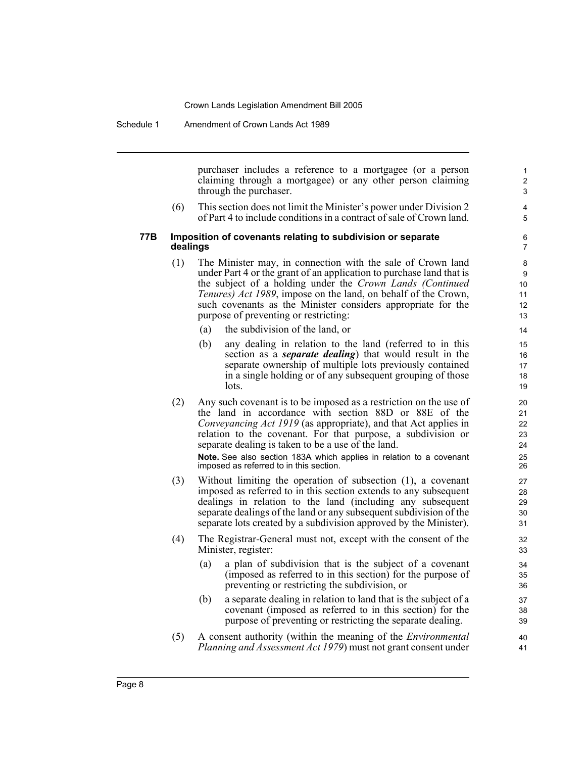Schedule 1 Amendment of Crown Lands Act 1989

purchaser includes a reference to a mortgagee (or a person claiming through a mortgagee) or any other person claiming through the purchaser.

(6) This section does not limit the Minister's power under Division 2 of Part 4 to include conditions in a contract of sale of Crown land.

#### **77B Imposition of covenants relating to subdivision or separate dealings**

- (1) The Minister may, in connection with the sale of Crown land under Part 4 or the grant of an application to purchase land that is the subject of a holding under the *Crown Lands (Continued Tenures) Act 1989*, impose on the land, on behalf of the Crown, such covenants as the Minister considers appropriate for the purpose of preventing or restricting:
	- (a) the subdivision of the land, or
	- (b) any dealing in relation to the land (referred to in this section as a *separate dealing*) that would result in the separate ownership of multiple lots previously contained in a single holding or of any subsequent grouping of those lots.
- (2) Any such covenant is to be imposed as a restriction on the use of the land in accordance with section 88D or 88E of the *Conveyancing Act 1919* (as appropriate), and that Act applies in relation to the covenant. For that purpose, a subdivision or separate dealing is taken to be a use of the land. **Note.** See also section 183A which applies in relation to a covenant imposed as referred to in this section.
- (3) Without limiting the operation of subsection (1), a covenant imposed as referred to in this section extends to any subsequent dealings in relation to the land (including any subsequent separate dealings of the land or any subsequent subdivision of the separate lots created by a subdivision approved by the Minister).
- (4) The Registrar-General must not, except with the consent of the Minister, register:
	- (a) a plan of subdivision that is the subject of a covenant (imposed as referred to in this section) for the purpose of preventing or restricting the subdivision, or
	- (b) a separate dealing in relation to land that is the subject of a covenant (imposed as referred to in this section) for the purpose of preventing or restricting the separate dealing.
- (5) A consent authority (within the meaning of the *Environmental Planning and Assessment Act 1979*) must not grant consent under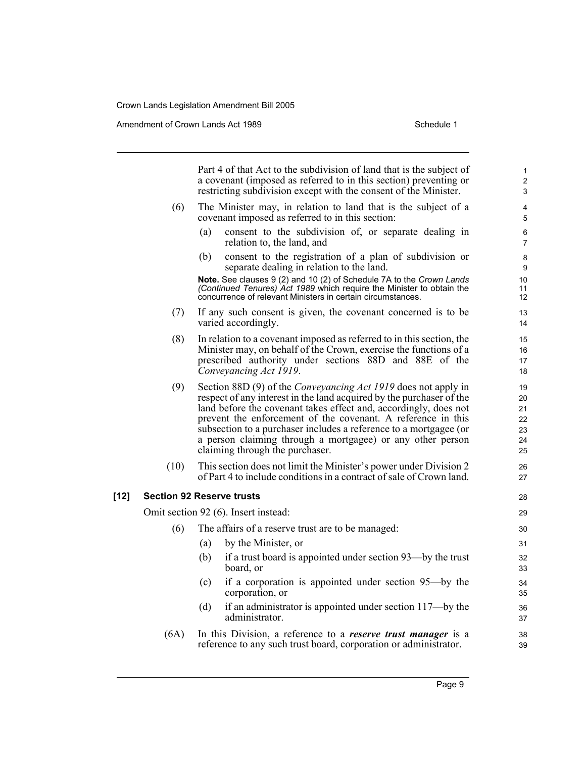Amendment of Crown Lands Act 1989 Schedule 1

**[12]** 

|      | Part 4 of that Act to the subdivision of land that is the subject of<br>a covenant (imposed as referred to in this section) preventing or<br>restricting subdivision except with the consent of the Minister.                                                                                                                                                                                                                                           | $\mathbf{1}$<br>$\overline{\mathbf{c}}$<br>3 |  |  |
|------|---------------------------------------------------------------------------------------------------------------------------------------------------------------------------------------------------------------------------------------------------------------------------------------------------------------------------------------------------------------------------------------------------------------------------------------------------------|----------------------------------------------|--|--|
| (6)  | The Minister may, in relation to land that is the subject of a<br>covenant imposed as referred to in this section:                                                                                                                                                                                                                                                                                                                                      | 4<br>5                                       |  |  |
|      | consent to the subdivision of, or separate dealing in<br>(a)<br>relation to, the land, and                                                                                                                                                                                                                                                                                                                                                              | 6<br>$\overline{7}$                          |  |  |
|      | consent to the registration of a plan of subdivision or<br>(b)<br>separate dealing in relation to the land.                                                                                                                                                                                                                                                                                                                                             | 8<br>9                                       |  |  |
|      | Note. See clauses 9 (2) and 10 (2) of Schedule 7A to the Crown Lands<br>(Continued Tenures) Act 1989 which require the Minister to obtain the<br>concurrence of relevant Ministers in certain circumstances.                                                                                                                                                                                                                                            | 10<br>11<br>12                               |  |  |
| (7)  | If any such consent is given, the covenant concerned is to be<br>varied accordingly.                                                                                                                                                                                                                                                                                                                                                                    | 13<br>14                                     |  |  |
| (8)  | In relation to a covenant imposed as referred to in this section, the<br>Minister may, on behalf of the Crown, exercise the functions of a<br>prescribed authority under sections 88D and 88E of the<br>Conveyancing Act 1919.                                                                                                                                                                                                                          |                                              |  |  |
| (9)  | Section 88D (9) of the <i>Conveyancing Act 1919</i> does not apply in<br>respect of any interest in the land acquired by the purchaser of the<br>land before the covenant takes effect and, accordingly, does not<br>prevent the enforcement of the covenant. A reference in this<br>subsection to a purchaser includes a reference to a mortgagee (or<br>a person claiming through a mortgagee) or any other person<br>claiming through the purchaser. | 19<br>20<br>21<br>22<br>23<br>24<br>25       |  |  |
| (10) | This section does not limit the Minister's power under Division 2<br>of Part 4 to include conditions in a contract of sale of Crown land.                                                                                                                                                                                                                                                                                                               | 26<br>27                                     |  |  |
|      | <b>Section 92 Reserve trusts</b>                                                                                                                                                                                                                                                                                                                                                                                                                        | 28                                           |  |  |
|      | Omit section 92 (6). Insert instead:                                                                                                                                                                                                                                                                                                                                                                                                                    | 29                                           |  |  |
| (6)  | The affairs of a reserve trust are to be managed:                                                                                                                                                                                                                                                                                                                                                                                                       | 30                                           |  |  |
|      | by the Minister, or<br>(a)                                                                                                                                                                                                                                                                                                                                                                                                                              | 31                                           |  |  |
|      | (b)<br>if a trust board is appointed under section 93—by the trust<br>board, or                                                                                                                                                                                                                                                                                                                                                                         | 32<br>33                                     |  |  |
|      | if a corporation is appointed under section 95—by the<br>(c)<br>corporation, or                                                                                                                                                                                                                                                                                                                                                                         | 34<br>35                                     |  |  |
|      | if an administrator is appointed under section 117—by the<br>(d)<br>administrator.                                                                                                                                                                                                                                                                                                                                                                      | 36<br>37                                     |  |  |
| (6A) | In this Division, a reference to a <i>reserve trust manager</i> is a<br>reference to any such trust board, corporation or administrator.                                                                                                                                                                                                                                                                                                                | 38<br>39                                     |  |  |
|      |                                                                                                                                                                                                                                                                                                                                                                                                                                                         |                                              |  |  |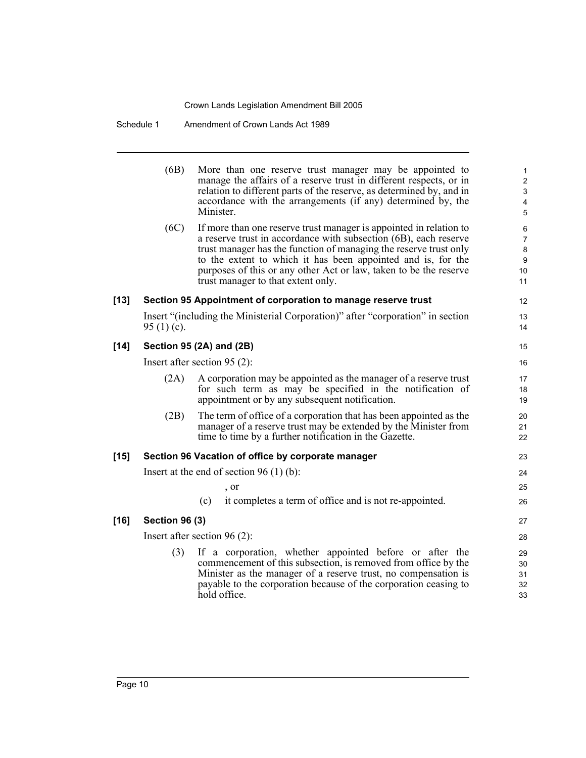Schedule 1 Amendment of Crown Lands Act 1989

| (6B)<br>More than one reserve trust manager may be appointed to<br>manage the affairs of a reserve trust in different respects, or in<br>relation to different parts of the reserve, as determined by, and in<br>accordance with the arrangements (if any) determined by, the<br>Minister.<br>(6C)<br>If more than one reserve trust manager is appointed in relation to<br>a reserve trust in accordance with subsection (6B), each reserve<br>trust manager has the function of managing the reserve trust only<br>to the extent to which it has been appointed and is, for the<br>purposes of this or any other Act or law, taken to be the reserve<br>trust manager to that extent only.<br>$[13]$<br>Section 95 Appointment of corporation to manage reserve trust<br>Insert "(including the Ministerial Corporation)" after "corporation" in section<br>95 $(1)(c)$ .<br>$[14]$<br>Section 95 (2A) and (2B)<br>Insert after section 95 $(2)$ :<br>A corporation may be appointed as the manager of a reserve trust<br>(2A)<br>for such term as may be specified in the notification of<br>appointment or by any subsequent notification.<br>(2B)<br>The term of office of a corporation that has been appointed as the<br>manager of a reserve trust may be extended by the Minister from<br>time to time by a further notification in the Gazette.<br>$[15]$<br>Section 96 Vacation of office by corporate manager<br>Insert at the end of section 96 $(1)$ (b):<br>, or<br>it completes a term of office and is not re-appointed.<br>(c)<br>$[16]$<br><b>Section 96 (3)</b><br>Insert after section $96(2)$ :<br>(3)<br>If a corporation, whether appointed before or after the<br>commencement of this subsection, is removed from office by the<br>Minister as the manager of a reserve trust, no compensation is<br>payable to the corporation because of the corporation ceasing to<br>hold office. |  |                                                              |
|-----------------------------------------------------------------------------------------------------------------------------------------------------------------------------------------------------------------------------------------------------------------------------------------------------------------------------------------------------------------------------------------------------------------------------------------------------------------------------------------------------------------------------------------------------------------------------------------------------------------------------------------------------------------------------------------------------------------------------------------------------------------------------------------------------------------------------------------------------------------------------------------------------------------------------------------------------------------------------------------------------------------------------------------------------------------------------------------------------------------------------------------------------------------------------------------------------------------------------------------------------------------------------------------------------------------------------------------------------------------------------------------------------------------------------------------------------------------------------------------------------------------------------------------------------------------------------------------------------------------------------------------------------------------------------------------------------------------------------------------------------------------------------------------------------------------------------------------------------------------------------------------------------------------|--|--------------------------------------------------------------|
|                                                                                                                                                                                                                                                                                                                                                                                                                                                                                                                                                                                                                                                                                                                                                                                                                                                                                                                                                                                                                                                                                                                                                                                                                                                                                                                                                                                                                                                                                                                                                                                                                                                                                                                                                                                                                                                                                                                 |  | 1<br>$\boldsymbol{2}$<br>$\ensuremath{\mathsf{3}}$<br>4<br>5 |
|                                                                                                                                                                                                                                                                                                                                                                                                                                                                                                                                                                                                                                                                                                                                                                                                                                                                                                                                                                                                                                                                                                                                                                                                                                                                                                                                                                                                                                                                                                                                                                                                                                                                                                                                                                                                                                                                                                                 |  | 6<br>$\overline{7}$<br>8<br>$\boldsymbol{9}$<br>10<br>11     |
|                                                                                                                                                                                                                                                                                                                                                                                                                                                                                                                                                                                                                                                                                                                                                                                                                                                                                                                                                                                                                                                                                                                                                                                                                                                                                                                                                                                                                                                                                                                                                                                                                                                                                                                                                                                                                                                                                                                 |  | 12                                                           |
|                                                                                                                                                                                                                                                                                                                                                                                                                                                                                                                                                                                                                                                                                                                                                                                                                                                                                                                                                                                                                                                                                                                                                                                                                                                                                                                                                                                                                                                                                                                                                                                                                                                                                                                                                                                                                                                                                                                 |  | 13<br>14                                                     |
|                                                                                                                                                                                                                                                                                                                                                                                                                                                                                                                                                                                                                                                                                                                                                                                                                                                                                                                                                                                                                                                                                                                                                                                                                                                                                                                                                                                                                                                                                                                                                                                                                                                                                                                                                                                                                                                                                                                 |  | 15                                                           |
|                                                                                                                                                                                                                                                                                                                                                                                                                                                                                                                                                                                                                                                                                                                                                                                                                                                                                                                                                                                                                                                                                                                                                                                                                                                                                                                                                                                                                                                                                                                                                                                                                                                                                                                                                                                                                                                                                                                 |  | 16                                                           |
|                                                                                                                                                                                                                                                                                                                                                                                                                                                                                                                                                                                                                                                                                                                                                                                                                                                                                                                                                                                                                                                                                                                                                                                                                                                                                                                                                                                                                                                                                                                                                                                                                                                                                                                                                                                                                                                                                                                 |  | 17<br>18<br>19                                               |
|                                                                                                                                                                                                                                                                                                                                                                                                                                                                                                                                                                                                                                                                                                                                                                                                                                                                                                                                                                                                                                                                                                                                                                                                                                                                                                                                                                                                                                                                                                                                                                                                                                                                                                                                                                                                                                                                                                                 |  | 20<br>21<br>22                                               |
|                                                                                                                                                                                                                                                                                                                                                                                                                                                                                                                                                                                                                                                                                                                                                                                                                                                                                                                                                                                                                                                                                                                                                                                                                                                                                                                                                                                                                                                                                                                                                                                                                                                                                                                                                                                                                                                                                                                 |  | 23                                                           |
|                                                                                                                                                                                                                                                                                                                                                                                                                                                                                                                                                                                                                                                                                                                                                                                                                                                                                                                                                                                                                                                                                                                                                                                                                                                                                                                                                                                                                                                                                                                                                                                                                                                                                                                                                                                                                                                                                                                 |  | 24                                                           |
|                                                                                                                                                                                                                                                                                                                                                                                                                                                                                                                                                                                                                                                                                                                                                                                                                                                                                                                                                                                                                                                                                                                                                                                                                                                                                                                                                                                                                                                                                                                                                                                                                                                                                                                                                                                                                                                                                                                 |  | 25                                                           |
|                                                                                                                                                                                                                                                                                                                                                                                                                                                                                                                                                                                                                                                                                                                                                                                                                                                                                                                                                                                                                                                                                                                                                                                                                                                                                                                                                                                                                                                                                                                                                                                                                                                                                                                                                                                                                                                                                                                 |  | 26                                                           |
|                                                                                                                                                                                                                                                                                                                                                                                                                                                                                                                                                                                                                                                                                                                                                                                                                                                                                                                                                                                                                                                                                                                                                                                                                                                                                                                                                                                                                                                                                                                                                                                                                                                                                                                                                                                                                                                                                                                 |  | 27                                                           |
|                                                                                                                                                                                                                                                                                                                                                                                                                                                                                                                                                                                                                                                                                                                                                                                                                                                                                                                                                                                                                                                                                                                                                                                                                                                                                                                                                                                                                                                                                                                                                                                                                                                                                                                                                                                                                                                                                                                 |  | 28                                                           |
|                                                                                                                                                                                                                                                                                                                                                                                                                                                                                                                                                                                                                                                                                                                                                                                                                                                                                                                                                                                                                                                                                                                                                                                                                                                                                                                                                                                                                                                                                                                                                                                                                                                                                                                                                                                                                                                                                                                 |  | 29<br>30<br>31<br>32<br>33                                   |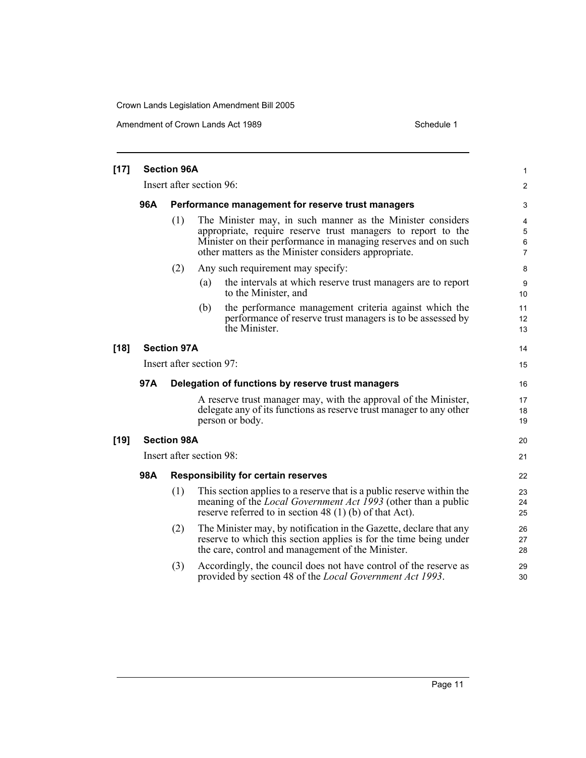Amendment of Crown Lands Act 1989

| Schedule 1 |  |
|------------|--|

| $[17]$ | <b>Section 96A</b>       |                    |     |                                                                                                                                                                                                                                                      |                                                                                                                                      |                |
|--------|--------------------------|--------------------|-----|------------------------------------------------------------------------------------------------------------------------------------------------------------------------------------------------------------------------------------------------------|--------------------------------------------------------------------------------------------------------------------------------------|----------------|
|        | Insert after section 96: |                    |     |                                                                                                                                                                                                                                                      |                                                                                                                                      |                |
|        | 96A                      |                    |     | Performance management for reserve trust managers                                                                                                                                                                                                    | 3                                                                                                                                    |                |
|        |                          | (1)                |     | The Minister may, in such manner as the Minister considers<br>appropriate, require reserve trust managers to report to the<br>Minister on their performance in managing reserves and on such<br>other matters as the Minister considers appropriate. | 4<br>5<br>6<br>$\overline{7}$                                                                                                        |                |
|        |                          | (2)                |     | Any such requirement may specify:                                                                                                                                                                                                                    | 8                                                                                                                                    |                |
|        |                          |                    | (a) | the intervals at which reserve trust managers are to report<br>to the Minister, and                                                                                                                                                                  | 9<br>10                                                                                                                              |                |
|        |                          |                    |     | (b)                                                                                                                                                                                                                                                  | the performance management criteria against which the<br>performance of reserve trust managers is to be assessed by<br>the Minister. | 11<br>12<br>13 |
| $[18]$ | <b>Section 97A</b>       |                    |     |                                                                                                                                                                                                                                                      |                                                                                                                                      |                |
|        | Insert after section 97: |                    |     |                                                                                                                                                                                                                                                      | 15                                                                                                                                   |                |
|        | 97A                      |                    |     | Delegation of functions by reserve trust managers                                                                                                                                                                                                    | 16                                                                                                                                   |                |
|        |                          |                    |     | A reserve trust manager may, with the approval of the Minister,<br>delegate any of its functions as reserve trust manager to any other<br>person or body.                                                                                            | 17<br>18<br>19                                                                                                                       |                |
| $[19]$ |                          | <b>Section 98A</b> |     |                                                                                                                                                                                                                                                      | 20                                                                                                                                   |                |
|        | Insert after section 98: |                    |     |                                                                                                                                                                                                                                                      | 21                                                                                                                                   |                |
|        | 98A                      |                    |     | <b>Responsibility for certain reserves</b>                                                                                                                                                                                                           | 22                                                                                                                                   |                |
|        |                          | (1)                |     | This section applies to a reserve that is a public reserve within the<br>meaning of the <i>Local Government Act 1993</i> (other than a public<br>reserve referred to in section 48 $(1)$ (b) of that Act).                                           | 23<br>24<br>25                                                                                                                       |                |
|        |                          | (2)                |     | The Minister may, by notification in the Gazette, declare that any<br>reserve to which this section applies is for the time being under<br>the care, control and management of the Minister.                                                         | 26<br>27<br>28                                                                                                                       |                |
|        |                          | (3)                |     | Accordingly, the council does not have control of the reserve as<br>provided by section 48 of the <i>Local Government Act 1993</i> .                                                                                                                 | 29<br>30                                                                                                                             |                |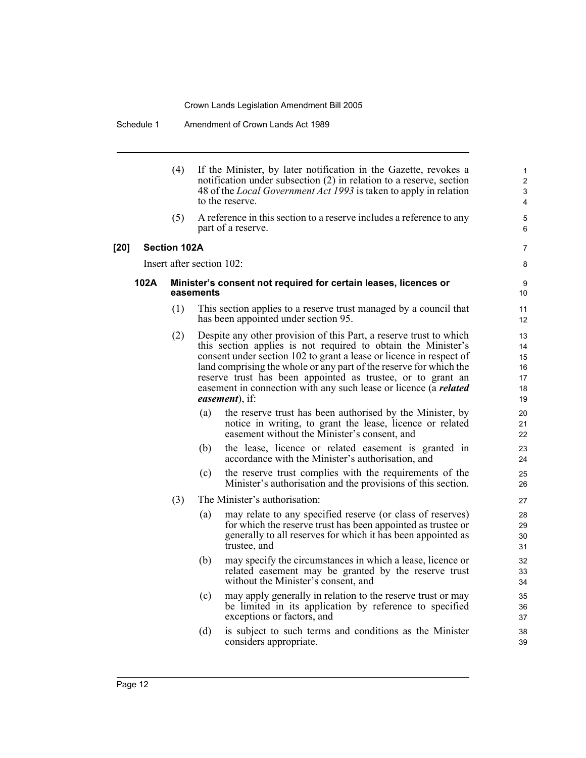Schedule 1 Amendment of Crown Lands Act 1989

(4) If the Minister, by later notification in the Gazette, revokes a notification under subsection (2) in relation to a reserve, section 48 of the *Local Government Act 1993* is taken to apply in relation to the reserve. (5) A reference in this section to a reserve includes a reference to any part of a reserve. **[20] Section 102A** Insert after section 102: **102A Minister's consent not required for certain leases, licences or easements** (1) This section applies to a reserve trust managed by a council that has been appointed under section 95. (2) Despite any other provision of this Part, a reserve trust to which this section applies is not required to obtain the Minister's consent under section 102 to grant a lease or licence in respect of land comprising the whole or any part of the reserve for which the reserve trust has been appointed as trustee, or to grant an easement in connection with any such lease or licence (a *related easement*), if: (a) the reserve trust has been authorised by the Minister, by notice in writing, to grant the lease, licence or related easement without the Minister's consent, and (b) the lease, licence or related easement is granted in accordance with the Minister's authorisation, and (c) the reserve trust complies with the requirements of the Minister's authorisation and the provisions of this section. (3) The Minister's authorisation: (a) may relate to any specified reserve (or class of reserves) for which the reserve trust has been appointed as trustee or generally to all reserves for which it has been appointed as trustee, and (b) may specify the circumstances in which a lease, licence or related easement may be granted by the reserve trust without the Minister's consent, and (c) may apply generally in relation to the reserve trust or may be limited in its application by reference to specified exceptions or factors, and (d) is subject to such terms and conditions as the Minister considers appropriate. 1 2 3 4 5 6 7 8 9 10 11 12 13 14 15 16 17 18 19 20 21 22  $23$ 24 25 26 27 28 29 30 31 32 33 34 35 36 37 38 39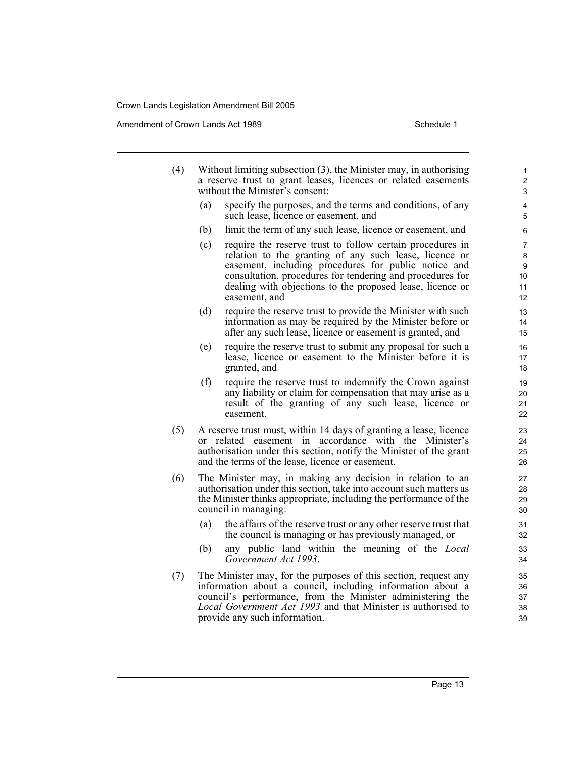Amendment of Crown Lands Act 1989 Schedule 1

(4) Without limiting subsection (3), the Minister may, in authorising a reserve trust to grant leases, licences or related easements without the Minister's consent: (a) specify the purposes, and the terms and conditions, of any such lease, licence or easement, and (b) limit the term of any such lease, licence or easement, and (c) require the reserve trust to follow certain procedures in relation to the granting of any such lease, licence or easement, including procedures for public notice and consultation, procedures for tendering and procedures for dealing with objections to the proposed lease, licence or easement, and (d) require the reserve trust to provide the Minister with such information as may be required by the Minister before or after any such lease, licence or easement is granted, and (e) require the reserve trust to submit any proposal for such a lease, licence or easement to the Minister before it is granted, and (f) require the reserve trust to indemnify the Crown against any liability or claim for compensation that may arise as a result of the granting of any such lease, licence or easement. (5) A reserve trust must, within 14 days of granting a lease, licence or related easement in accordance with the Minister's authorisation under this section, notify the Minister of the grant and the terms of the lease, licence or easement. (6) The Minister may, in making any decision in relation to an authorisation under this section, take into account such matters as the Minister thinks appropriate, including the performance of the council in managing: (a) the affairs of the reserve trust or any other reserve trust that the council is managing or has previously managed, or (b) any public land within the meaning of the *Local Government Act 1993*. (7) The Minister may, for the purposes of this section, request any information about a council, including information about a council's performance, from the Minister administering the *Local Government Act 1993* and that Minister is authorised to provide any such information. 1  $\mathfrak{p}$ 3 4 5 6 7 8 9 10 11 12 13 14 15 16 17 18 19 20 21 22 23 24 25 26 27 28 29 30 31 32 33 34 35 36 37 38 39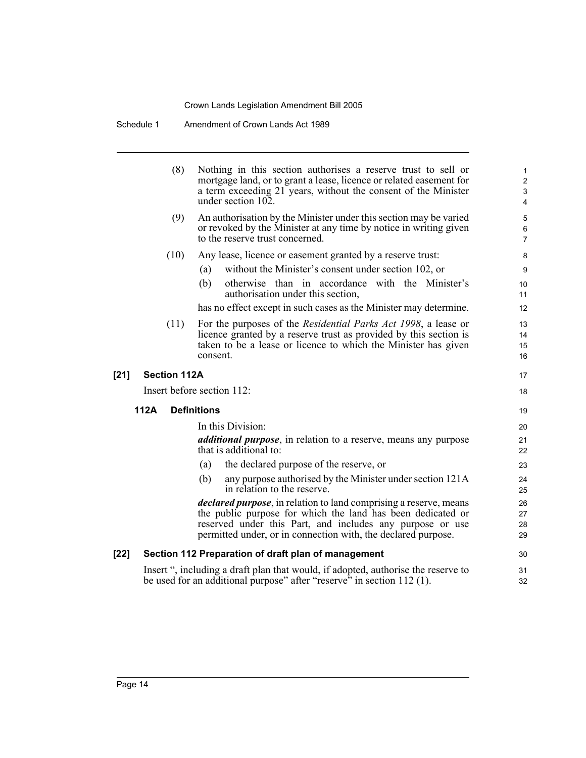Schedule 1 Amendment of Crown Lands Act 1989

|        | (8)                                                                                                                                                           | Nothing in this section authorises a reserve trust to sell or<br>mortgage land, or to grant a lease, licence or related easement for<br>a term exceeding 21 years, without the consent of the Minister<br>under section 102.                                                                   | 1<br>$\overline{2}$<br>$\mathbf{3}$<br>$\overline{4}$ |  |  |  |
|--------|---------------------------------------------------------------------------------------------------------------------------------------------------------------|------------------------------------------------------------------------------------------------------------------------------------------------------------------------------------------------------------------------------------------------------------------------------------------------|-------------------------------------------------------|--|--|--|
|        | (9)                                                                                                                                                           | An authorisation by the Minister under this section may be varied<br>or revoked by the Minister at any time by notice in writing given<br>to the reserve trust concerned.                                                                                                                      | $\mathbf 5$<br>$\,6\,$<br>$\overline{7}$              |  |  |  |
|        | (10)                                                                                                                                                          | Any lease, licence or easement granted by a reserve trust:<br>without the Minister's consent under section 102, or<br>(a)<br>(b)<br>otherwise than in accordance with the Minister's<br>authorisation under this section,<br>has no effect except in such cases as the Minister may determine. | 8<br>9<br>10<br>11<br>12                              |  |  |  |
|        | (11)                                                                                                                                                          | For the purposes of the <i>Residential Parks Act 1998</i> , a lease or<br>licence granted by a reserve trust as provided by this section is<br>taken to be a lease or licence to which the Minister has given<br>consent.                                                                      | 13<br>14<br>15<br>16                                  |  |  |  |
| [21]   | <b>Section 112A</b>                                                                                                                                           |                                                                                                                                                                                                                                                                                                | 17                                                    |  |  |  |
|        |                                                                                                                                                               | Insert before section 112:                                                                                                                                                                                                                                                                     | 18                                                    |  |  |  |
|        | 112A                                                                                                                                                          | <b>Definitions</b>                                                                                                                                                                                                                                                                             | 19                                                    |  |  |  |
|        |                                                                                                                                                               | In this Division:                                                                                                                                                                                                                                                                              | 20                                                    |  |  |  |
|        |                                                                                                                                                               | <i>additional purpose</i> , in relation to a reserve, means any purpose<br>that is additional to:                                                                                                                                                                                              | 21<br>22                                              |  |  |  |
|        |                                                                                                                                                               | the declared purpose of the reserve, or<br>(a)                                                                                                                                                                                                                                                 | 23                                                    |  |  |  |
|        |                                                                                                                                                               | any purpose authorised by the Minister under section 121A<br>(b)<br>in relation to the reserve.                                                                                                                                                                                                | 24<br>25                                              |  |  |  |
|        |                                                                                                                                                               | declared purpose, in relation to land comprising a reserve, means<br>the public purpose for which the land has been dedicated or<br>reserved under this Part, and includes any purpose or use<br>permitted under, or in connection with, the declared purpose.                                 | 26<br>27<br>28<br>29                                  |  |  |  |
| $[22]$ |                                                                                                                                                               | Section 112 Preparation of draft plan of management                                                                                                                                                                                                                                            | 30                                                    |  |  |  |
|        | Insert ", including a draft plan that would, if adopted, authorise the reserve to<br>be used for an additional purpose" after "reserve" in section $112(1)$ . |                                                                                                                                                                                                                                                                                                |                                                       |  |  |  |

**[21]**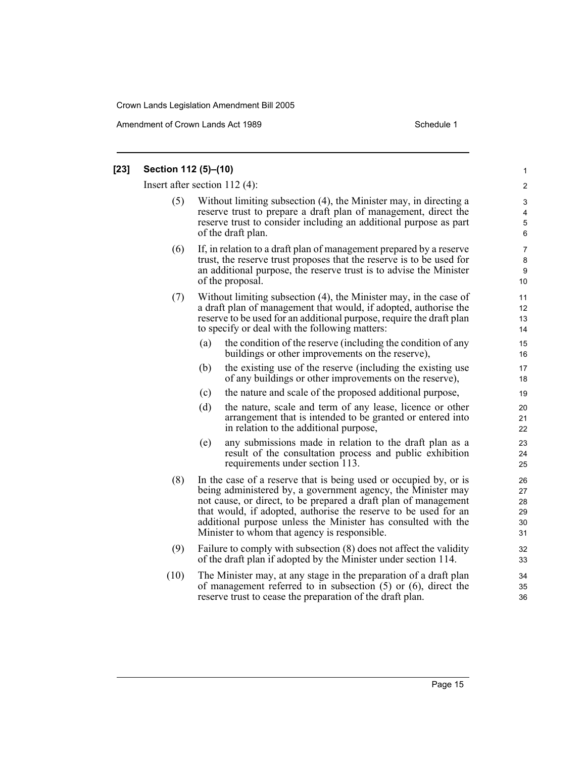Amendment of Crown Lands Act 1989

| Schedule 1 |  |
|------------|--|

| $[23]$ | Section 112 (5)-(10) |                                                                                                                                                                                                                                                                                                                                                                                          | 1                                                  |
|--------|----------------------|------------------------------------------------------------------------------------------------------------------------------------------------------------------------------------------------------------------------------------------------------------------------------------------------------------------------------------------------------------------------------------------|----------------------------------------------------|
|        |                      | Insert after section $112(4)$ :                                                                                                                                                                                                                                                                                                                                                          | $\overline{c}$                                     |
|        | (5)                  | Without limiting subsection (4), the Minister may, in directing a<br>reserve trust to prepare a draft plan of management, direct the<br>reserve trust to consider including an additional purpose as part<br>of the draft plan.                                                                                                                                                          | $\ensuremath{\mathsf{3}}$<br>4<br>$\mathbf 5$<br>6 |
|        | (6)                  | If, in relation to a draft plan of management prepared by a reserve<br>trust, the reserve trust proposes that the reserve is to be used for<br>an additional purpose, the reserve trust is to advise the Minister<br>of the proposal.                                                                                                                                                    | $\overline{7}$<br>8<br>9<br>10                     |
|        | (7)                  | Without limiting subsection (4), the Minister may, in the case of<br>a draft plan of management that would, if adopted, authorise the<br>reserve to be used for an additional purpose, require the draft plan<br>to specify or deal with the following matters:                                                                                                                          | 11<br>12<br>13<br>14                               |
|        |                      | (a)<br>the condition of the reserve (including the condition of any<br>buildings or other improvements on the reserve),                                                                                                                                                                                                                                                                  | 15<br>16                                           |
|        |                      | the existing use of the reserve (including the existing use<br>(b)<br>of any buildings or other improvements on the reserve),                                                                                                                                                                                                                                                            | 17<br>18                                           |
|        |                      | the nature and scale of the proposed additional purpose,<br>(c)                                                                                                                                                                                                                                                                                                                          | 19                                                 |
|        |                      | (d)<br>the nature, scale and term of any lease, licence or other<br>arrangement that is intended to be granted or entered into<br>in relation to the additional purpose,                                                                                                                                                                                                                 | 20<br>21<br>22                                     |
|        |                      | any submissions made in relation to the draft plan as a<br>(e)<br>result of the consultation process and public exhibition<br>requirements under section 113.                                                                                                                                                                                                                            | 23<br>24<br>25                                     |
|        | (8)                  | In the case of a reserve that is being used or occupied by, or is<br>being administered by, a government agency, the Minister may<br>not cause, or direct, to be prepared a draft plan of management<br>that would, if adopted, authorise the reserve to be used for an<br>additional purpose unless the Minister has consulted with the<br>Minister to whom that agency is responsible. | 26<br>27<br>28<br>29<br>30<br>31                   |
|        | (9)                  | Failure to comply with subsection (8) does not affect the validity<br>of the draft plan if adopted by the Minister under section 114.                                                                                                                                                                                                                                                    | 32<br>33                                           |
|        | (10)                 | The Minister may, at any stage in the preparation of a draft plan<br>of management referred to in subsection $(5)$ or $(6)$ , direct the<br>reserve trust to cease the preparation of the draft plan.                                                                                                                                                                                    | 34<br>35<br>36                                     |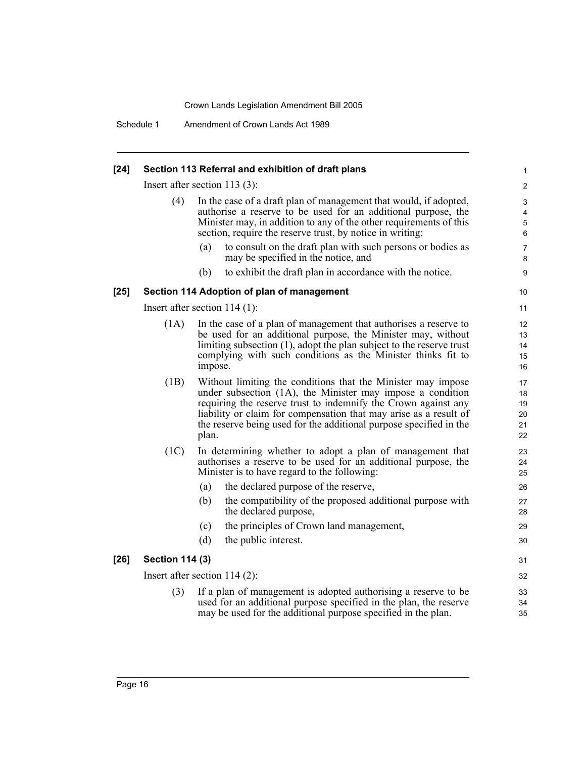Schedule 1 Amendment of Crown Lands Act 1989

| $[24]$ |                        | Section 113 Referral and exhibition of draft plans                                                                                                                                                                                                                                                                                                                                                        | 1                                            |
|--------|------------------------|-----------------------------------------------------------------------------------------------------------------------------------------------------------------------------------------------------------------------------------------------------------------------------------------------------------------------------------------------------------------------------------------------------------|----------------------------------------------|
|        |                        | Insert after section 113 $(3)$ :                                                                                                                                                                                                                                                                                                                                                                          | $\overline{\mathbf{c}}$                      |
|        | (4)                    | In the case of a draft plan of management that would, if adopted,<br>authorise a reserve to be used for an additional purpose, the<br>Minister may, in addition to any of the other requirements of this<br>section, require the reserve trust, by notice in writing:                                                                                                                                     | 3<br>4<br>5<br>6                             |
|        |                        | to consult on the draft plan with such persons or bodies as<br>(a)<br>may be specified in the notice, and                                                                                                                                                                                                                                                                                                 | 7<br>8                                       |
|        |                        | to exhibit the draft plan in accordance with the notice.<br>(b)                                                                                                                                                                                                                                                                                                                                           | 9                                            |
| $[25]$ |                        | Section 114 Adoption of plan of management                                                                                                                                                                                                                                                                                                                                                                | 10                                           |
|        |                        | Insert after section $114(1)$ :                                                                                                                                                                                                                                                                                                                                                                           | 11                                           |
|        | (1A)                   | In the case of a plan of management that authorises a reserve to<br>be used for an additional purpose, the Minister may, without<br>limiting subsection $(1)$ , adopt the plan subject to the reserve trust<br>complying with such conditions as the Minister thinks fit to<br>impose.                                                                                                                    | 12<br>13<br>14<br>15<br>16                   |
|        | (1B)                   | Without limiting the conditions that the Minister may impose<br>under subsection (1A), the Minister may impose a condition<br>requiring the reserve trust to indemnify the Crown against any<br>liability or claim for compensation that may arise as a result of<br>the reserve being used for the additional purpose specified in the<br>plan.                                                          | 17<br>18<br>19<br>20<br>21<br>22             |
|        | (1C)                   | In determining whether to adopt a plan of management that<br>authorises a reserve to be used for an additional purpose, the<br>Minister is to have regard to the following:<br>the declared purpose of the reserve,<br>(a)<br>(b)<br>the compatibility of the proposed additional purpose with<br>the declared purpose,<br>the principles of Crown land management,<br>(c)<br>(d)<br>the public interest. | 23<br>24<br>25<br>26<br>27<br>28<br>29<br>30 |
| $[26]$ | <b>Section 114 (3)</b> |                                                                                                                                                                                                                                                                                                                                                                                                           | 31                                           |
|        |                        | Insert after section $114(2)$ :                                                                                                                                                                                                                                                                                                                                                                           | 32                                           |
|        | (3)                    | If a plan of management is adopted authorising a reserve to be<br>used for an additional purpose specified in the plan, the reserve<br>may be used for the additional purpose specified in the plan.                                                                                                                                                                                                      | 33<br>34<br>35                               |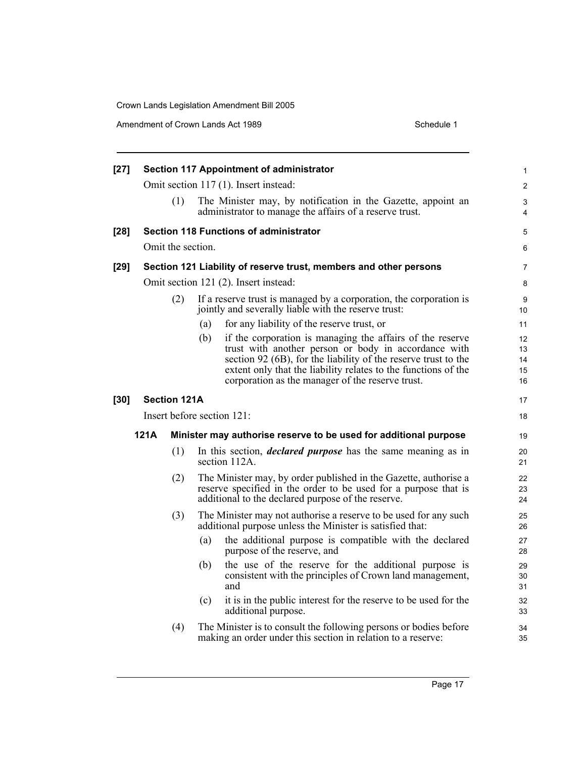Amendment of Crown Lands Act 1989 Schedule 1

| $[27]$ |      |                     |     | Section 117 Appointment of administrator                                                                                                                                                                                                                                                                  | 1                          |
|--------|------|---------------------|-----|-----------------------------------------------------------------------------------------------------------------------------------------------------------------------------------------------------------------------------------------------------------------------------------------------------------|----------------------------|
|        |      |                     |     | Omit section 117 (1). Insert instead:                                                                                                                                                                                                                                                                     | $\overline{c}$             |
|        |      | (1)                 |     | The Minister may, by notification in the Gazette, appoint an<br>administrator to manage the affairs of a reserve trust.                                                                                                                                                                                   | 3<br>4                     |
| $[28]$ |      |                     |     | <b>Section 118 Functions of administrator</b>                                                                                                                                                                                                                                                             | 5                          |
|        |      | Omit the section.   |     |                                                                                                                                                                                                                                                                                                           | 6                          |
| $[29]$ |      |                     |     | Section 121 Liability of reserve trust, members and other persons                                                                                                                                                                                                                                         | 7                          |
|        |      |                     |     | Omit section 121 (2). Insert instead:                                                                                                                                                                                                                                                                     | 8                          |
|        |      | (2)                 |     | If a reserve trust is managed by a corporation, the corporation is<br>jointly and severally liable with the reserve trust:                                                                                                                                                                                | 9<br>10                    |
|        |      |                     | (a) | for any liability of the reserve trust, or                                                                                                                                                                                                                                                                | 11                         |
|        |      |                     | (b) | if the corporation is managing the affairs of the reserve<br>trust with another person or body in accordance with<br>section 92 (6B), for the liability of the reserve trust to the<br>extent only that the liability relates to the functions of the<br>corporation as the manager of the reserve trust. | 12<br>13<br>14<br>15<br>16 |
| $[30]$ |      | <b>Section 121A</b> |     |                                                                                                                                                                                                                                                                                                           | 17                         |
|        |      |                     |     | Insert before section 121:                                                                                                                                                                                                                                                                                | 18                         |
|        | 121A |                     |     | Minister may authorise reserve to be used for additional purpose                                                                                                                                                                                                                                          | 19                         |
|        |      | (1)                 |     | In this section, <i>declared purpose</i> has the same meaning as in<br>section 112A.                                                                                                                                                                                                                      | 20<br>21                   |
|        |      | (2)                 |     | The Minister may, by order published in the Gazette, authorise a<br>reserve specified in the order to be used for a purpose that is<br>additional to the declared purpose of the reserve.                                                                                                                 | 22<br>23<br>24             |
|        |      | (3)                 |     | The Minister may not authorise a reserve to be used for any such<br>additional purpose unless the Minister is satisfied that:                                                                                                                                                                             | 25<br>26                   |
|        |      |                     | (a) | the additional purpose is compatible with the declared<br>purpose of the reserve, and                                                                                                                                                                                                                     | 27<br>28                   |
|        |      |                     | (b) | the use of the reserve for the additional purpose is<br>consistent with the principles of Crown land management,<br>and                                                                                                                                                                                   | 29<br>30<br>31             |
|        |      |                     | (c) | it is in the public interest for the reserve to be used for the<br>additional purpose.                                                                                                                                                                                                                    | 32<br>33                   |
|        |      | (4)                 |     | The Minister is to consult the following persons or bodies before<br>making an order under this section in relation to a reserve:                                                                                                                                                                         | 34<br>35                   |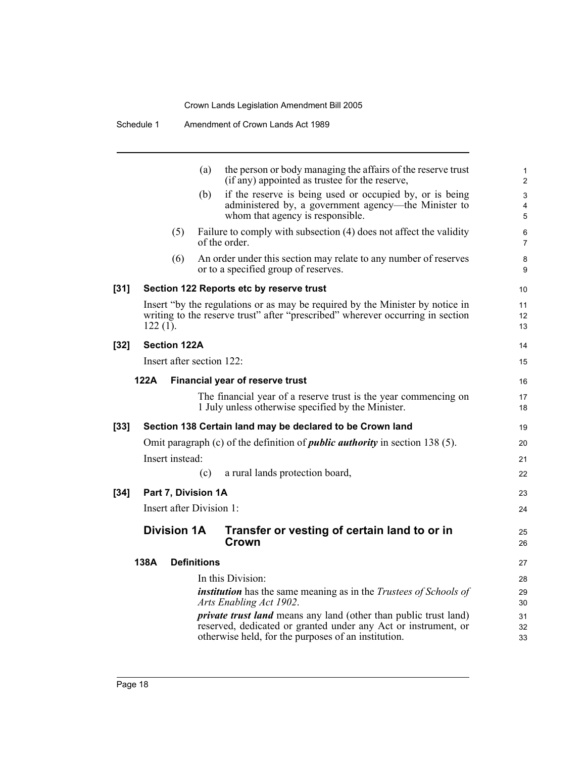Schedule 1 Amendment of Crown Lands Act 1989

|        |                           | (a)                | the person or body managing the affairs of the reserve trust<br>(if any) appointed as trustee for the reserve,                                                                                                                                                                                                                      | $\mathbf{1}$<br>$\overline{2}$   |
|--------|---------------------------|--------------------|-------------------------------------------------------------------------------------------------------------------------------------------------------------------------------------------------------------------------------------------------------------------------------------------------------------------------------------|----------------------------------|
|        |                           | (b)                | if the reserve is being used or occupied by, or is being<br>administered by, a government agency—the Minister to<br>whom that agency is responsible.                                                                                                                                                                                | 3<br>4<br>5                      |
|        | (5)                       |                    | Failure to comply with subsection (4) does not affect the validity<br>of the order.                                                                                                                                                                                                                                                 | 6<br>$\overline{7}$              |
|        | (6)                       |                    | An order under this section may relate to any number of reserves<br>or to a specified group of reserves.                                                                                                                                                                                                                            | 8<br>9                           |
| [31]   |                           |                    | Section 122 Reports etc by reserve trust                                                                                                                                                                                                                                                                                            | 10                               |
|        | $122(1)$ .                |                    | Insert "by the regulations or as may be required by the Minister by notice in<br>writing to the reserve trust" after "prescribed" wherever occurring in section                                                                                                                                                                     | 11<br>12<br>13                   |
| [32]   | <b>Section 122A</b>       |                    |                                                                                                                                                                                                                                                                                                                                     | 14                               |
|        | Insert after section 122: |                    |                                                                                                                                                                                                                                                                                                                                     | 15                               |
|        | 122A                      |                    | Financial year of reserve trust                                                                                                                                                                                                                                                                                                     | 16                               |
|        |                           |                    | The financial year of a reserve trust is the year commencing on<br>1 July unless otherwise specified by the Minister.                                                                                                                                                                                                               | 17<br>18                         |
| [33]   |                           |                    | Section 138 Certain land may be declared to be Crown land                                                                                                                                                                                                                                                                           | 19                               |
|        |                           |                    | Omit paragraph (c) of the definition of <i>public authority</i> in section 138 (5).                                                                                                                                                                                                                                                 | 20                               |
|        | Insert instead:           |                    |                                                                                                                                                                                                                                                                                                                                     | 21                               |
|        |                           | (c)                | a rural lands protection board,                                                                                                                                                                                                                                                                                                     | 22                               |
| $[34]$ | Part 7, Division 1A       |                    |                                                                                                                                                                                                                                                                                                                                     | 23                               |
|        | Insert after Division 1:  |                    |                                                                                                                                                                                                                                                                                                                                     | 24                               |
|        | <b>Division 1A</b>        |                    | Transfer or vesting of certain land to or in<br>Crown                                                                                                                                                                                                                                                                               | 25<br>26                         |
|        | 138A                      | <b>Definitions</b> |                                                                                                                                                                                                                                                                                                                                     | 27                               |
|        |                           |                    | In this Division:<br><i>institution</i> has the same meaning as in the <i>Trustees of Schools of</i><br>Arts Enabling Act 1902.<br><i>private trust land</i> means any land (other than public trust land)<br>reserved, dedicated or granted under any Act or instrument, or<br>otherwise held, for the purposes of an institution. | 28<br>29<br>30<br>31<br>32<br>33 |
|        |                           |                    |                                                                                                                                                                                                                                                                                                                                     |                                  |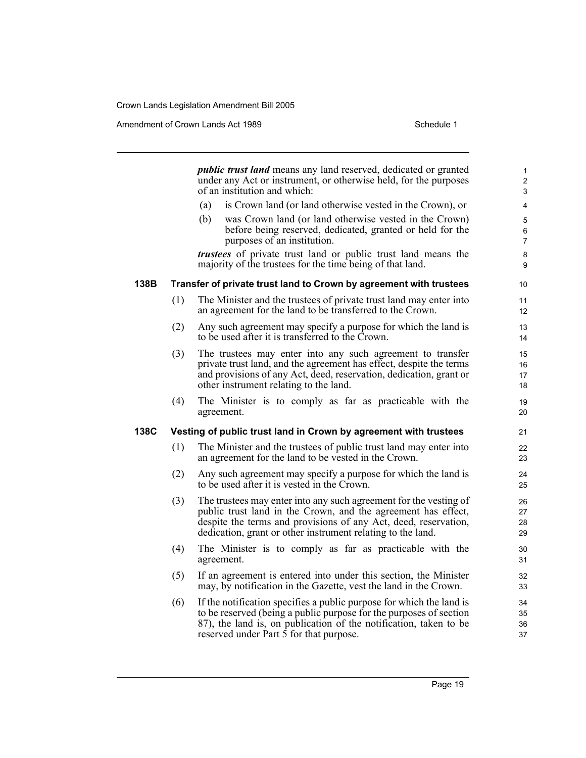Amendment of Crown Lands Act 1989 Schedule 1

|      |     | <i>public trust land</i> means any land reserved, dedicated or granted<br>under any Act or instrument, or otherwise held, for the purposes<br>of an institution and which:                                                                                           | 1<br>$\overline{c}$<br>3 |
|------|-----|----------------------------------------------------------------------------------------------------------------------------------------------------------------------------------------------------------------------------------------------------------------------|--------------------------|
|      |     | is Crown land (or land otherwise vested in the Crown), or<br>(a)                                                                                                                                                                                                     | 4                        |
|      |     | (b)<br>was Crown land (or land otherwise vested in the Crown)<br>before being reserved, dedicated, granted or held for the<br>purposes of an institution.                                                                                                            | 5<br>6<br>7              |
|      |     | <i>trustees</i> of private trust land or public trust land means the<br>majority of the trustees for the time being of that land.                                                                                                                                    | 8<br>9                   |
| 138B |     | Transfer of private trust land to Crown by agreement with trustees                                                                                                                                                                                                   | 10                       |
|      | (1) | The Minister and the trustees of private trust land may enter into<br>an agreement for the land to be transferred to the Crown.                                                                                                                                      | 11<br>12                 |
|      | (2) | Any such agreement may specify a purpose for which the land is<br>to be used after it is transferred to the Crown.                                                                                                                                                   | 13<br>14                 |
|      | (3) | The trustees may enter into any such agreement to transfer<br>private trust land, and the agreement has effect, despite the terms<br>and provisions of any Act, deed, reservation, dedication, grant or<br>other instrument relating to the land.                    | 15<br>16<br>17<br>18     |
|      | (4) | The Minister is to comply as far as practicable with the<br>agreement.                                                                                                                                                                                               | 19<br>20                 |
| 138C |     | Vesting of public trust land in Crown by agreement with trustees                                                                                                                                                                                                     | 21                       |
|      | (1) | The Minister and the trustees of public trust land may enter into<br>an agreement for the land to be vested in the Crown.                                                                                                                                            | 22<br>23                 |
|      | (2) | Any such agreement may specify a purpose for which the land is<br>to be used after it is vested in the Crown.                                                                                                                                                        | 24<br>25                 |
|      | (3) | The trustees may enter into any such agreement for the vesting of<br>public trust land in the Crown, and the agreement has effect,<br>despite the terms and provisions of any Act, deed, reservation,<br>dedication, grant or other instrument relating to the land. | 26<br>27<br>28<br>29     |
|      | (4) | The Minister is to comply as far as practicable with the<br>agreement.                                                                                                                                                                                               | 30<br>31                 |
|      | (5) | If an agreement is entered into under this section, the Minister<br>may, by notification in the Gazette, vest the land in the Crown.                                                                                                                                 | 32<br>33                 |
|      | (6) | If the notification specifies a public purpose for which the land is<br>to be reserved (being a public purpose for the purposes of section<br>87), the land is, on publication of the notification, taken to be<br>reserved under Part 5 for that purpose.           | 34<br>35<br>36<br>37     |
|      |     |                                                                                                                                                                                                                                                                      |                          |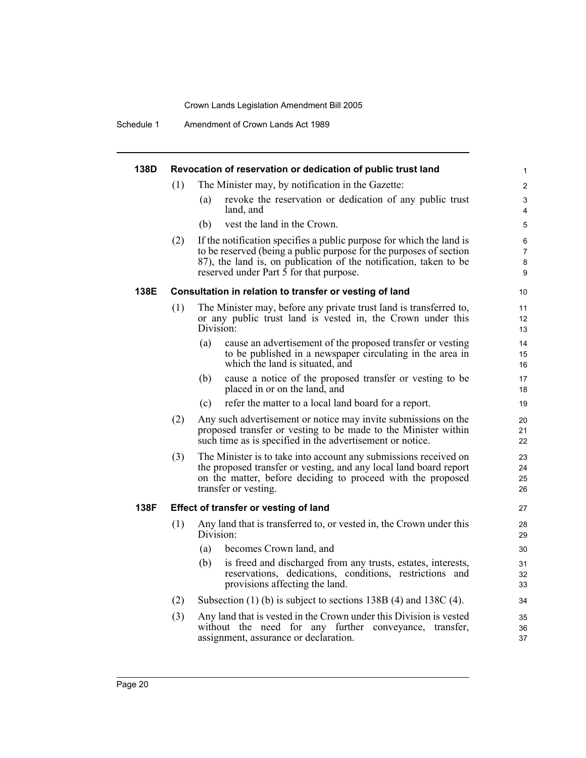Schedule 1 Amendment of Crown Lands Act 1989

| 138D |     | Revocation of reservation or dedication of public trust land                                                                                                                                                                                               | $\mathbf{1}$         |
|------|-----|------------------------------------------------------------------------------------------------------------------------------------------------------------------------------------------------------------------------------------------------------------|----------------------|
|      | (1) | The Minister may, by notification in the Gazette:                                                                                                                                                                                                          | 2                    |
|      |     | revoke the reservation or dedication of any public trust<br>(a)<br>land, and                                                                                                                                                                               | 3<br>$\overline{4}$  |
|      |     | vest the land in the Crown.<br>(b)                                                                                                                                                                                                                         | 5                    |
|      | (2) | If the notification specifies a public purpose for which the land is<br>to be reserved (being a public purpose for the purposes of section<br>87), the land is, on publication of the notification, taken to be<br>reserved under Part 5 for that purpose. | 6<br>7<br>8<br>9     |
| 138E |     | Consultation in relation to transfer or vesting of land                                                                                                                                                                                                    | 10                   |
|      | (1) | The Minister may, before any private trust land is transferred to,<br>or any public trust land is vested in, the Crown under this<br>Division:                                                                                                             | 11<br>12<br>13       |
|      |     | (a)<br>cause an advertisement of the proposed transfer or vesting<br>to be published in a newspaper circulating in the area in<br>which the land is situated, and                                                                                          | 14<br>15<br>16       |
|      |     | (b)<br>cause a notice of the proposed transfer or vesting to be<br>placed in or on the land, and                                                                                                                                                           | 17<br>18             |
|      |     | refer the matter to a local land board for a report.<br>(c)                                                                                                                                                                                                | 19                   |
|      | (2) | Any such advertisement or notice may invite submissions on the<br>proposed transfer or vesting to be made to the Minister within<br>such time as is specified in the advertisement or notice.                                                              | 20<br>21<br>22       |
|      | (3) | The Minister is to take into account any submissions received on<br>the proposed transfer or vesting, and any local land board report<br>on the matter, before deciding to proceed with the proposed<br>transfer or vesting.                               | 23<br>24<br>25<br>26 |
| 138F |     | Effect of transfer or vesting of land                                                                                                                                                                                                                      | 27                   |
|      | (1) | Any land that is transferred to, or vested in, the Crown under this<br>Division:                                                                                                                                                                           | 28<br>29             |
|      |     | becomes Crown land, and<br>(a)                                                                                                                                                                                                                             | 30                   |
|      |     | is freed and discharged from any trusts, estates, interests,<br>(b)<br>reservations, dedications, conditions, restrictions and<br>provisions affecting the land.                                                                                           | 31<br>32<br>33       |
|      | (2) | Subsection $(1)$ (b) is subject to sections 138B (4) and 138C (4).                                                                                                                                                                                         | 34                   |
|      | (3) | Any land that is vested in the Crown under this Division is vested<br>without the need for any further conveyance, transfer,<br>assignment, assurance or declaration.                                                                                      | 35<br>36<br>37       |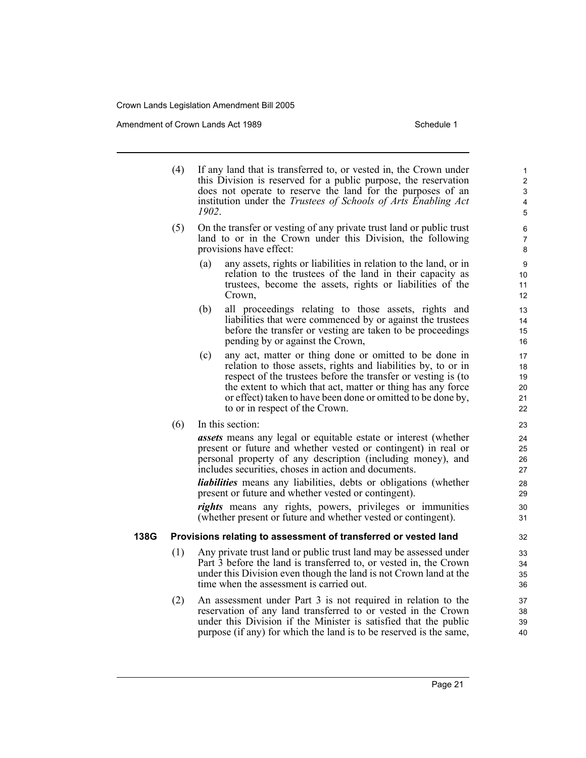Amendment of Crown Lands Act 1989 Schedule 1

- (4) If any land that is transferred to, or vested in, the Crown under this Division is reserved for a public purpose, the reservation does not operate to reserve the land for the purposes of an institution under the *Trustees of Schools of Arts Enabling Act 1902*.
- (5) On the transfer or vesting of any private trust land or public trust land to or in the Crown under this Division, the following provisions have effect:
	- (a) any assets, rights or liabilities in relation to the land, or in relation to the trustees of the land in their capacity as trustees, become the assets, rights or liabilities of the Crown,
	- (b) all proceedings relating to those assets, rights and liabilities that were commenced by or against the trustees before the transfer or vesting are taken to be proceedings pending by or against the Crown,
	- (c) any act, matter or thing done or omitted to be done in relation to those assets, rights and liabilities by, to or in respect of the trustees before the transfer or vesting is (to the extent to which that act, matter or thing has any force or effect) taken to have been done or omitted to be done by, to or in respect of the Crown.
- (6) In this section:

*assets* means any legal or equitable estate or interest (whether present or future and whether vested or contingent) in real or personal property of any description (including money), and includes securities, choses in action and documents.

*liabilities* means any liabilities, debts or obligations (whether present or future and whether vested or contingent).

*rights* means any rights, powers, privileges or immunities (whether present or future and whether vested or contingent).

#### **138G Provisions relating to assessment of transferred or vested land**

- (1) Any private trust land or public trust land may be assessed under Part 3 before the land is transferred to, or vested in, the Crown under this Division even though the land is not Crown land at the time when the assessment is carried out.
- (2) An assessment under Part 3 is not required in relation to the reservation of any land transferred to or vested in the Crown under this Division if the Minister is satisfied that the public purpose (if any) for which the land is to be reserved is the same,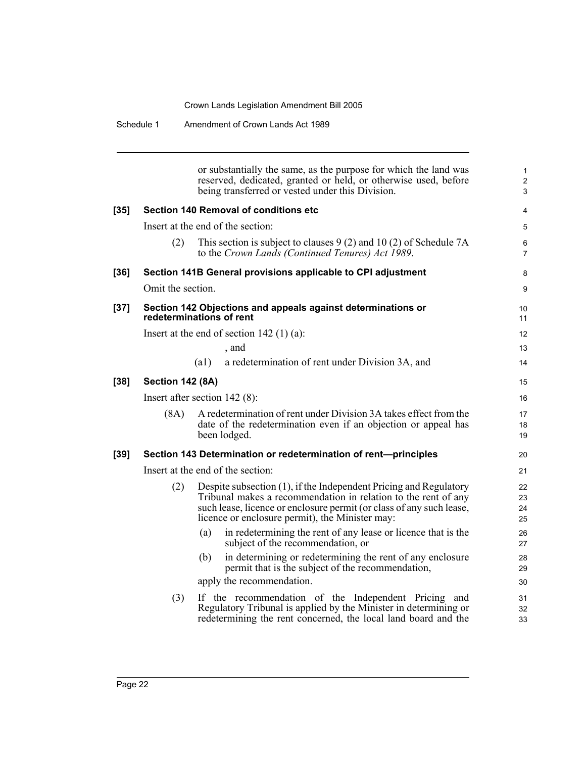Schedule 1 Amendment of Crown Lands Act 1989

|        |                         | or substantially the same, as the purpose for which the land was<br>reserved, dedicated, granted or held, or otherwise used, before<br>being transferred or vested under this Division.                                                                        | $\mathbf{1}$<br>$\overline{c}$<br>3 |
|--------|-------------------------|----------------------------------------------------------------------------------------------------------------------------------------------------------------------------------------------------------------------------------------------------------------|-------------------------------------|
| $[35]$ |                         | Section 140 Removal of conditions etc                                                                                                                                                                                                                          | 4                                   |
|        |                         | Insert at the end of the section:                                                                                                                                                                                                                              | 5                                   |
|        | (2)                     | This section is subject to clauses $9(2)$ and $10(2)$ of Schedule 7A<br>to the Crown Lands (Continued Tenures) Act 1989.                                                                                                                                       | 6<br>$\overline{7}$                 |
| $[36]$ |                         | Section 141B General provisions applicable to CPI adjustment                                                                                                                                                                                                   | 8                                   |
|        | Omit the section.       |                                                                                                                                                                                                                                                                | 9                                   |
| $[37]$ |                         | Section 142 Objections and appeals against determinations or<br>redeterminations of rent                                                                                                                                                                       | 10<br>11                            |
|        |                         | Insert at the end of section $142(1)(a)$ :                                                                                                                                                                                                                     | 12                                  |
|        |                         | , and                                                                                                                                                                                                                                                          | 13                                  |
|        |                         | a redetermination of rent under Division 3A, and<br>$\left( a1\right)$                                                                                                                                                                                         | 14                                  |
| $[38]$ | <b>Section 142 (8A)</b> |                                                                                                                                                                                                                                                                | 15                                  |
|        |                         | Insert after section $142(8)$ :                                                                                                                                                                                                                                | 16                                  |
|        | (8A)                    | A redetermination of rent under Division 3A takes effect from the<br>date of the redetermination even if an objection or appeal has<br>been lodged.                                                                                                            | 17<br>18<br>19                      |
| $[39]$ |                         | Section 143 Determination or redetermination of rent-principles                                                                                                                                                                                                | 20                                  |
|        |                         | Insert at the end of the section:                                                                                                                                                                                                                              | 21                                  |
|        | (2)                     | Despite subsection (1), if the Independent Pricing and Regulatory<br>Tribunal makes a recommendation in relation to the rent of any<br>such lease, licence or enclosure permit (or class of any such lease,<br>licence or enclosure permit), the Minister may: | 22<br>23<br>24<br>25                |
|        |                         | in redetermining the rent of any lease or licence that is the<br>(a)<br>subject of the recommendation, or                                                                                                                                                      | 26<br>27                            |
|        |                         | in determining or redetermining the rent of any enclosure<br>(b)<br>permit that is the subject of the recommendation,                                                                                                                                          | 28<br>29                            |
|        |                         | apply the recommendation.                                                                                                                                                                                                                                      | 30                                  |
|        | (3)                     | If the recommendation of the Independent Pricing and<br>Regulatory Tribunal is applied by the Minister in determining or<br>redetermining the rent concerned, the local land board and the                                                                     | 31<br>32<br>33                      |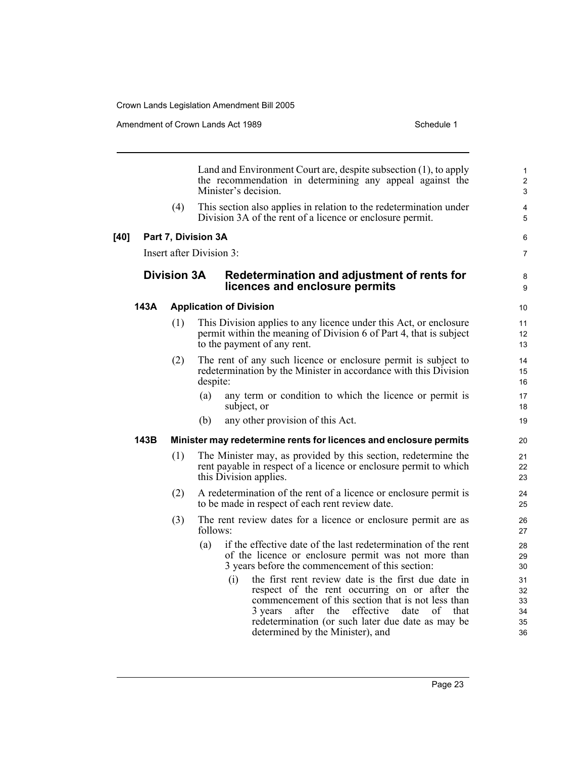Amendment of Crown Lands Act 1989 Schedule 1

Land and Environment Court are, despite subsection (1), to apply the recommendation in determining any appeal against the Minister's decision. (4) This section also applies in relation to the redetermination under Division 3A of the rent of a licence or enclosure permit. **[40] Part 7, Division 3A** Insert after Division 3: **Division 3A Redetermination and adjustment of rents for licences and enclosure permits 143A Application of Division** (1) This Division applies to any licence under this Act, or enclosure permit within the meaning of Division 6 of Part 4, that is subject to the payment of any rent. (2) The rent of any such licence or enclosure permit is subject to redetermination by the Minister in accordance with this Division despite: (a) any term or condition to which the licence or permit is subject, or (b) any other provision of this Act. **143B Minister may redetermine rents for licences and enclosure permits** (1) The Minister may, as provided by this section, redetermine the rent payable in respect of a licence or enclosure permit to which this Division applies. (2) A redetermination of the rent of a licence or enclosure permit is to be made in respect of each rent review date. (3) The rent review dates for a licence or enclosure permit are as follows: (a) if the effective date of the last redetermination of the rent of the licence or enclosure permit was not more than 3 years before the commencement of this section: (i) the first rent review date is the first due date in respect of the rent occurring on or after the commencement of this section that is not less than 3 years after the effective date of that redetermination (or such later due date as may be determined by the Minister), and 1  $\mathfrak{p}$ 3 4 5 6 7 8 9 10 11 12 13 14 15 16 17 18 19 20 21 22 23  $24$ 25 26 27 28 29 30 31 32 33 34 35 36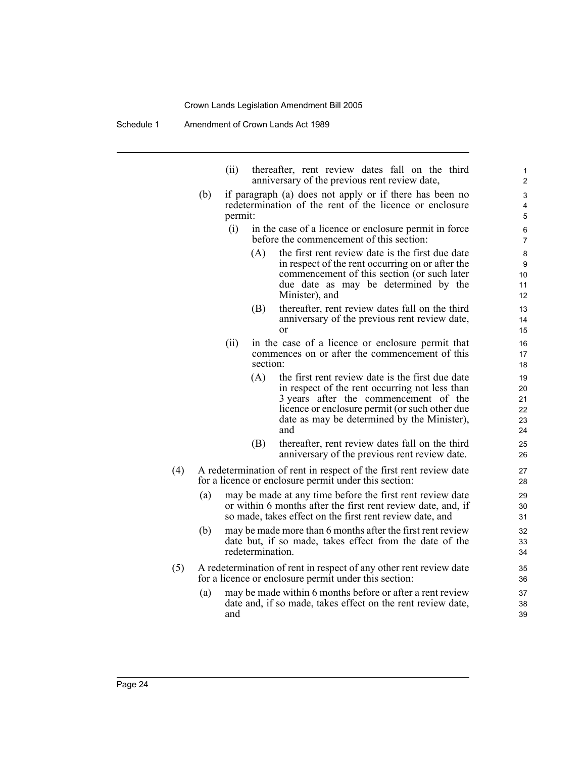(ii) thereafter, rent review dates fall on the third anniversary of the previous rent review date,

- (b) if paragraph (a) does not apply or if there has been no redetermination of the rent of the licence or enclosure permit:
	- (i) in the case of a licence or enclosure permit in force before the commencement of this section:
		- (A) the first rent review date is the first due date in respect of the rent occurring on or after the commencement of this section (or such later due date as may be determined by the Minister), and
		- (B) thereafter, rent review dates fall on the third anniversary of the previous rent review date, or
	- (ii) in the case of a licence or enclosure permit that commences on or after the commencement of this section:
		- (A) the first rent review date is the first due date in respect of the rent occurring not less than 3 years after the commencement of the licence or enclosure permit (or such other due date as may be determined by the Minister), and
		- (B) thereafter, rent review dates fall on the third anniversary of the previous rent review date.
- (4) A redetermination of rent in respect of the first rent review date for a licence or enclosure permit under this section:
	- (a) may be made at any time before the first rent review date or within 6 months after the first rent review date, and, if so made, takes effect on the first rent review date, and
	- (b) may be made more than 6 months after the first rent review date but, if so made, takes effect from the date of the redetermination.
- (5) A redetermination of rent in respect of any other rent review date for a licence or enclosure permit under this section:
	- (a) may be made within 6 months before or after a rent review date and, if so made, takes effect on the rent review date, and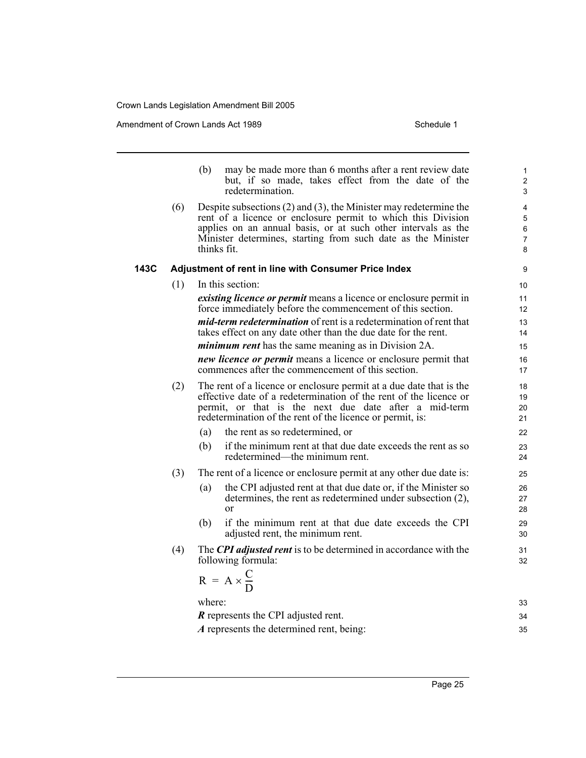Amendment of Crown Lands Act 1989 Schedule 1

|      |     | may be made more than 6 months after a rent review date<br>(b)<br>but, if so made, takes effect from the date of the<br>redetermination.                                                                                                                                               | 1<br>$\overline{2}$<br>3                              |
|------|-----|----------------------------------------------------------------------------------------------------------------------------------------------------------------------------------------------------------------------------------------------------------------------------------------|-------------------------------------------------------|
|      | (6) | Despite subsections $(2)$ and $(3)$ , the Minister may redetermine the<br>rent of a licence or enclosure permit to which this Division<br>applies on an annual basis, or at such other intervals as the<br>Minister determines, starting from such date as the Minister<br>thinks fit. | 4<br>$\overline{5}$<br>$\,6\,$<br>$\overline{7}$<br>8 |
| 143C |     | Adjustment of rent in line with Consumer Price Index                                                                                                                                                                                                                                   | 9                                                     |
|      | (1) | In this section:                                                                                                                                                                                                                                                                       | 10 <sup>°</sup>                                       |
|      |     | <i>existing licence or permit</i> means a licence or enclosure permit in<br>force immediately before the commencement of this section.                                                                                                                                                 | 11<br>12 <sup>2</sup>                                 |
|      |     | mid-term redetermination of rent is a redetermination of rent that<br>takes effect on any date other than the due date for the rent.                                                                                                                                                   | 13<br>14                                              |
|      |     | <i>minimum rent</i> has the same meaning as in Division 2A.                                                                                                                                                                                                                            | 15                                                    |
|      |     | new licence or permit means a licence or enclosure permit that<br>commences after the commencement of this section.                                                                                                                                                                    | 16<br>17                                              |
|      | (2) | The rent of a licence or enclosure permit at a due date that is the<br>effective date of a redetermination of the rent of the licence or<br>permit, or that is the next due date after a mid-term<br>redetermination of the rent of the licence or permit, is:                         | 18<br>19<br>20<br>21                                  |
|      |     | the rent as so redetermined, or<br>(a)                                                                                                                                                                                                                                                 | 22                                                    |
|      |     | if the minimum rent at that due date exceeds the rent as so<br>(b)<br>redetermined—the minimum rent.                                                                                                                                                                                   | 23<br>24                                              |
|      | (3) | The rent of a licence or enclosure permit at any other due date is:                                                                                                                                                                                                                    | 25                                                    |
|      |     | the CPI adjusted rent at that due date or, if the Minister so<br>(a)<br>determines, the rent as redetermined under subsection (2),<br>$\alpha$                                                                                                                                         | 26<br>27<br>28                                        |
|      |     | if the minimum rent at that due date exceeds the CPI<br>(b)<br>adjusted rent, the minimum rent.                                                                                                                                                                                        | 29<br>30                                              |
|      | (4) | The <b>CPI</b> adjusted rent is to be determined in accordance with the<br>following formula:                                                                                                                                                                                          | 31<br>32                                              |
|      |     | $R = A \times \frac{C}{D}$                                                                                                                                                                                                                                                             |                                                       |
|      |     | where:                                                                                                                                                                                                                                                                                 | 33                                                    |
|      |     | <b>R</b> represents the CPI adjusted rent.                                                                                                                                                                                                                                             | 34                                                    |

*A* represents the determined rent, being: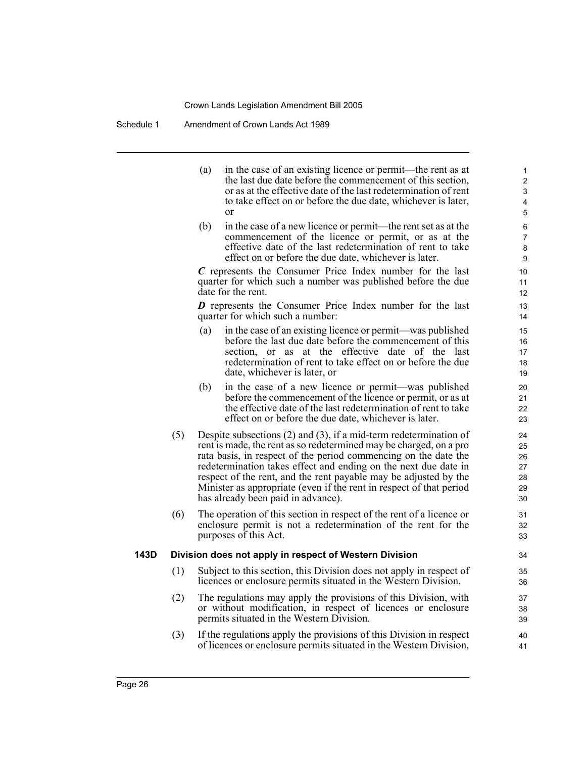Schedule 1 Amendment of Crown Lands Act 1989

(a) in the case of an existing licence or permit—the rent as at the last due date before the commencement of this section, or as at the effective date of the last redetermination of rent to take effect on or before the due date, whichever is later, or

(b) in the case of a new licence or permit—the rent set as at the commencement of the licence or permit, or as at the effective date of the last redetermination of rent to take effect on or before the due date, whichever is later.

*C* represents the Consumer Price Index number for the last quarter for which such a number was published before the due date for the rent.

*D* represents the Consumer Price Index number for the last quarter for which such a number:

- (a) in the case of an existing licence or permit—was published before the last due date before the commencement of this section, or as at the effective date of the last redetermination of rent to take effect on or before the due date, whichever is later, or
- (b) in the case of a new licence or permit—was published before the commencement of the licence or permit, or as at the effective date of the last redetermination of rent to take effect on or before the due date, whichever is later.
- (5) Despite subsections (2) and (3), if a mid-term redetermination of rent is made, the rent as so redetermined may be charged, on a pro rata basis, in respect of the period commencing on the date the redetermination takes effect and ending on the next due date in respect of the rent, and the rent payable may be adjusted by the Minister as appropriate (even if the rent in respect of that period has already been paid in advance).
- (6) The operation of this section in respect of the rent of a licence or enclosure permit is not a redetermination of the rent for the purposes of this Act.

#### **143D Division does not apply in respect of Western Division**

- (1) Subject to this section, this Division does not apply in respect of licences or enclosure permits situated in the Western Division.
- (2) The regulations may apply the provisions of this Division, with or without modification, in respect of licences or enclosure permits situated in the Western Division.
- (3) If the regulations apply the provisions of this Division in respect of licences or enclosure permits situated in the Western Division,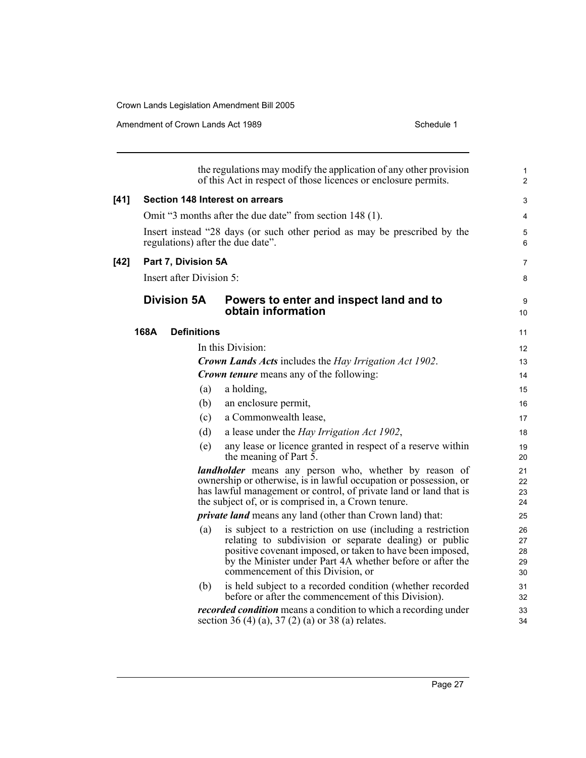|      |      |                                 | the regulations may modify the application of any other provision<br>of this Act in respect of those licences or enclosure permits.                                                                                                                                                  | 1<br>$\overline{2}$        |
|------|------|---------------------------------|--------------------------------------------------------------------------------------------------------------------------------------------------------------------------------------------------------------------------------------------------------------------------------------|----------------------------|
| [41] |      |                                 | Section 148 Interest on arrears                                                                                                                                                                                                                                                      | 3                          |
|      |      |                                 | Omit "3 months after the due date" from section 148 (1).                                                                                                                                                                                                                             | 4                          |
|      |      |                                 | Insert instead "28 days (or such other period as may be prescribed by the<br>regulations) after the due date".                                                                                                                                                                       | 5<br>6                     |
| [42] |      | Part 7, Division 5A             |                                                                                                                                                                                                                                                                                      | 7                          |
|      |      | <b>Insert after Division 5:</b> |                                                                                                                                                                                                                                                                                      | 8                          |
|      |      | <b>Division 5A</b>              | Powers to enter and inspect land and to<br>obtain information                                                                                                                                                                                                                        | 9<br>10                    |
|      | 168A | <b>Definitions</b>              |                                                                                                                                                                                                                                                                                      | 11                         |
|      |      |                                 | In this Division:                                                                                                                                                                                                                                                                    | 12                         |
|      |      |                                 | <b>Crown Lands Acts</b> includes the Hay Irrigation Act 1902.                                                                                                                                                                                                                        | 13                         |
|      |      |                                 | <b>Crown tenure</b> means any of the following:                                                                                                                                                                                                                                      | 14                         |
|      |      | (a)                             | a holding,                                                                                                                                                                                                                                                                           | 15                         |
|      |      | (b)                             | an enclosure permit,                                                                                                                                                                                                                                                                 | 16                         |
|      |      | (c)                             | a Commonwealth lease,                                                                                                                                                                                                                                                                | 17                         |
|      |      | (d)                             | a lease under the <i>Hay Irrigation Act 1902</i> ,                                                                                                                                                                                                                                   | 18                         |
|      |      | (e)                             | any lease or licence granted in respect of a reserve within<br>the meaning of Part $\bar{5}$ .                                                                                                                                                                                       | 19<br>20                   |
|      |      |                                 | <i>landholder</i> means any person who, whether by reason of<br>ownership or otherwise, is in lawful occupation or possession, or<br>has lawful management or control, of private land or land that is<br>the subject of, or is comprised in, a Crown tenure.                        | 21<br>22<br>23<br>24       |
|      |      |                                 | <i>private land</i> means any land (other than Crown land) that:                                                                                                                                                                                                                     | 25                         |
|      |      | (a)                             | is subject to a restriction on use (including a restriction<br>relating to subdivision or separate dealing) or public<br>positive covenant imposed, or taken to have been imposed,<br>by the Minister under Part 4A whether before or after the<br>commencement of this Division, or | 26<br>27<br>28<br>29<br>30 |
|      |      | (b)                             | is held subject to a recorded condition (whether recorded<br>before or after the commencement of this Division).                                                                                                                                                                     | 31<br>32                   |
|      |      |                                 | <i>recorded condition</i> means a condition to which a recording under<br>section 36 (4) (a), 37 (2) (a) or 38 (a) relates.                                                                                                                                                          | 33<br>34                   |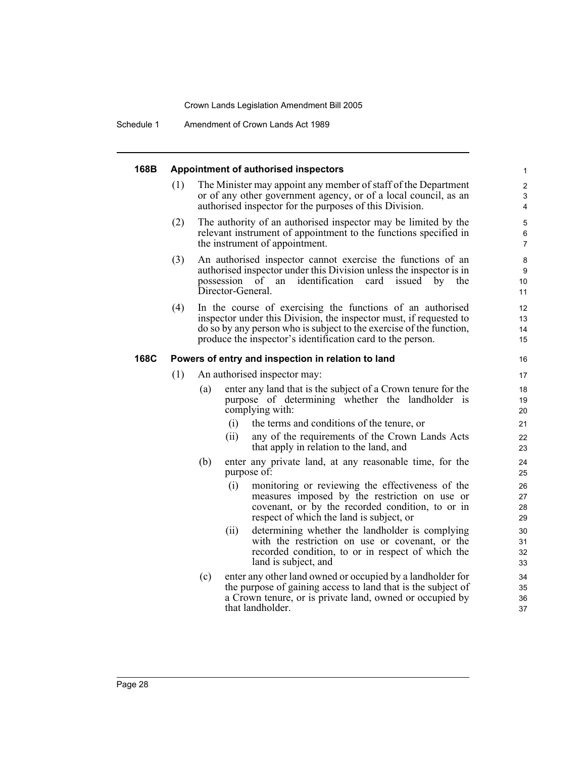Schedule 1 Amendment of Crown Lands Act 1989

#### **168B Appointment of authorised inspectors**

(1) The Minister may appoint any member of staff of the Department or of any other government agency, or of a local council, as an authorised inspector for the purposes of this Division. (2) The authority of an authorised inspector may be limited by the

- relevant instrument of appointment to the functions specified in the instrument of appointment.
- (3) An authorised inspector cannot exercise the functions of an authorised inspector under this Division unless the inspector is in possession of an identification card issued by the Director-General.
- (4) In the course of exercising the functions of an authorised inspector under this Division, the inspector must, if requested to do so by any person who is subject to the exercise of the function, produce the inspector's identification card to the person.

#### **168C Powers of entry and inspection in relation to land**

- (1) An authorised inspector may:
	- (a) enter any land that is the subject of a Crown tenure for the purpose of determining whether the landholder is complying with:
		- (i) the terms and conditions of the tenure, or
		- (ii) any of the requirements of the Crown Lands Acts that apply in relation to the land, and
	- (b) enter any private land, at any reasonable time, for the purpose of:
		- (i) monitoring or reviewing the effectiveness of the measures imposed by the restriction on use or covenant, or by the recorded condition, to or in respect of which the land is subject, or
		- (ii) determining whether the landholder is complying with the restriction on use or covenant, or the recorded condition, to or in respect of which the land is subject, and
	- (c) enter any other land owned or occupied by a landholder for the purpose of gaining access to land that is the subject of a Crown tenure, or is private land, owned or occupied by that landholder.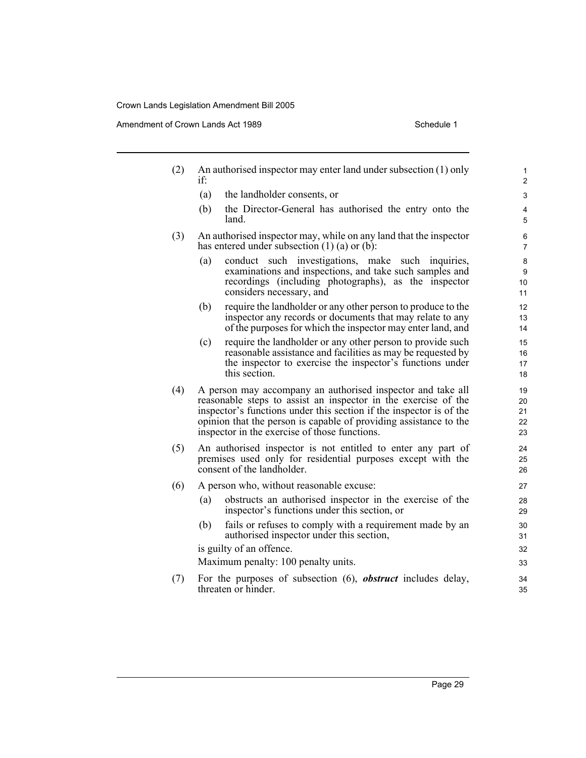Amendment of Crown Lands Act 1989 Schedule 1

| (2) | An authorised inspector may enter land under subsection (1) only<br>if:                                                                                                                                                                                                                                                    |                            |  |  |  |
|-----|----------------------------------------------------------------------------------------------------------------------------------------------------------------------------------------------------------------------------------------------------------------------------------------------------------------------------|----------------------------|--|--|--|
|     | (a)<br>the landholder consents, or                                                                                                                                                                                                                                                                                         | 3                          |  |  |  |
|     | (b)<br>the Director-General has authorised the entry onto the<br>land.                                                                                                                                                                                                                                                     | 4<br>5                     |  |  |  |
| (3) | An authorised inspector may, while on any land that the inspector<br>has entered under subsection $(1)$ $(a)$ or $(b)$ :                                                                                                                                                                                                   | 6<br>7                     |  |  |  |
|     | conduct such investigations, make such inquiries,<br>(a)<br>examinations and inspections, and take such samples and<br>recordings (including photographs), as the inspector<br>considers necessary, and                                                                                                                    | 8<br>9<br>10<br>11         |  |  |  |
|     | (b)<br>require the landholder or any other person to produce to the<br>inspector any records or documents that may relate to any<br>of the purposes for which the inspector may enter land, and                                                                                                                            | 12<br>13<br>14             |  |  |  |
|     | require the landholder or any other person to provide such<br>(c)<br>reasonable assistance and facilities as may be requested by<br>the inspector to exercise the inspector's functions under<br>this section.                                                                                                             | 15<br>16<br>17<br>18       |  |  |  |
| (4) | A person may accompany an authorised inspector and take all<br>reasonable steps to assist an inspector in the exercise of the<br>inspector's functions under this section if the inspector is of the<br>opinion that the person is capable of providing assistance to the<br>inspector in the exercise of those functions. | 19<br>20<br>21<br>22<br>23 |  |  |  |
| (5) | An authorised inspector is not entitled to enter any part of<br>premises used only for residential purposes except with the<br>consent of the landholder.                                                                                                                                                                  | 24<br>25<br>26             |  |  |  |
| (6) | A person who, without reasonable excuse:                                                                                                                                                                                                                                                                                   | 27                         |  |  |  |
|     | (a)<br>obstructs an authorised inspector in the exercise of the<br>inspector's functions under this section, or                                                                                                                                                                                                            | 28<br>29                   |  |  |  |
|     | fails or refuses to comply with a requirement made by an<br>(b)<br>authorised inspector under this section,                                                                                                                                                                                                                | 30<br>31                   |  |  |  |
|     | is guilty of an offence.                                                                                                                                                                                                                                                                                                   | 32                         |  |  |  |
|     | Maximum penalty: 100 penalty units.                                                                                                                                                                                                                                                                                        | 33                         |  |  |  |
| (7) | For the purposes of subsection (6), <b>obstruct</b> includes delay,<br>threaten or hinder.                                                                                                                                                                                                                                 | 34<br>35                   |  |  |  |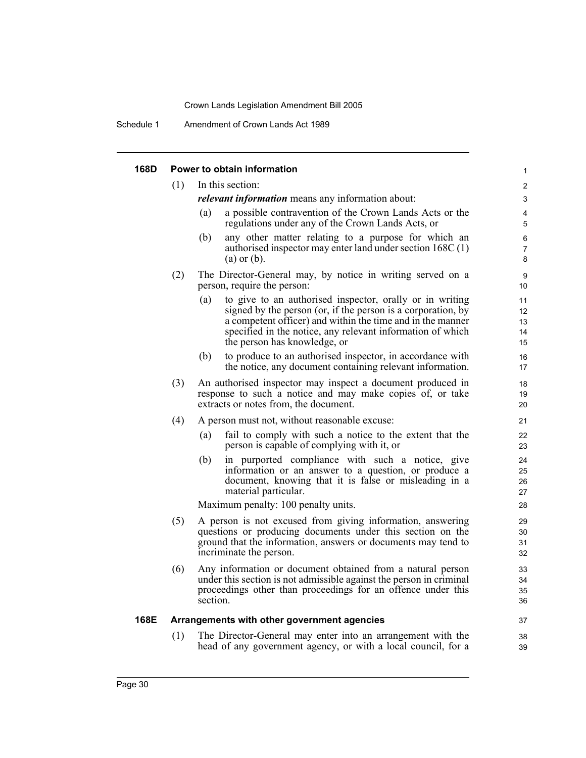Schedule 1 Amendment of Crown Lands Act 1989

| 168D |     | Power to obtain information                                                                                                                                                                                                                                                                 | 1                          |
|------|-----|---------------------------------------------------------------------------------------------------------------------------------------------------------------------------------------------------------------------------------------------------------------------------------------------|----------------------------|
|      | (1) | In this section:                                                                                                                                                                                                                                                                            | $\overline{c}$             |
|      |     | <i>relevant information</i> means any information about:                                                                                                                                                                                                                                    | 3                          |
|      |     | a possible contravention of the Crown Lands Acts or the<br>(a)<br>regulations under any of the Crown Lands Acts, or                                                                                                                                                                         | 4<br>5                     |
|      |     | (b)<br>any other matter relating to a purpose for which an<br>authorised inspector may enter land under section 168C (1)<br>$(a)$ or $(b)$ .                                                                                                                                                | 6<br>7<br>8                |
|      | (2) | The Director-General may, by notice in writing served on a<br>person, require the person:                                                                                                                                                                                                   | 9<br>10                    |
|      |     | (a)<br>to give to an authorised inspector, orally or in writing<br>signed by the person (or, if the person is a corporation, by<br>a competent officer) and within the time and in the manner<br>specified in the notice, any relevant information of which<br>the person has knowledge, or | 11<br>12<br>13<br>14<br>15 |
|      |     | to produce to an authorised inspector, in accordance with<br>(b)<br>the notice, any document containing relevant information.                                                                                                                                                               | 16<br>17                   |
|      | (3) | An authorised inspector may inspect a document produced in<br>response to such a notice and may make copies of, or take<br>extracts or notes from, the document.                                                                                                                            | 18<br>19<br>20             |
|      | (4) | A person must not, without reasonable excuse:                                                                                                                                                                                                                                               | 21                         |
|      |     | fail to comply with such a notice to the extent that the<br>(a)<br>person is capable of complying with it, or                                                                                                                                                                               | 22<br>23                   |
|      |     | (b)<br>in purported compliance with such a notice, give<br>information or an answer to a question, or produce a<br>document, knowing that it is false or misleading in a<br>material particular.                                                                                            | 24<br>25<br>26<br>27       |
|      |     | Maximum penalty: 100 penalty units.                                                                                                                                                                                                                                                         | 28                         |
|      | (5) | A person is not excused from giving information, answering<br>questions or producing documents under this section on the<br>ground that the information, answers or documents may tend to<br>incriminate the person.                                                                        | 29<br>30<br>31<br>32       |
|      | (6) | Any information or document obtained from a natural person<br>under this section is not admissible against the person in criminal<br>proceedings other than proceedings for an offence under this<br>section.                                                                               | 33<br>34<br>35<br>36       |
| 168E |     | Arrangements with other government agencies                                                                                                                                                                                                                                                 | 37                         |
|      | (1) | The Director-General may enter into an arrangement with the<br>head of any government agency, or with a local council, for a                                                                                                                                                                | 38<br>39                   |
|      |     |                                                                                                                                                                                                                                                                                             |                            |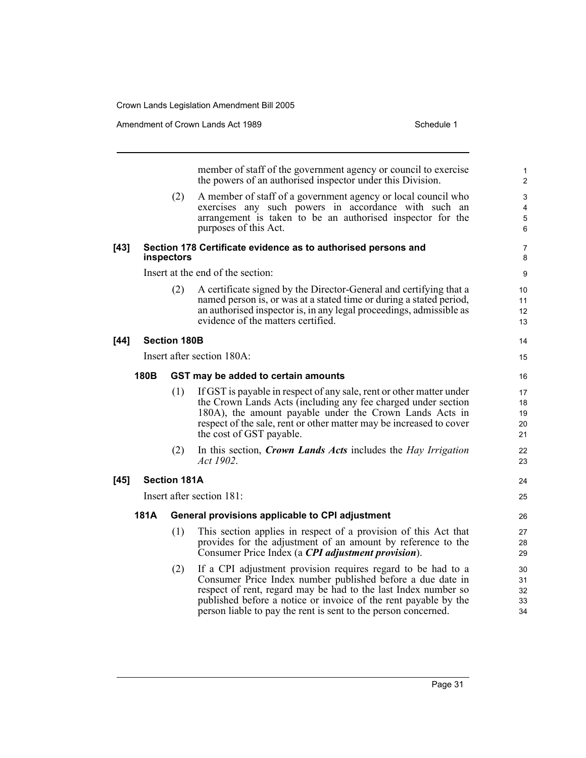|        |      |                     | member of staff of the government agency or council to exercise<br>the powers of an authorised inspector under this Division.                                                                                                                                                                                                     | 1<br>$\overline{2}$               |
|--------|------|---------------------|-----------------------------------------------------------------------------------------------------------------------------------------------------------------------------------------------------------------------------------------------------------------------------------------------------------------------------------|-----------------------------------|
|        |      | (2)                 | A member of staff of a government agency or local council who<br>exercises any such powers in accordance with such an<br>arrangement is taken to be an authorised inspector for the<br>purposes of this Act.                                                                                                                      | 3<br>4<br>$\sqrt{5}$<br>6         |
| $[43]$ |      | inspectors          | Section 178 Certificate evidence as to authorised persons and                                                                                                                                                                                                                                                                     | 7<br>8                            |
|        |      |                     | Insert at the end of the section:                                                                                                                                                                                                                                                                                                 | 9                                 |
|        |      | (2)                 | A certificate signed by the Director-General and certifying that a<br>named person is, or was at a stated time or during a stated period,<br>an authorised inspector is, in any legal proceedings, admissible as<br>evidence of the matters certified.                                                                            | 10 <sup>°</sup><br>11<br>12<br>13 |
| [44]   |      | <b>Section 180B</b> |                                                                                                                                                                                                                                                                                                                                   | 14                                |
|        |      |                     | Insert after section 180A:                                                                                                                                                                                                                                                                                                        | 15                                |
|        | 180B |                     | GST may be added to certain amounts                                                                                                                                                                                                                                                                                               | 16                                |
|        |      | (1)                 | If GST is payable in respect of any sale, rent or other matter under<br>the Crown Lands Acts (including any fee charged under section<br>180A), the amount payable under the Crown Lands Acts in<br>respect of the sale, rent or other matter may be increased to cover<br>the cost of GST payable.                               | 17<br>18<br>19<br>20<br>21        |
|        |      | (2)                 | In this section, <i>Crown Lands Acts</i> includes the <i>Hay Irrigation</i><br>Act 1902.                                                                                                                                                                                                                                          | 22<br>23                          |
| [45]   |      | <b>Section 181A</b> |                                                                                                                                                                                                                                                                                                                                   | 24                                |
|        |      |                     | Insert after section 181:                                                                                                                                                                                                                                                                                                         | 25                                |
|        | 181A |                     | General provisions applicable to CPI adjustment                                                                                                                                                                                                                                                                                   | 26                                |
|        |      | (1)                 | This section applies in respect of a provision of this Act that<br>provides for the adjustment of an amount by reference to the<br>Consumer Price Index (a CPI adjustment provision).                                                                                                                                             | 27<br>28<br>29                    |
|        |      | (2)                 | If a CPI adjustment provision requires regard to be had to a<br>Consumer Price Index number published before a due date in<br>respect of rent, regard may be had to the last Index number so<br>published before a notice or invoice of the rent payable by the<br>person liable to pay the rent is sent to the person concerned. | 30<br>31<br>32<br>33<br>34        |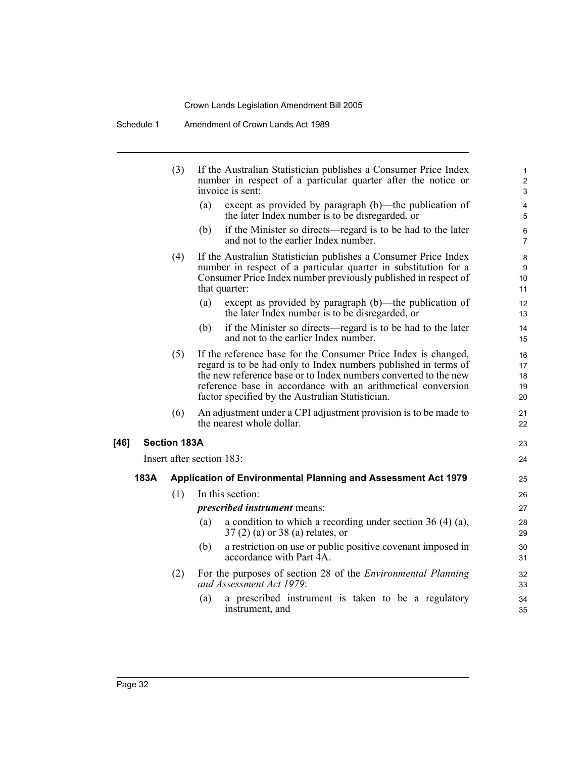Schedule 1 Amendment of Crown Lands Act 1989

|        |      | (3)                 | If the Australian Statistician publishes a Consumer Price Index<br>number in respect of a particular quarter after the notice or<br>invoice is sent:                                                                                                                                                                     |                            |  |
|--------|------|---------------------|--------------------------------------------------------------------------------------------------------------------------------------------------------------------------------------------------------------------------------------------------------------------------------------------------------------------------|----------------------------|--|
|        |      |                     | (a)<br>except as provided by paragraph (b)—the publication of<br>the later Index number is to be disregarded, or                                                                                                                                                                                                         | 4<br>5                     |  |
|        |      |                     | if the Minister so directs—regard is to be had to the later<br>(b)<br>and not to the earlier Index number.                                                                                                                                                                                                               | 6<br>7                     |  |
|        |      | (4)                 | If the Australian Statistician publishes a Consumer Price Index<br>number in respect of a particular quarter in substitution for a<br>Consumer Price Index number previously published in respect of<br>that quarter:                                                                                                    | 8<br>9<br>10<br>11         |  |
|        |      |                     | except as provided by paragraph (b)—the publication of<br>(a)<br>the later Index number is to be disregarded, or                                                                                                                                                                                                         | 12<br>13                   |  |
|        |      |                     | if the Minister so directs—regard is to be had to the later<br>(b)<br>and not to the earlier Index number.                                                                                                                                                                                                               | 14<br>15                   |  |
|        |      | (5)                 | If the reference base for the Consumer Price Index is changed,<br>regard is to be had only to Index numbers published in terms of<br>the new reference base or to Index numbers converted to the new<br>reference base in accordance with an arithmetical conversion<br>factor specified by the Australian Statistician. | 16<br>17<br>18<br>19<br>20 |  |
|        |      | (6)                 | An adjustment under a CPI adjustment provision is to be made to<br>the nearest whole dollar.                                                                                                                                                                                                                             | 21<br>22                   |  |
| $[46]$ |      | <b>Section 183A</b> |                                                                                                                                                                                                                                                                                                                          | 23                         |  |
|        |      |                     | Insert after section 183:                                                                                                                                                                                                                                                                                                | 24                         |  |
|        | 183A |                     | Application of Environmental Planning and Assessment Act 1979                                                                                                                                                                                                                                                            | 25                         |  |
|        |      | (1)                 | In this section:<br><i>prescribed instrument</i> means:                                                                                                                                                                                                                                                                  | 26<br>27                   |  |
|        |      |                     | a condition to which a recording under section $36(4)(a)$ ,<br>(a)<br>37 (2) (a) or 38 (a) relates, or                                                                                                                                                                                                                   | 28<br>29                   |  |
|        |      |                     | a restriction on use or public positive covenant imposed in<br>(b)<br>accordance with Part 4A.                                                                                                                                                                                                                           | 30<br>31                   |  |
|        |      | (2)                 | For the purposes of section 28 of the <i>Environmental Planning</i><br>and Assessment Act 1979:                                                                                                                                                                                                                          | 32<br>33                   |  |
|        |      |                     | a prescribed instrument is taken to be a regulatory<br>(a)<br>instrument, and                                                                                                                                                                                                                                            | 34<br>35                   |  |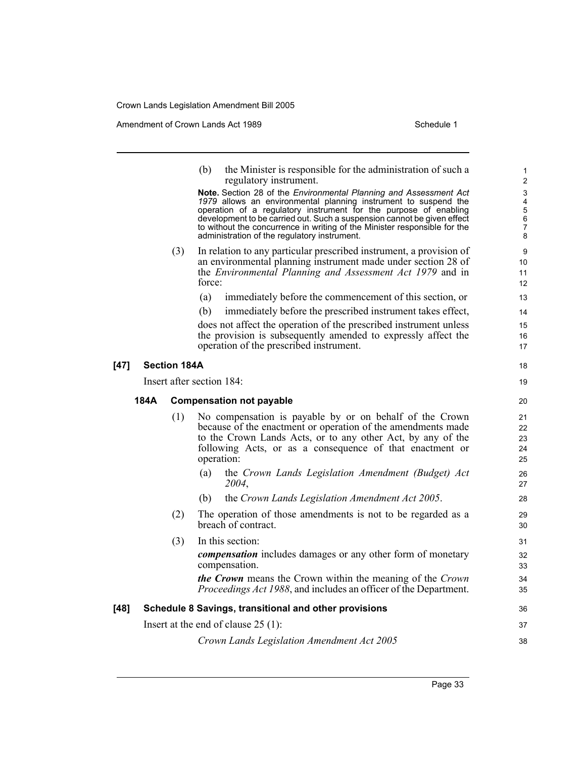Amendment of Crown Lands Act 1989 Schedule 1

|        |                           | (3)          | the Minister is responsible for the administration of such a<br>(b)<br>regulatory instrument.<br>Note. Section 28 of the Environmental Planning and Assessment Act<br>1979 allows an environmental planning instrument to suspend the<br>operation of a regulatory instrument for the purpose of enabling<br>development to be carried out. Such a suspension cannot be given effect<br>to without the concurrence in writing of the Minister responsible for the<br>administration of the regulatory instrument.<br>In relation to any particular prescribed instrument, a provision of<br>an environmental planning instrument made under section 28 of<br>the Environmental Planning and Assessment Act 1979 and in<br>force:<br>(a)<br>immediately before the commencement of this section, or<br>immediately before the prescribed instrument takes effect,<br>(b)<br>does not affect the operation of the prescribed instrument unless<br>the provision is subsequently amended to expressly affect the<br>operation of the prescribed instrument. | 1<br>$\overline{2}$<br>3<br>4<br>$\begin{array}{c} 5 \\ 6 \end{array}$<br>$\boldsymbol{7}$<br>8<br>9<br>10<br>11<br>$12 \overline{ }$<br>13<br>14<br>15<br>16<br>17 |  |
|--------|---------------------------|--------------|----------------------------------------------------------------------------------------------------------------------------------------------------------------------------------------------------------------------------------------------------------------------------------------------------------------------------------------------------------------------------------------------------------------------------------------------------------------------------------------------------------------------------------------------------------------------------------------------------------------------------------------------------------------------------------------------------------------------------------------------------------------------------------------------------------------------------------------------------------------------------------------------------------------------------------------------------------------------------------------------------------------------------------------------------------|---------------------------------------------------------------------------------------------------------------------------------------------------------------------|--|
| $[47]$ |                           | Section 184A |                                                                                                                                                                                                                                                                                                                                                                                                                                                                                                                                                                                                                                                                                                                                                                                                                                                                                                                                                                                                                                                          | 18                                                                                                                                                                  |  |
|        | Insert after section 184: |              |                                                                                                                                                                                                                                                                                                                                                                                                                                                                                                                                                                                                                                                                                                                                                                                                                                                                                                                                                                                                                                                          |                                                                                                                                                                     |  |
|        | 184A                      |              | <b>Compensation not payable</b>                                                                                                                                                                                                                                                                                                                                                                                                                                                                                                                                                                                                                                                                                                                                                                                                                                                                                                                                                                                                                          | 20                                                                                                                                                                  |  |
|        |                           | (1)          | No compensation is payable by or on behalf of the Crown<br>because of the enactment or operation of the amendments made<br>to the Crown Lands Acts, or to any other Act, by any of the<br>following Acts, or as a consequence of that enactment or<br>operation:                                                                                                                                                                                                                                                                                                                                                                                                                                                                                                                                                                                                                                                                                                                                                                                         | 21<br>22<br>23<br>24<br>25                                                                                                                                          |  |
|        |                           |              | the Crown Lands Legislation Amendment (Budget) Act<br>(a)<br>2004,                                                                                                                                                                                                                                                                                                                                                                                                                                                                                                                                                                                                                                                                                                                                                                                                                                                                                                                                                                                       | 26<br>27                                                                                                                                                            |  |
|        |                           |              | the Crown Lands Legislation Amendment Act 2005.<br>(b)                                                                                                                                                                                                                                                                                                                                                                                                                                                                                                                                                                                                                                                                                                                                                                                                                                                                                                                                                                                                   | 28                                                                                                                                                                  |  |
|        |                           | (2)          | The operation of those amendments is not to be regarded as a<br>breach of contract.                                                                                                                                                                                                                                                                                                                                                                                                                                                                                                                                                                                                                                                                                                                                                                                                                                                                                                                                                                      | 29<br>30                                                                                                                                                            |  |
|        |                           | (3)          | In this section:<br><i>compensation</i> includes damages or any other form of monetary<br>compensation.<br><b>the Crown</b> means the Crown within the meaning of the Crown<br><i>Proceedings Act 1988</i> , and includes an officer of the Department.                                                                                                                                                                                                                                                                                                                                                                                                                                                                                                                                                                                                                                                                                                                                                                                                  | 31<br>32<br>33<br>34<br>35                                                                                                                                          |  |
| $[48]$ |                           |              | Schedule 8 Savings, transitional and other provisions                                                                                                                                                                                                                                                                                                                                                                                                                                                                                                                                                                                                                                                                                                                                                                                                                                                                                                                                                                                                    | 36                                                                                                                                                                  |  |
|        |                           |              | Insert at the end of clause $25(1)$ :                                                                                                                                                                                                                                                                                                                                                                                                                                                                                                                                                                                                                                                                                                                                                                                                                                                                                                                                                                                                                    | 37                                                                                                                                                                  |  |
|        |                           |              | Crown Lands Legislation Amendment Act 2005                                                                                                                                                                                                                                                                                                                                                                                                                                                                                                                                                                                                                                                                                                                                                                                                                                                                                                                                                                                                               | 38                                                                                                                                                                  |  |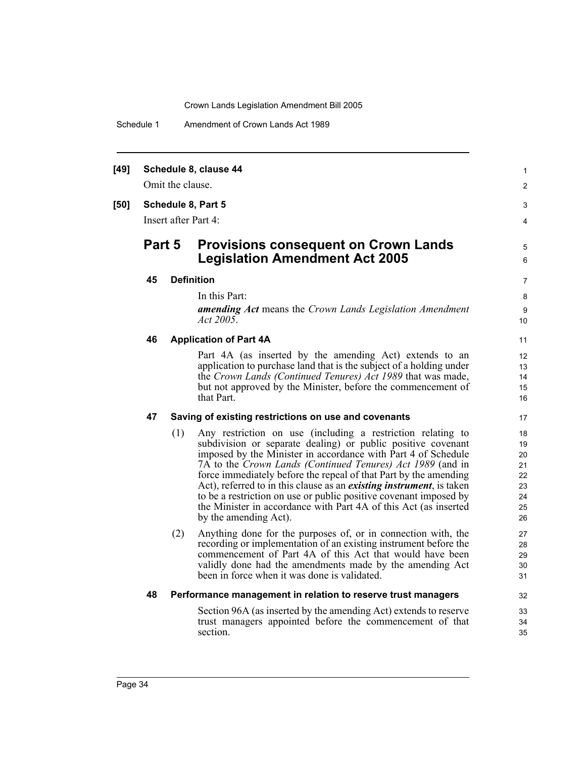Schedule 1 Amendment of Crown Lands Act 1989

| $[49]$ |        |                                                      | Schedule 8, clause 44                                                                                                                                                                                                                                                                                                                                                                                                                                                                                                                                                            | 1                                                  |  |  |  |
|--------|--------|------------------------------------------------------|----------------------------------------------------------------------------------------------------------------------------------------------------------------------------------------------------------------------------------------------------------------------------------------------------------------------------------------------------------------------------------------------------------------------------------------------------------------------------------------------------------------------------------------------------------------------------------|----------------------------------------------------|--|--|--|
|        |        | Omit the clause.                                     |                                                                                                                                                                                                                                                                                                                                                                                                                                                                                                                                                                                  | $\overline{2}$                                     |  |  |  |
| [50]   |        |                                                      | Schedule 8, Part 5                                                                                                                                                                                                                                                                                                                                                                                                                                                                                                                                                               | 3                                                  |  |  |  |
|        |        |                                                      | Insert after Part 4:                                                                                                                                                                                                                                                                                                                                                                                                                                                                                                                                                             | 4                                                  |  |  |  |
|        | Part 5 |                                                      | <b>Provisions consequent on Crown Lands</b><br><b>Legislation Amendment Act 2005</b>                                                                                                                                                                                                                                                                                                                                                                                                                                                                                             |                                                    |  |  |  |
|        | 45     |                                                      | <b>Definition</b>                                                                                                                                                                                                                                                                                                                                                                                                                                                                                                                                                                | $\overline{7}$                                     |  |  |  |
|        |        |                                                      | In this Part:<br><b>amending Act</b> means the Crown Lands Legislation Amendment<br>Act 2005.                                                                                                                                                                                                                                                                                                                                                                                                                                                                                    | 8<br>9<br>10 <sup>°</sup>                          |  |  |  |
|        | 46     |                                                      | <b>Application of Part 4A</b>                                                                                                                                                                                                                                                                                                                                                                                                                                                                                                                                                    | 11                                                 |  |  |  |
|        |        |                                                      | Part 4A (as inserted by the amending Act) extends to an<br>application to purchase land that is the subject of a holding under<br>the Crown Lands (Continued Tenures) Act 1989 that was made,<br>but not approved by the Minister, before the commencement of<br>that Part.                                                                                                                                                                                                                                                                                                      | 12<br>13<br>14<br>15<br>16                         |  |  |  |
|        | 47     | Saving of existing restrictions on use and covenants |                                                                                                                                                                                                                                                                                                                                                                                                                                                                                                                                                                                  |                                                    |  |  |  |
|        |        | (1)                                                  | Any restriction on use (including a restriction relating to<br>subdivision or separate dealing) or public positive covenant<br>imposed by the Minister in accordance with Part 4 of Schedule<br>7A to the Crown Lands (Continued Tenures) Act 1989 (and in<br>force immediately before the repeal of that Part by the amending<br>Act), referred to in this clause as an <i>existing instrument</i> , is taken<br>to be a restriction on use or public positive covenant imposed by<br>the Minister in accordance with Part 4A of this Act (as inserted<br>by the amending Act). | 18<br>19<br>20<br>21<br>22<br>23<br>24<br>25<br>26 |  |  |  |
|        |        | (2)                                                  | Anything done for the purposes of, or in connection with, the<br>recording or implementation of an existing instrument before the<br>commencement of Part 4A of this Act that would have been<br>validly done had the amendments made by the amending Act<br>been in force when it was done is validated.                                                                                                                                                                                                                                                                        | 27<br>28<br>29<br>30<br>31                         |  |  |  |
|        | 48     |                                                      | Performance management in relation to reserve trust managers                                                                                                                                                                                                                                                                                                                                                                                                                                                                                                                     | 32                                                 |  |  |  |
|        |        |                                                      | Section 96A (as inserted by the amending Act) extends to reserve<br>trust managers appointed before the commencement of that<br>section.                                                                                                                                                                                                                                                                                                                                                                                                                                         | 33<br>34<br>35                                     |  |  |  |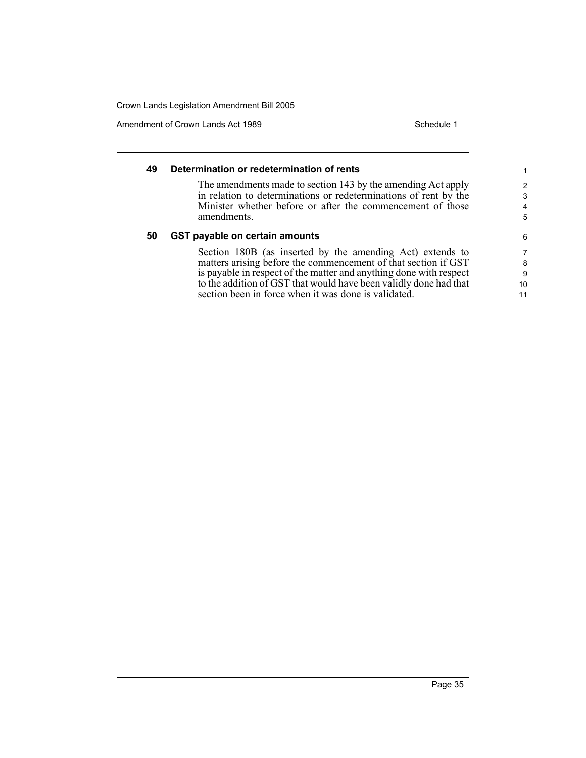Amendment of Crown Lands Act 1989 Schedule 1

#### **49 Determination or redetermination of rents**

The amendments made to section 143 by the amending Act apply in relation to determinations or redeterminations of rent by the Minister whether before or after the commencement of those amendments.

#### **50 GST payable on certain amounts**

Section 180B (as inserted by the amending Act) extends to matters arising before the commencement of that section if GST is payable in respect of the matter and anything done with respect to the addition of GST that would have been validly done had that section been in force when it was done is validated.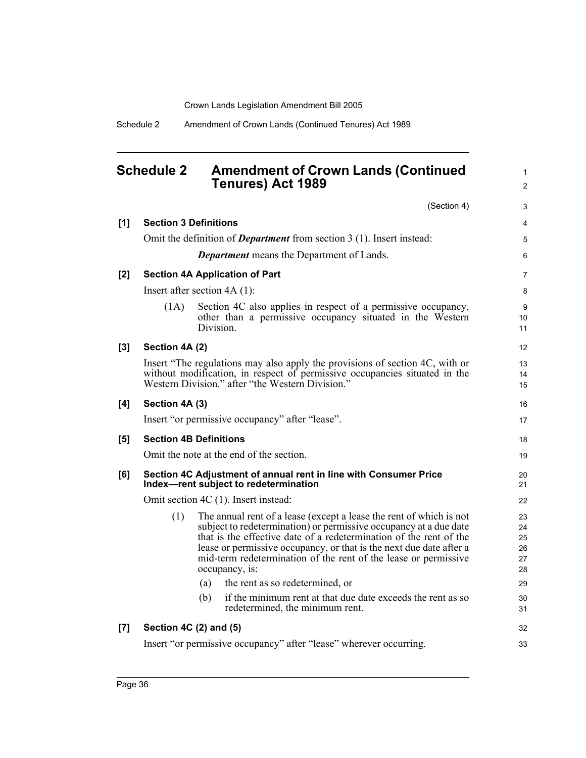Schedule 2 Amendment of Crown Lands (Continued Tenures) Act 1989

# <span id="page-45-0"></span>**Schedule 2 Amendment of Crown Lands (Continued Tenures) Act 1989**

|     |                                |     | (Section 4)                                                                                                                                                                                                                                                                                                                                                                | 3                                |
|-----|--------------------------------|-----|----------------------------------------------------------------------------------------------------------------------------------------------------------------------------------------------------------------------------------------------------------------------------------------------------------------------------------------------------------------------------|----------------------------------|
| [1] | <b>Section 3 Definitions</b>   |     |                                                                                                                                                                                                                                                                                                                                                                            | 4                                |
|     |                                |     | Omit the definition of <i>Department</i> from section 3 (1). Insert instead:                                                                                                                                                                                                                                                                                               | 5                                |
|     |                                |     | <b>Department</b> means the Department of Lands.                                                                                                                                                                                                                                                                                                                           | 6                                |
| [2] |                                |     | <b>Section 4A Application of Part</b>                                                                                                                                                                                                                                                                                                                                      | $\overline{7}$                   |
|     | Insert after section $4A(1)$ : |     |                                                                                                                                                                                                                                                                                                                                                                            | 8                                |
|     | (1A)                           |     | Section 4C also applies in respect of a permissive occupancy,<br>other than a permissive occupancy situated in the Western<br>Division.                                                                                                                                                                                                                                    | 9<br>10<br>11                    |
| [3] | Section 4A (2)                 |     |                                                                                                                                                                                                                                                                                                                                                                            | 12                               |
|     |                                |     | Insert "The regulations may also apply the provisions of section 4C, with or<br>without modification, in respect of permissive occupancies situated in the<br>Western Division." after "the Western Division."                                                                                                                                                             | 13<br>14<br>15                   |
| [4] | Section 4A (3)                 |     |                                                                                                                                                                                                                                                                                                                                                                            | 16                               |
|     |                                |     | Insert "or permissive occupancy" after "lease".                                                                                                                                                                                                                                                                                                                            | 17                               |
| [5] | <b>Section 4B Definitions</b>  |     |                                                                                                                                                                                                                                                                                                                                                                            | 18                               |
|     |                                |     | Omit the note at the end of the section.                                                                                                                                                                                                                                                                                                                                   | 19                               |
| [6] |                                |     | Section 4C Adjustment of annual rent in line with Consumer Price<br>Index-rent subject to redetermination                                                                                                                                                                                                                                                                  | 20<br>21                         |
|     |                                |     | Omit section 4C (1). Insert instead:                                                                                                                                                                                                                                                                                                                                       | 22                               |
|     | (1)                            |     | The annual rent of a lease (except a lease the rent of which is not<br>subject to redetermination) or permissive occupancy at a due date<br>that is the effective date of a redetermination of the rent of the<br>lease or permissive occupancy, or that is the next due date after a<br>mid-term redetermination of the rent of the lease or permissive<br>occupancy, is: | 23<br>24<br>25<br>26<br>27<br>28 |
|     |                                | (a) | the rent as so redetermined, or                                                                                                                                                                                                                                                                                                                                            | 29                               |
|     |                                | (b) | if the minimum rent at that due date exceeds the rent as so<br>redetermined, the minimum rent.                                                                                                                                                                                                                                                                             | 30<br>31                         |
| [7] | Section 4C (2) and (5)         |     |                                                                                                                                                                                                                                                                                                                                                                            | 32                               |
|     |                                |     | Insert "or permissive occupancy" after "lease" wherever occurring.                                                                                                                                                                                                                                                                                                         | 33                               |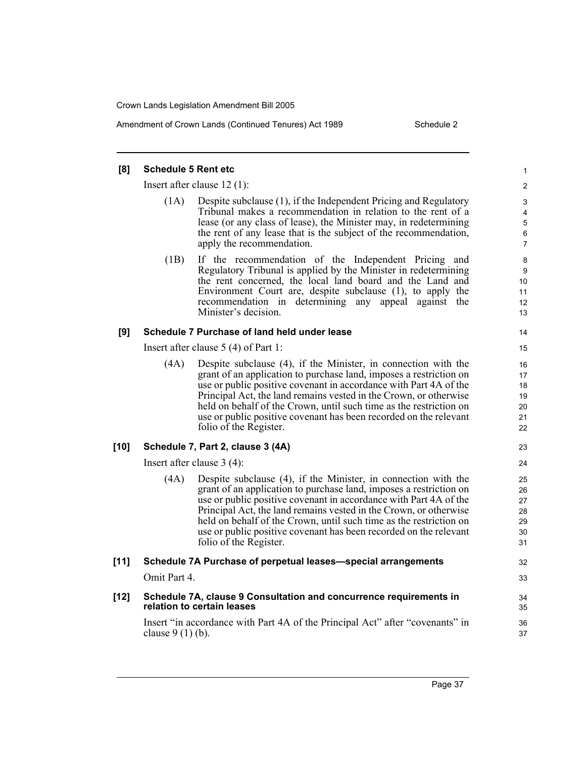Amendment of Crown Lands (Continued Tenures) Act 1989 Schedule 2

| [8]    | <b>Schedule 5 Rent etc</b>            |                                                                                                                                                                                                                                                                                                                                                                                                                                                     |  |  |  |  |
|--------|---------------------------------------|-----------------------------------------------------------------------------------------------------------------------------------------------------------------------------------------------------------------------------------------------------------------------------------------------------------------------------------------------------------------------------------------------------------------------------------------------------|--|--|--|--|
|        |                                       | Insert after clause $12(1)$ :                                                                                                                                                                                                                                                                                                                                                                                                                       |  |  |  |  |
|        | (1A)                                  | Despite subclause (1), if the Independent Pricing and Regulatory<br>Tribunal makes a recommendation in relation to the rent of a<br>lease (or any class of lease), the Minister may, in redetermining<br>the rent of any lease that is the subject of the recommendation,<br>apply the recommendation.                                                                                                                                              |  |  |  |  |
|        | (1B)                                  | If the recommendation of the Independent Pricing and<br>Regulatory Tribunal is applied by the Minister in redetermining<br>the rent concerned, the local land board and the Land and<br>Environment Court are, despite subclause (1), to apply the<br>recommendation in determining any appeal against the<br>Minister's decision.                                                                                                                  |  |  |  |  |
| [9]    |                                       | Schedule 7 Purchase of land held under lease                                                                                                                                                                                                                                                                                                                                                                                                        |  |  |  |  |
|        | Insert after clause $5(4)$ of Part 1: |                                                                                                                                                                                                                                                                                                                                                                                                                                                     |  |  |  |  |
|        | (4A)                                  | Despite subclause (4), if the Minister, in connection with the<br>grant of an application to purchase land, imposes a restriction on<br>use or public positive covenant in accordance with Part 4A of the<br>Principal Act, the land remains vested in the Crown, or otherwise<br>held on behalf of the Crown, until such time as the restriction on<br>use or public positive covenant has been recorded on the relevant<br>folio of the Register. |  |  |  |  |
| $[10]$ |                                       | Schedule 7, Part 2, clause 3 (4A)                                                                                                                                                                                                                                                                                                                                                                                                                   |  |  |  |  |
|        |                                       | Insert after clause $3(4)$ :                                                                                                                                                                                                                                                                                                                                                                                                                        |  |  |  |  |
|        | (4A)                                  | Despite subclause (4), if the Minister, in connection with the<br>grant of an application to purchase land, imposes a restriction on<br>use or public positive covenant in accordance with Part 4A of the<br>Principal Act, the land remains vested in the Crown, or otherwise<br>held on behalf of the Crown, until such time as the restriction on<br>use or public positive covenant has been recorded on the relevant<br>folio of the Register. |  |  |  |  |
| $[11]$ |                                       | Schedule 7A Purchase of perpetual leases-special arrangements                                                                                                                                                                                                                                                                                                                                                                                       |  |  |  |  |
|        | Omit Part 4.                          |                                                                                                                                                                                                                                                                                                                                                                                                                                                     |  |  |  |  |
| $[12]$ |                                       | Schedule 7A, clause 9 Consultation and concurrence requirements in<br>relation to certain leases                                                                                                                                                                                                                                                                                                                                                    |  |  |  |  |
|        | clause $9(1)(b)$ .                    | Insert "in accordance with Part 4A of the Principal Act" after "covenants" in                                                                                                                                                                                                                                                                                                                                                                       |  |  |  |  |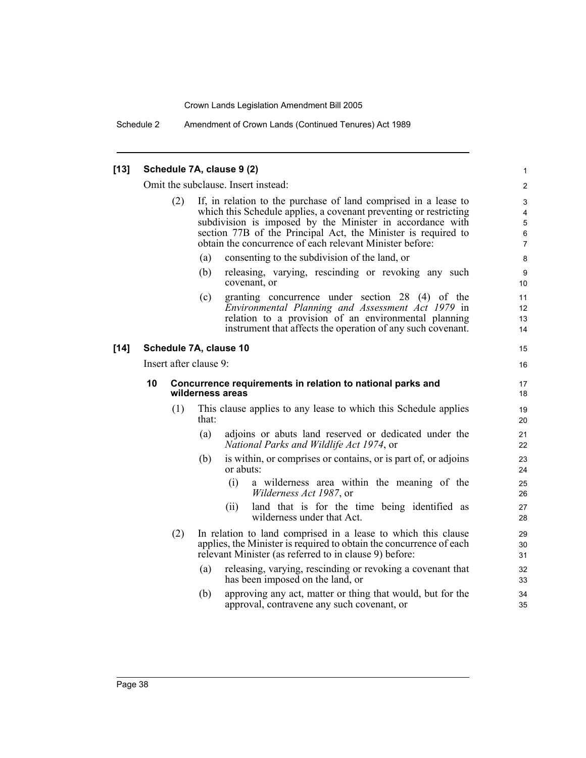Schedule 2 Amendment of Crown Lands (Continued Tenures) Act 1989

## **[13] Schedule 7A, clause 9 (2)**

|      |                        |     |                                                                                | Omit the subclause. Insert instead:                                                                                                                                                                                                                                                                                            | $\overline{2}$                                                                             |  |
|------|------------------------|-----|--------------------------------------------------------------------------------|--------------------------------------------------------------------------------------------------------------------------------------------------------------------------------------------------------------------------------------------------------------------------------------------------------------------------------|--------------------------------------------------------------------------------------------|--|
|      |                        | (2) |                                                                                | If, in relation to the purchase of land comprised in a lease to<br>which this Schedule applies, a covenant preventing or restricting<br>subdivision is imposed by the Minister in accordance with<br>section 77B of the Principal Act, the Minister is required to<br>obtain the concurrence of each relevant Minister before: | $\ensuremath{\mathsf{3}}$<br>$\overline{4}$<br>$\overline{5}$<br>$\,6\,$<br>$\overline{7}$ |  |
|      |                        |     | (a)                                                                            | consenting to the subdivision of the land, or                                                                                                                                                                                                                                                                                  | 8                                                                                          |  |
|      |                        |     | (b)                                                                            | releasing, varying, rescinding or revoking any such<br>covenant, or                                                                                                                                                                                                                                                            | 9<br>10                                                                                    |  |
|      |                        |     | (c)                                                                            | granting concurrence under section 28 (4) of the<br>Environmental Planning and Assessment Act 1979 in<br>relation to a provision of an environmental planning<br>instrument that affects the operation of any such covenant.                                                                                                   | 11<br>12<br>13<br>14                                                                       |  |
| [14] |                        |     |                                                                                | Schedule 7A, clause 10                                                                                                                                                                                                                                                                                                         | 15                                                                                         |  |
|      | Insert after clause 9: |     |                                                                                |                                                                                                                                                                                                                                                                                                                                |                                                                                            |  |
|      | 10                     |     | Concurrence requirements in relation to national parks and<br>wilderness areas |                                                                                                                                                                                                                                                                                                                                |                                                                                            |  |
|      |                        | (1) | that:                                                                          | This clause applies to any lease to which this Schedule applies                                                                                                                                                                                                                                                                | 19<br>20                                                                                   |  |
|      |                        |     | (a)                                                                            | adjoins or abuts land reserved or dedicated under the<br><i>National Parks and Wildlife Act 1974, or</i>                                                                                                                                                                                                                       | 21<br>22                                                                                   |  |
|      |                        |     | (b)                                                                            | is within, or comprises or contains, or is part of, or adjoins<br>or abuts:                                                                                                                                                                                                                                                    | 23<br>24                                                                                   |  |
|      |                        |     |                                                                                | (i)<br>a wilderness area within the meaning of the<br>Wilderness Act 1987, or                                                                                                                                                                                                                                                  | 25<br>26                                                                                   |  |
|      |                        |     |                                                                                | land that is for the time being identified as<br>(ii)<br>wilderness under that Act.                                                                                                                                                                                                                                            | 27<br>28                                                                                   |  |
|      |                        | (2) |                                                                                | In relation to land comprised in a lease to which this clause<br>applies, the Minister is required to obtain the concurrence of each<br>relevant Minister (as referred to in clause 9) before:                                                                                                                                 | 29<br>30<br>31                                                                             |  |
|      |                        |     | (a)                                                                            | releasing, varying, rescinding or revoking a covenant that<br>has been imposed on the land, or                                                                                                                                                                                                                                 | 32<br>33                                                                                   |  |
|      |                        |     | (b)                                                                            | approving any act, matter or thing that would, but for the<br>approval, contravene any such covenant, or                                                                                                                                                                                                                       | 34<br>35                                                                                   |  |
|      |                        |     |                                                                                |                                                                                                                                                                                                                                                                                                                                |                                                                                            |  |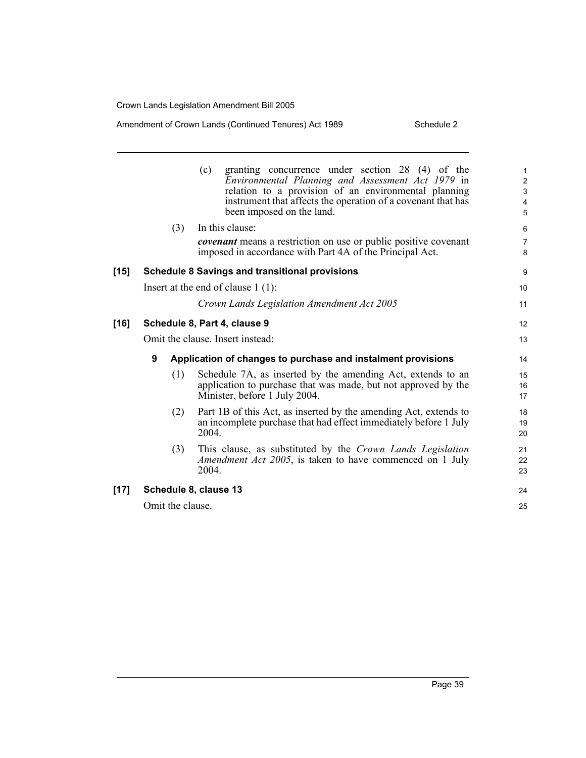Amendment of Crown Lands (Continued Tenures) Act 1989 Schedule 2

|      |                  | (c)<br>granting concurrence under section 28 (4) of the<br>Environmental Planning and Assessment Act 1979 in<br>relation to a provision of an environmental planning<br>instrument that affects the operation of a covenant that has<br>been imposed on the land. | $\mathbf{1}$<br>$\overline{2}$<br>$\mathfrak{S}$<br>$\overline{\mathbf{4}}$<br>5 |
|------|------------------|-------------------------------------------------------------------------------------------------------------------------------------------------------------------------------------------------------------------------------------------------------------------|----------------------------------------------------------------------------------|
|      | (3)              | In this clause:<br><i>covenant</i> means a restriction on use or public positive covenant<br>imposed in accordance with Part 4A of the Principal Act.                                                                                                             | 6<br>$\overline{7}$<br>8                                                         |
| [15] |                  | <b>Schedule 8 Savings and transitional provisions</b>                                                                                                                                                                                                             | 9                                                                                |
|      |                  | Insert at the end of clause $1(1)$ :                                                                                                                                                                                                                              | 10                                                                               |
|      |                  | Crown Lands Legislation Amendment Act 2005                                                                                                                                                                                                                        | 11                                                                               |
| [16] |                  | Schedule 8, Part 4, clause 9                                                                                                                                                                                                                                      | 12                                                                               |
|      |                  | Omit the clause. Insert instead:                                                                                                                                                                                                                                  | 13                                                                               |
|      | 9                | Application of changes to purchase and instalment provisions                                                                                                                                                                                                      | 14                                                                               |
|      | (1)              | Schedule 7A, as inserted by the amending Act, extends to an<br>application to purchase that was made, but not approved by the<br>Minister, before 1 July 2004.                                                                                                    | 15<br>16<br>17                                                                   |
|      | (2)              | Part 1B of this Act, as inserted by the amending Act, extends to<br>an incomplete purchase that had effect immediately before 1 July<br>2004.                                                                                                                     | 18<br>19<br>20                                                                   |
|      | (3)              | This clause, as substituted by the Crown Lands Legislation<br><i>Amendment Act 2005</i> , is taken to have commenced on 1 July<br>2004.                                                                                                                           | 21<br>22<br>23                                                                   |
| [17] |                  | Schedule 8, clause 13                                                                                                                                                                                                                                             | 24                                                                               |
|      | Omit the clause. |                                                                                                                                                                                                                                                                   | 25                                                                               |
|      |                  |                                                                                                                                                                                                                                                                   |                                                                                  |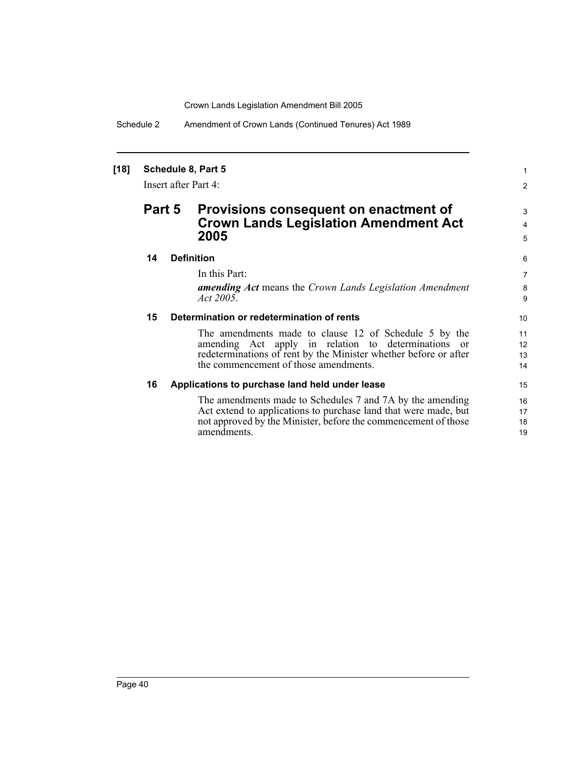Schedule 2 Amendment of Crown Lands (Continued Tenures) Act 1989

#### **[18] Schedule 8, Part 5**

Insert after Part 4:

# **Part 5 Provisions consequent on enactment of Crown Lands Legislation Amendment Act 2005**

#### **14 Definition**

In this Part:

*amending Act* means the *Crown Lands Legislation Amendment Act 2005*.

1 2

3 4 5

#### **15 Determination or redetermination of rents**

The amendments made to clause 12 of Schedule 5 by the amending Act apply in relation to determinations or redeterminations of rent by the Minister whether before or after the commencement of those amendments.

#### **16 Applications to purchase land held under lease**

The amendments made to Schedules 7 and 7A by the amending Act extend to applications to purchase land that were made, but not approved by the Minister, before the commencement of those amendments.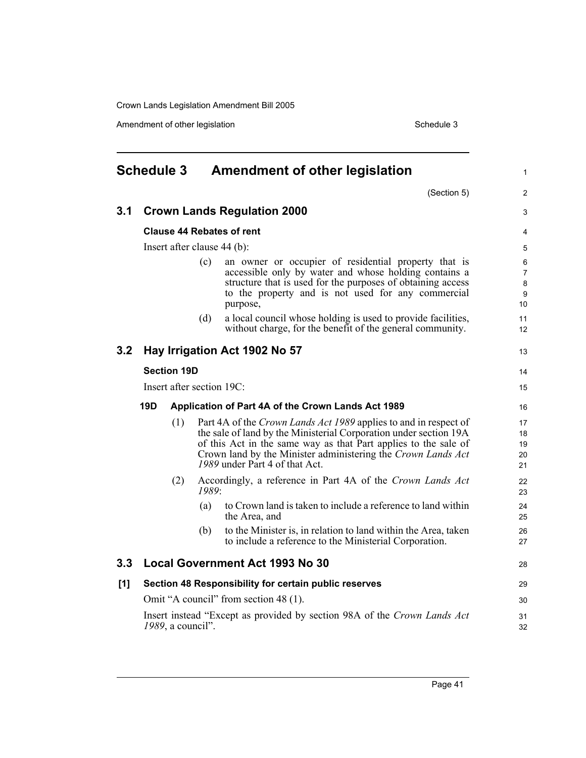Amendment of other legislation Schedule 3

<span id="page-50-0"></span>

| <b>Schedule 3</b>  |                                                           |                   | Amendment of other legislation |                                                                                                                                      |                     |  |
|--------------------|-----------------------------------------------------------|-------------------|--------------------------------|--------------------------------------------------------------------------------------------------------------------------------------|---------------------|--|
|                    |                                                           |                   |                                | (Section 5)                                                                                                                          | $\overline{c}$      |  |
| 3.1                |                                                           |                   |                                | <b>Crown Lands Regulation 2000</b>                                                                                                   | 3                   |  |
|                    |                                                           |                   |                                | <b>Clause 44 Rebates of rent</b>                                                                                                     | 4                   |  |
|                    |                                                           |                   |                                | Insert after clause 44 (b):                                                                                                          | 5                   |  |
|                    |                                                           |                   | (c)                            | an owner or occupier of residential property that is                                                                                 | 6                   |  |
|                    |                                                           |                   |                                | accessible only by water and whose holding contains a<br>structure that is used for the purposes of obtaining access                 | $\overline{7}$<br>8 |  |
|                    |                                                           |                   |                                | to the property and is not used for any commercial                                                                                   | 9                   |  |
|                    |                                                           |                   |                                | purpose,                                                                                                                             | 10                  |  |
|                    |                                                           |                   | (d)                            | a local council whose holding is used to provide facilities,<br>without charge, for the benefit of the general community.            | 11<br>12            |  |
| 3.2                |                                                           |                   |                                | Hay Irrigation Act 1902 No 57                                                                                                        | 13                  |  |
| <b>Section 19D</b> |                                                           |                   |                                |                                                                                                                                      |                     |  |
|                    | Insert after section 19C:                                 |                   |                                |                                                                                                                                      |                     |  |
|                    | 19D<br>Application of Part 4A of the Crown Lands Act 1989 |                   |                                |                                                                                                                                      |                     |  |
|                    |                                                           | (1)               |                                | Part 4A of the <i>Crown Lands Act 1989</i> applies to and in respect of                                                              | 17                  |  |
|                    |                                                           |                   |                                | the sale of land by the Ministerial Corporation under section 19A<br>of this Act in the same way as that Part applies to the sale of | 18<br>19            |  |
|                    |                                                           |                   |                                | Crown land by the Minister administering the Crown Lands Act                                                                         | 20                  |  |
|                    |                                                           |                   |                                | 1989 under Part 4 of that Act.                                                                                                       | 21                  |  |
|                    |                                                           | (2)               | 1989:                          | Accordingly, a reference in Part 4A of the Crown Lands Act                                                                           | 22<br>23            |  |
|                    |                                                           |                   | (a)                            | to Crown land is taken to include a reference to land within<br>the Area, and                                                        | 24<br>25            |  |
|                    |                                                           |                   | (b)                            | to the Minister is, in relation to land within the Area, taken<br>to include a reference to the Ministerial Corporation.             | 26<br>27            |  |
| 3.3                |                                                           |                   |                                | <b>Local Government Act 1993 No 30</b>                                                                                               | 28                  |  |
| [1]                |                                                           |                   |                                | Section 48 Responsibility for certain public reserves                                                                                | 29                  |  |
|                    |                                                           |                   |                                | Omit "A council" from section 48 (1).                                                                                                | 30                  |  |
|                    |                                                           | 1989, a council". |                                | Insert instead "Except as provided by section 98A of the Crown Lands Act                                                             | 31<br>32            |  |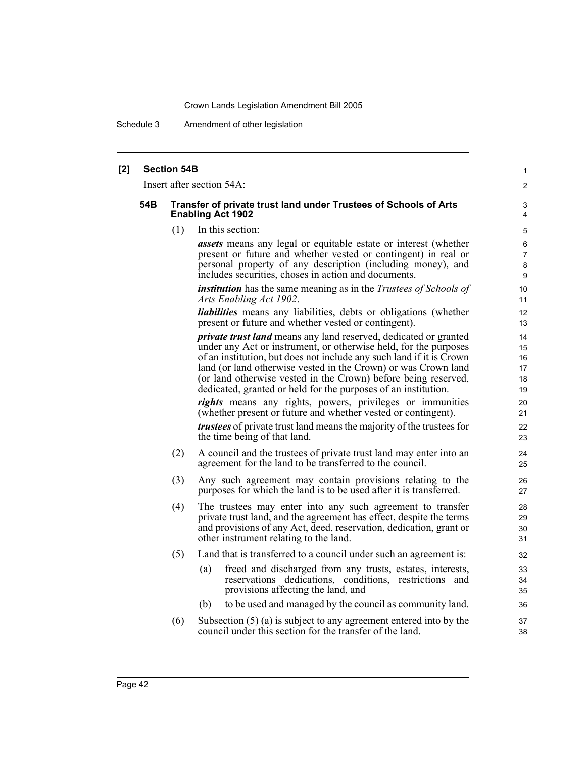Schedule 3 Amendment of other legislation

| [2] |     | <b>Section 54B</b>                                                                           |                                                                                                                                                                                                                                                                                                                                                                                                                           | $\mathbf{1}$                     |  |  |  |
|-----|-----|----------------------------------------------------------------------------------------------|---------------------------------------------------------------------------------------------------------------------------------------------------------------------------------------------------------------------------------------------------------------------------------------------------------------------------------------------------------------------------------------------------------------------------|----------------------------------|--|--|--|
|     |     |                                                                                              | Insert after section 54A:                                                                                                                                                                                                                                                                                                                                                                                                 | 2                                |  |  |  |
|     | 54B | Transfer of private trust land under Trustees of Schools of Arts<br><b>Enabling Act 1902</b> |                                                                                                                                                                                                                                                                                                                                                                                                                           |                                  |  |  |  |
|     |     | (1)                                                                                          | In this section:                                                                                                                                                                                                                                                                                                                                                                                                          | 5                                |  |  |  |
|     |     |                                                                                              | <b>assets</b> means any legal or equitable estate or interest (whether<br>present or future and whether vested or contingent) in real or<br>personal property of any description (including money), and<br>includes securities, choses in action and documents.                                                                                                                                                           | 6<br>$\overline{7}$<br>8<br>9    |  |  |  |
|     |     |                                                                                              | <i>institution</i> has the same meaning as in the <i>Trustees of Schools of</i><br>Arts Enabling Act 1902.                                                                                                                                                                                                                                                                                                                | 10<br>11                         |  |  |  |
|     |     |                                                                                              | <i>liabilities</i> means any liabilities, debts or obligations (whether<br>present or future and whether vested or contingent).                                                                                                                                                                                                                                                                                           | 12<br>13                         |  |  |  |
|     |     |                                                                                              | <i>private trust land</i> means any land reserved, dedicated or granted<br>under any Act or instrument, or otherwise held, for the purposes<br>of an institution, but does not include any such land if it is Crown<br>land (or land otherwise vested in the Crown) or was Crown land<br>(or land otherwise vested in the Crown) before being reserved,<br>dedicated, granted or held for the purposes of an institution. | 14<br>15<br>16<br>17<br>18<br>19 |  |  |  |
|     |     |                                                                                              | rights means any rights, powers, privileges or immunities<br>(whether present or future and whether vested or contingent).                                                                                                                                                                                                                                                                                                | 20<br>21                         |  |  |  |
|     |     |                                                                                              | <i>trustees</i> of private trust land means the majority of the trustees for<br>the time being of that land.                                                                                                                                                                                                                                                                                                              | 22<br>23                         |  |  |  |
|     |     | (2)                                                                                          | A council and the trustees of private trust land may enter into an<br>agreement for the land to be transferred to the council.                                                                                                                                                                                                                                                                                            | 24<br>25                         |  |  |  |
|     |     | (3)                                                                                          | Any such agreement may contain provisions relating to the<br>purposes for which the land is to be used after it is transferred.                                                                                                                                                                                                                                                                                           | 26<br>27                         |  |  |  |
|     |     | (4)                                                                                          | The trustees may enter into any such agreement to transfer<br>private trust land, and the agreement has effect, despite the terms<br>and provisions of any Act, deed, reservation, dedication, grant or<br>other instrument relating to the land.                                                                                                                                                                         | 28<br>29<br>30<br>31             |  |  |  |
|     |     | (5)                                                                                          | Land that is transferred to a council under such an agreement is:                                                                                                                                                                                                                                                                                                                                                         | 32                               |  |  |  |
|     |     |                                                                                              | freed and discharged from any trusts, estates, interests,<br>(a)<br>reservations dedications, conditions, restrictions and<br>provisions affecting the land, and                                                                                                                                                                                                                                                          | 33<br>34<br>35                   |  |  |  |
|     |     |                                                                                              | to be used and managed by the council as community land.<br>(b)                                                                                                                                                                                                                                                                                                                                                           | 36                               |  |  |  |
|     |     | (6)                                                                                          | Subsection $(5)$ (a) is subject to any agreement entered into by the<br>council under this section for the transfer of the land.                                                                                                                                                                                                                                                                                          | 37<br>38                         |  |  |  |
|     |     |                                                                                              |                                                                                                                                                                                                                                                                                                                                                                                                                           |                                  |  |  |  |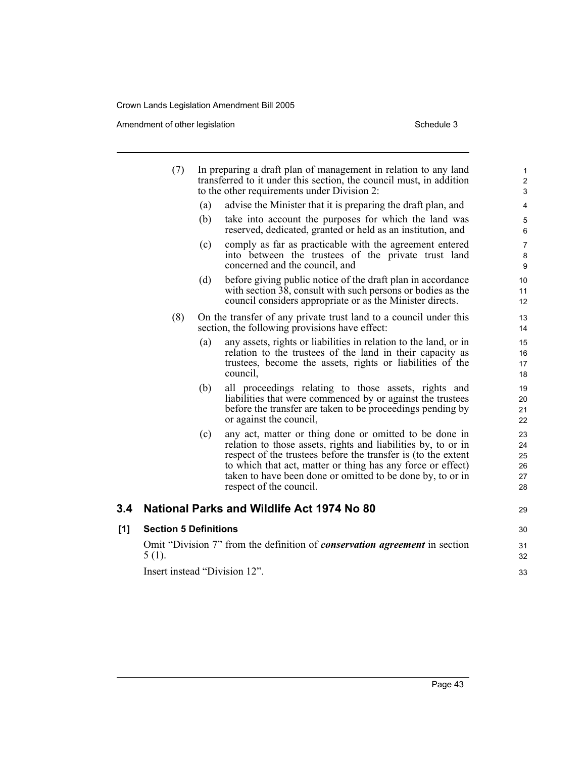Amendment of other legislation Schedule 3

|     | (7)                           |     | In preparing a draft plan of management in relation to any land<br>transferred to it under this section, the council must, in addition<br>to the other requirements under Division 2:                                                                                                                                                            | 1<br>$\overline{\mathbf{c}}$<br>3 |
|-----|-------------------------------|-----|--------------------------------------------------------------------------------------------------------------------------------------------------------------------------------------------------------------------------------------------------------------------------------------------------------------------------------------------------|-----------------------------------|
|     |                               | (a) | advise the Minister that it is preparing the draft plan, and                                                                                                                                                                                                                                                                                     | 4                                 |
|     |                               | (b) | take into account the purposes for which the land was<br>reserved, dedicated, granted or held as an institution, and                                                                                                                                                                                                                             | 5<br>6                            |
|     |                               | (c) | comply as far as practicable with the agreement entered<br>into between the trustees of the private trust land<br>concerned and the council, and                                                                                                                                                                                                 | 7<br>8<br>9                       |
|     |                               | (d) | before giving public notice of the draft plan in accordance<br>with section 38, consult with such persons or bodies as the<br>council considers appropriate or as the Minister directs.                                                                                                                                                          | 10<br>11<br>12                    |
|     | (8)                           |     | On the transfer of any private trust land to a council under this<br>section, the following provisions have effect:                                                                                                                                                                                                                              | 13<br>14                          |
|     |                               | (a) | any assets, rights or liabilities in relation to the land, or in<br>relation to the trustees of the land in their capacity as<br>trustees, become the assets, rights or liabilities of the<br>council,                                                                                                                                           | 15<br>16<br>17<br>18              |
|     |                               | (b) | all proceedings relating to those assets, rights and<br>liabilities that were commenced by or against the trustees<br>before the transfer are taken to be proceedings pending by<br>or against the council,                                                                                                                                      | 19<br>20<br>21<br>22              |
|     |                               | (c) | any act, matter or thing done or omitted to be done in<br>relation to those assets, rights and liabilities by, to or in<br>respect of the trustees before the transfer is (to the extent<br>to which that act, matter or thing has any force or effect)<br>taken to have been done or omitted to be done by, to or in<br>respect of the council. | 23<br>24<br>25<br>26<br>27<br>28  |
| 3.4 |                               |     | National Parks and Wildlife Act 1974 No 80                                                                                                                                                                                                                                                                                                       | 29                                |
| [1] | <b>Section 5 Definitions</b>  |     |                                                                                                                                                                                                                                                                                                                                                  | 30                                |
|     | $5(1)$ .                      |     | Omit "Division 7" from the definition of <i>conservation agreement</i> in section                                                                                                                                                                                                                                                                | 31<br>32                          |
|     | Insert instead "Division 12". |     |                                                                                                                                                                                                                                                                                                                                                  | 33                                |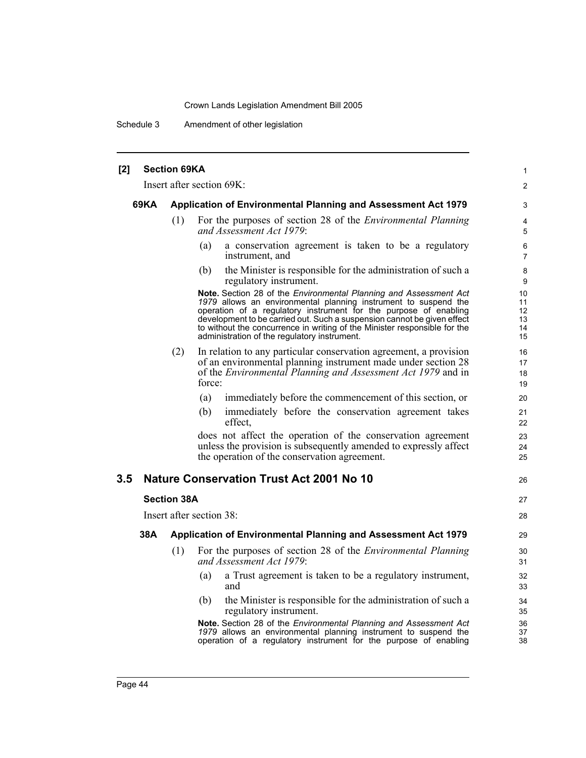Schedule 3 Amendment of other legislation

| [2] |      | <b>Section 69KA</b>                                           |                                                                                                                                                                                                                                                                                                                                                                                                                  | 1                                |  |  |  |  |
|-----|------|---------------------------------------------------------------|------------------------------------------------------------------------------------------------------------------------------------------------------------------------------------------------------------------------------------------------------------------------------------------------------------------------------------------------------------------------------------------------------------------|----------------------------------|--|--|--|--|
|     |      |                                                               | Insert after section 69K:                                                                                                                                                                                                                                                                                                                                                                                        | 2                                |  |  |  |  |
|     | 69KA | Application of Environmental Planning and Assessment Act 1979 |                                                                                                                                                                                                                                                                                                                                                                                                                  |                                  |  |  |  |  |
|     |      | (1)                                                           | For the purposes of section 28 of the <i>Environmental Planning</i><br>and Assessment Act 1979:                                                                                                                                                                                                                                                                                                                  | 4<br>5                           |  |  |  |  |
|     |      |                                                               | a conservation agreement is taken to be a regulatory<br>(a)<br>instrument, and                                                                                                                                                                                                                                                                                                                                   | 6<br>$\overline{7}$              |  |  |  |  |
|     |      |                                                               | the Minister is responsible for the administration of such a<br>(b)<br>regulatory instrument.                                                                                                                                                                                                                                                                                                                    | 8<br>9                           |  |  |  |  |
|     |      |                                                               | Note. Section 28 of the Environmental Planning and Assessment Act<br>1979 allows an environmental planning instrument to suspend the<br>operation of a regulatory instrument for the purpose of enabling<br>development to be carried out. Such a suspension cannot be given effect<br>to without the concurrence in writing of the Minister responsible for the<br>administration of the regulatory instrument. | 10<br>11<br>12<br>13<br>14<br>15 |  |  |  |  |
|     |      | (2)                                                           | In relation to any particular conservation agreement, a provision<br>of an environmental planning instrument made under section 28<br>of the Environmental Planning and Assessment Act 1979 and in<br>force:                                                                                                                                                                                                     | 16<br>17<br>18<br>19             |  |  |  |  |
|     |      |                                                               | (a)<br>immediately before the commencement of this section, or                                                                                                                                                                                                                                                                                                                                                   | 20                               |  |  |  |  |
|     |      |                                                               | (b)<br>immediately before the conservation agreement takes<br>effect,                                                                                                                                                                                                                                                                                                                                            | 21<br>22                         |  |  |  |  |
|     |      |                                                               | does not affect the operation of the conservation agreement<br>unless the provision is subsequently amended to expressly affect<br>the operation of the conservation agreement.                                                                                                                                                                                                                                  | 23<br>24<br>25                   |  |  |  |  |
| 3.5 |      |                                                               | <b>Nature Conservation Trust Act 2001 No 10</b>                                                                                                                                                                                                                                                                                                                                                                  | 26                               |  |  |  |  |
|     |      | <b>Section 38A</b>                                            |                                                                                                                                                                                                                                                                                                                                                                                                                  | 27                               |  |  |  |  |
|     |      |                                                               | Insert after section 38:                                                                                                                                                                                                                                                                                                                                                                                         | 28                               |  |  |  |  |
|     | 38A  |                                                               | Application of Environmental Planning and Assessment Act 1979                                                                                                                                                                                                                                                                                                                                                    | 29                               |  |  |  |  |
|     |      | (1)                                                           | For the purposes of section 28 of the Environmental Planning<br>and Assessment Act 1979:                                                                                                                                                                                                                                                                                                                         | 30<br>31                         |  |  |  |  |
|     |      |                                                               | a Trust agreement is taken to be a regulatory instrument,<br>(a)<br>and                                                                                                                                                                                                                                                                                                                                          | 32<br>33                         |  |  |  |  |
|     |      |                                                               | the Minister is responsible for the administration of such a<br>(b)<br>regulatory instrument.                                                                                                                                                                                                                                                                                                                    | 34<br>35                         |  |  |  |  |
|     |      |                                                               | Note. Section 28 of the Environmental Planning and Assessment Act<br>1979 allows an environmental planning instrument to suspend the<br>operation of a regulatory instrument for the purpose of enabling                                                                                                                                                                                                         | 36<br>37<br>38                   |  |  |  |  |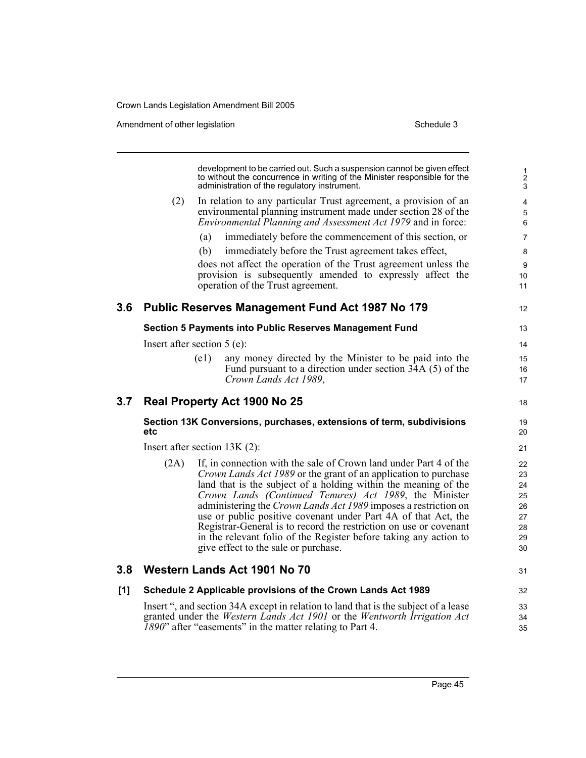Amendment of other legislation Schedule 3

|       |                                                                                                                                                                                                                              | development to be carried out. Such a suspension cannot be given effect<br>to without the concurrence in writing of the Minister responsible for the<br>administration of the regulatory instrument.                                                                                                                                                                                                                                                                                                                                                                                            | $\frac{1}{2}$<br>3                                 |
|-------|------------------------------------------------------------------------------------------------------------------------------------------------------------------------------------------------------------------------------|-------------------------------------------------------------------------------------------------------------------------------------------------------------------------------------------------------------------------------------------------------------------------------------------------------------------------------------------------------------------------------------------------------------------------------------------------------------------------------------------------------------------------------------------------------------------------------------------------|----------------------------------------------------|
|       | (2)                                                                                                                                                                                                                          | In relation to any particular Trust agreement, a provision of an<br>environmental planning instrument made under section 28 of the<br><i>Environmental Planning and Assessment Act 1979</i> and in force:                                                                                                                                                                                                                                                                                                                                                                                       | 4<br>5<br>$\,6\,$                                  |
|       |                                                                                                                                                                                                                              | immediately before the commencement of this section, or<br>(a)                                                                                                                                                                                                                                                                                                                                                                                                                                                                                                                                  | $\overline{7}$                                     |
|       |                                                                                                                                                                                                                              | immediately before the Trust agreement takes effect,<br>(b)                                                                                                                                                                                                                                                                                                                                                                                                                                                                                                                                     | 8                                                  |
|       |                                                                                                                                                                                                                              | does not affect the operation of the Trust agreement unless the<br>provision is subsequently amended to expressly affect the<br>operation of the Trust agreement.                                                                                                                                                                                                                                                                                                                                                                                                                               | 9<br>10<br>11                                      |
| 3.6   |                                                                                                                                                                                                                              | <b>Public Reserves Management Fund Act 1987 No 179</b>                                                                                                                                                                                                                                                                                                                                                                                                                                                                                                                                          | 12                                                 |
|       |                                                                                                                                                                                                                              | Section 5 Payments into Public Reserves Management Fund                                                                                                                                                                                                                                                                                                                                                                                                                                                                                                                                         | 13                                                 |
|       |                                                                                                                                                                                                                              | Insert after section $5(e)$ :                                                                                                                                                                                                                                                                                                                                                                                                                                                                                                                                                                   | 14                                                 |
|       |                                                                                                                                                                                                                              | any money directed by the Minister to be paid into the<br>(e1)                                                                                                                                                                                                                                                                                                                                                                                                                                                                                                                                  | 15                                                 |
|       |                                                                                                                                                                                                                              | Fund pursuant to a direction under section $34A(5)$ of the<br>Crown Lands Act 1989,                                                                                                                                                                                                                                                                                                                                                                                                                                                                                                             | 16<br>17                                           |
| 3.7   | <b>Real Property Act 1900 No 25</b>                                                                                                                                                                                          |                                                                                                                                                                                                                                                                                                                                                                                                                                                                                                                                                                                                 |                                                    |
|       | etc                                                                                                                                                                                                                          | Section 13K Conversions, purchases, extensions of term, subdivisions                                                                                                                                                                                                                                                                                                                                                                                                                                                                                                                            | 19<br>20                                           |
|       | Insert after section $13K(2)$ :                                                                                                                                                                                              |                                                                                                                                                                                                                                                                                                                                                                                                                                                                                                                                                                                                 |                                                    |
|       | (2A)                                                                                                                                                                                                                         | If, in connection with the sale of Crown land under Part 4 of the<br><i>Crown Lands Act 1989</i> or the grant of an application to purchase<br>land that is the subject of a holding within the meaning of the<br>Crown Lands (Continued Tenures) Act 1989, the Minister<br>administering the Crown Lands Act 1989 imposes a restriction on<br>use or public positive covenant under Part 4A of that Act, the<br>Registrar-General is to record the restriction on use or covenant<br>in the relevant folio of the Register before taking any action to<br>give effect to the sale or purchase. | 22<br>23<br>24<br>25<br>26<br>27<br>28<br>29<br>30 |
| 3.8   |                                                                                                                                                                                                                              | Western Lands Act 1901 No 70                                                                                                                                                                                                                                                                                                                                                                                                                                                                                                                                                                    | 31                                                 |
| $[1]$ |                                                                                                                                                                                                                              | Schedule 2 Applicable provisions of the Crown Lands Act 1989                                                                                                                                                                                                                                                                                                                                                                                                                                                                                                                                    | 32                                                 |
|       | Insert ", and section 34A except in relation to land that is the subject of a lease<br>granted under the Western Lands Act 1901 or the Wentworth Irrigation Act<br>1890" after "easements" in the matter relating to Part 4. |                                                                                                                                                                                                                                                                                                                                                                                                                                                                                                                                                                                                 | 33<br>34<br>35                                     |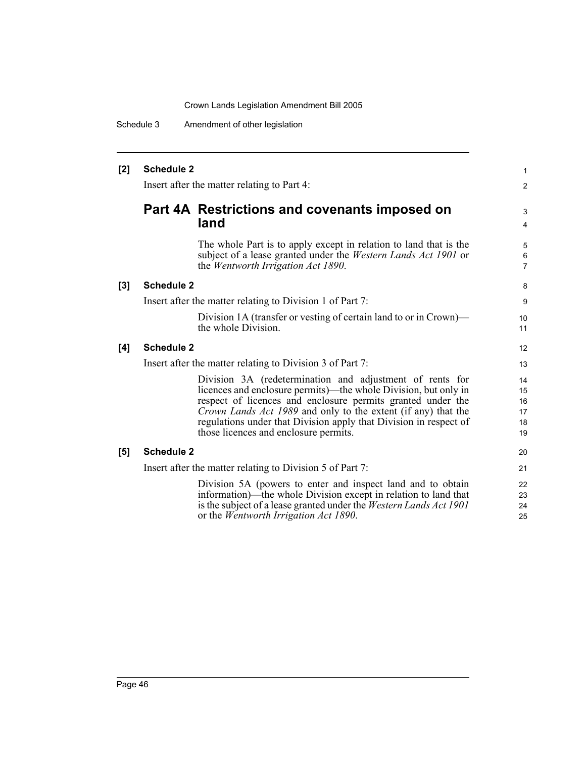Schedule 3 Amendment of other legislation

#### **[2] Schedule 2**

Insert after the matter relating to Part 4:

# **Part 4A Restrictions and covenants imposed on land**

The whole Part is to apply except in relation to land that is the subject of a lease granted under the *Western Lands Act 1901* or the *Wentworth Irrigation Act 1890*.

1  $\mathfrak{p}$ 

3 4

5 6 7

#### **[3] Schedule 2**

Insert after the matter relating to Division 1 of Part 7:

Division 1A (transfer or vesting of certain land to or in Crown) the whole Division.

### **[4] Schedule 2**

Insert after the matter relating to Division 3 of Part 7:

Division 3A (redetermination and adjustment of rents for licences and enclosure permits)—the whole Division, but only in respect of licences and enclosure permits granted under the *Crown Lands Act 1989* and only to the extent (if any) that the regulations under that Division apply that Division in respect of those licences and enclosure permits.

#### **[5] Schedule 2**

Insert after the matter relating to Division 5 of Part 7:

Division 5A (powers to enter and inspect land and to obtain information)—the whole Division except in relation to land that is the subject of a lease granted under the *Western Lands Act 1901* or the *Wentworth Irrigation Act 1890*.